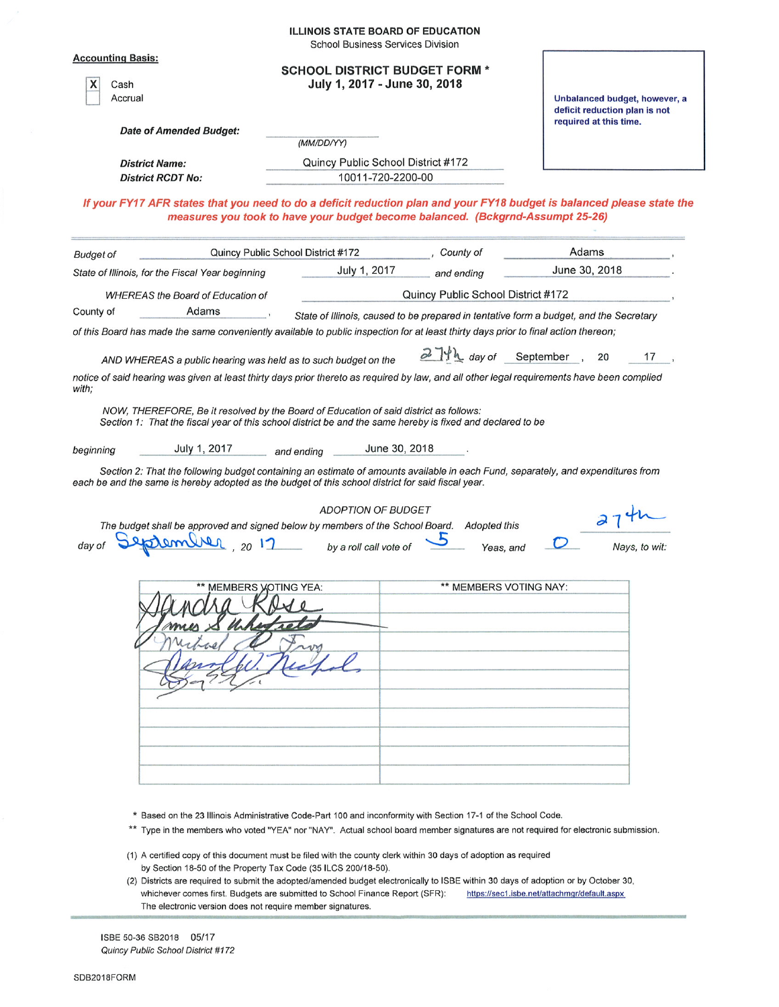|                                                                                                                                                                                                                                        | <b>ILLINOIS STATE BOARD OF EDUCATION</b><br><b>School Business Services Division</b>                           |                                    |                                                                                                                                     |
|----------------------------------------------------------------------------------------------------------------------------------------------------------------------------------------------------------------------------------------|----------------------------------------------------------------------------------------------------------------|------------------------------------|-------------------------------------------------------------------------------------------------------------------------------------|
| <b>Accounting Basis:</b><br>х<br>Cash<br>Accrual                                                                                                                                                                                       | <b>SCHOOL DISTRICT BUDGET FORM *</b><br>July 1, 2017 - June 30, 2018                                           |                                    | Unbalanced budget, however, a<br>deficit reduction plan is not<br>required at this time.                                            |
| Date of Amended Budget:                                                                                                                                                                                                                | (MM/DD/YY)                                                                                                     |                                    |                                                                                                                                     |
|                                                                                                                                                                                                                                        |                                                                                                                |                                    |                                                                                                                                     |
| <b>District Name:</b><br><b>District RCDT No:</b>                                                                                                                                                                                      | Quincy Public School District #172<br>10011-720-2200-00                                                        |                                    |                                                                                                                                     |
|                                                                                                                                                                                                                                        |                                                                                                                |                                    |                                                                                                                                     |
|                                                                                                                                                                                                                                        | measures you took to have your budget become balanced. (Bckgrnd-Assumpt 25-26)                                 |                                    | If your FY17 AFR states that you need to do a deficit reduction plan and your FY18 budget is balanced please state the              |
| <b>Budget of</b>                                                                                                                                                                                                                       | Quincy Public School District #172                                                                             | , County of                        | Adams                                                                                                                               |
| State of Illinois, for the Fiscal Year beginning                                                                                                                                                                                       | July 1, 2017                                                                                                   | and ending                         | June 30, 2018                                                                                                                       |
| <b>WHEREAS the Board of Education of</b>                                                                                                                                                                                               |                                                                                                                | Quincy Public School District #172 |                                                                                                                                     |
| Adams<br>County of                                                                                                                                                                                                                     |                                                                                                                |                                    |                                                                                                                                     |
| of this Board has made the same conveniently available to public inspection for at least thirty days prior to final action thereon;                                                                                                    |                                                                                                                |                                    | State of Illinois, caused to be prepared in tentative form a budget, and the Secretary                                              |
| AND WHEREAS a public hearing was held as to such budget on the                                                                                                                                                                         |                                                                                                                | $27h$ day of September,            | 20<br>17                                                                                                                            |
| notice of said hearing was given at least thirty days prior thereto as required by law, and all other legal requirements have been complied<br>with;                                                                                   |                                                                                                                |                                    |                                                                                                                                     |
| NOW, THEREFORE, Be it resolved by the Board of Education of said district as follows:<br>Section 1: That the fiscal year of this school district be and the same hereby is fixed and declared to be                                    |                                                                                                                |                                    |                                                                                                                                     |
| July 1, 2017<br>beginning                                                                                                                                                                                                              | June 30, 2018<br>and ending                                                                                    |                                    |                                                                                                                                     |
| Section 2: That the following budget containing an estimate of amounts available in each Fund, separately, and expenditures from<br>each be and the same is hereby adopted as the budget of this school district for said fiscal year. |                                                                                                                |                                    |                                                                                                                                     |
|                                                                                                                                                                                                                                        | <b>ADOPTION OF BUDGET</b>                                                                                      |                                    |                                                                                                                                     |
| The budget shall be approved and signed below by members of the School Board.<br>eptembrer, 2017                                                                                                                                       | by a roll call vote of                                                                                         | <b>Adopted this</b><br>Yeas, and   | Nays, to wit:                                                                                                                       |
|                                                                                                                                                                                                                                        |                                                                                                                |                                    |                                                                                                                                     |
| ** MEMBERS VOTING YEA:                                                                                                                                                                                                                 |                                                                                                                | ** MEMBERS VOTING NAY:             |                                                                                                                                     |
|                                                                                                                                                                                                                                        |                                                                                                                |                                    |                                                                                                                                     |
|                                                                                                                                                                                                                                        | * Based on the 23 Illinois Administrative Code-Part 100 and inconformity with Section 17-1 of the School Code. |                                    |                                                                                                                                     |
|                                                                                                                                                                                                                                        |                                                                                                                |                                    | ** Type in the members who voted "YEA" nor "NAY". Actual school board member signatures are not required for electronic submission. |

- (1) A certified copy of this document must be filed with the county clerk within 30 days of adoption as required by Section 18-50 of the Property Tax Code (35 ILCS 200/18-50).
- (2) Districts are required to submit the adopted/amended budget electronically to ISBE within 30 days of adoption or by October 30, whichever comes first. Budgets are submitted to School Finance Report (SFR): https://sec1.isbe.net/attachmgr/default.aspx The electronic version does not require member signatures.

ISBE 50-36 SB2018 05/17 Quincy Public School District #172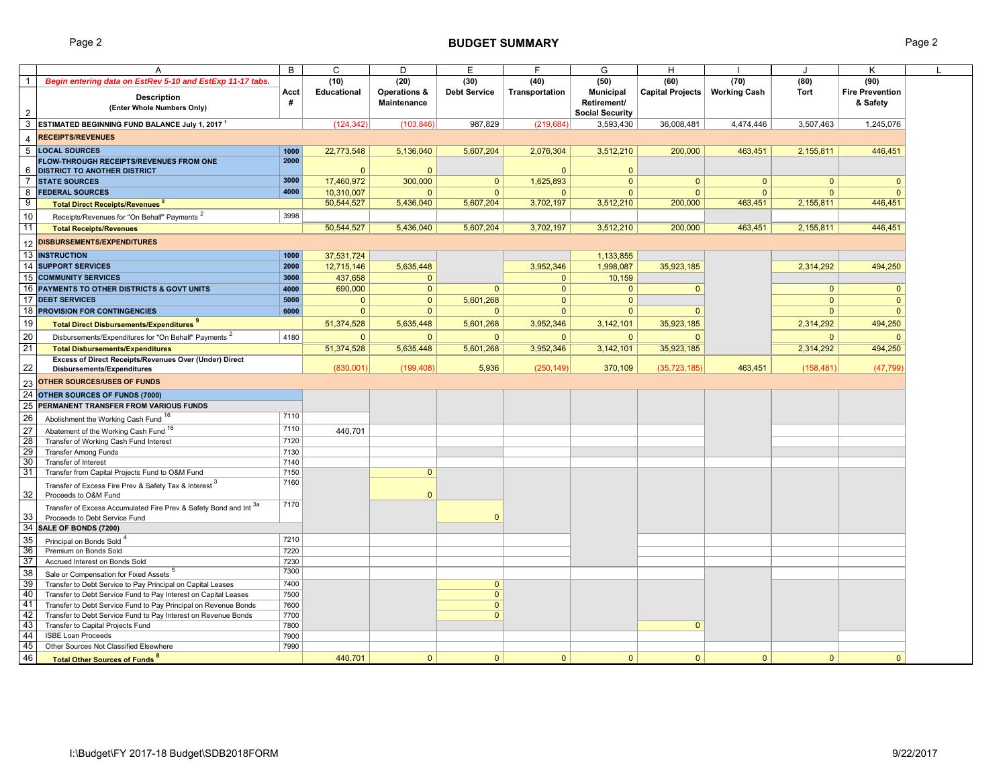Page 2 **BUDGET SUMMARY** Page 2

|                       | A                                                                                                  | B    | C                  | D                  | E                   | F              | G                      | н                |                     | ا.           | Κ                      |  |
|-----------------------|----------------------------------------------------------------------------------------------------|------|--------------------|--------------------|---------------------|----------------|------------------------|------------------|---------------------|--------------|------------------------|--|
| $\mathbf{1}$          | Begin entering data on EstRev 5-10 and EstExp 11-17 tabs.                                          |      | (10)               | (20)               | (30)                | (40)           | (50)                   | (60)             | (70)                | (80)         | (90)                   |  |
|                       | <b>Description</b>                                                                                 | Acct | <b>Educational</b> | Operations &       | <b>Debt Service</b> | Transportation | <b>Municipal</b>       | Capital Projects | <b>Working Cash</b> | Tort         | <b>Fire Prevention</b> |  |
|                       | (Enter Whole Numbers Only)                                                                         | #    |                    | <b>Maintenance</b> |                     |                | Retirement/            |                  |                     |              | & Safety               |  |
| 2                     |                                                                                                    |      |                    |                    |                     |                | <b>Social Security</b> |                  |                     |              |                        |  |
| 3                     | ESTIMATED BEGINNING FUND BALANCE July 1, 2017 <sup>1</sup>                                         |      | (124, 342)         | (103, 846)         | 987,829             | (219, 684)     | 3,593,430              | 36,008,481       | 4,474,446           | 3,507,463    | 1,245,076              |  |
| $\boldsymbol{\Delta}$ | <b>RECEIPTS/REVENUES</b>                                                                           |      |                    |                    |                     |                |                        |                  |                     |              |                        |  |
|                       | 5 LOCAL SOURCES                                                                                    | 1000 | 22,773,548         | 5,136,040          | 5,607,204           | 2,076,304      | 3,512,210              | 200,000          | 463,451             | 2,155,811    | 446,451                |  |
|                       | FLOW-THROUGH RECEIPTS/REVENUES FROM ONE                                                            | 2000 |                    |                    |                     |                |                        |                  |                     |              |                        |  |
| 6                     | <b>DISTRICT TO ANOTHER DISTRICT</b>                                                                |      | $\Omega$           | $\Omega$           |                     | $\Omega$       | $\overline{0}$         |                  |                     |              |                        |  |
| $\overline{7}$        | <b>STATE SOURCES</b>                                                                               | 3000 | 17,460,972         | 300,000            | $\mathbf{0}$        | 1,625,893      | $\Omega$               | $\mathbf{0}$     | $\mathbf{0}$        | $\Omega$     | $\mathbf{0}$           |  |
| 8                     | <b>FEDERAL SOURCES</b>                                                                             | 4000 | 10,310,007         | $\Omega$           | $\mathbf{0}$        | $\Omega$       | $\Omega$               | $\Omega$         | $\Omega$            | $\Omega$     | $\mathbf{0}$           |  |
| 9                     | <b>Total Direct Receipts/Revenues 8</b>                                                            |      | 50,544,527         | 5,436,040          | 5,607,204           | 3,702,197      | 3,512,210              | 200,000          | 463,451             | 2,155,811    | 446,451                |  |
| 10                    | Receipts/Revenues for "On Behalf" Payments <sup>2</sup>                                            | 3998 |                    |                    |                     |                |                        |                  |                     |              |                        |  |
| 11                    | <b>Total Receipts/Revenues</b>                                                                     |      | 50,544,527         | 5,436,040          | 5.607.204           | 3,702,197      | 3,512,210              | 200,000          | 463,451             | 2,155,811    | 446,451                |  |
| 12                    | <b>DISBURSEMENTS/EXPENDITURES</b>                                                                  |      |                    |                    |                     |                |                        |                  |                     |              |                        |  |
| 13                    | <b>INSTRUCTION</b>                                                                                 | 1000 | 37,531,724         |                    |                     |                | 1,133,855              |                  |                     |              |                        |  |
| 14                    | <b>SUPPORT SERVICES</b>                                                                            | 2000 | 12,715,146         | 5,635,448          |                     | 3,952,346      | 1,998,087              | 35,923,185       |                     | 2,314,292    | 494,250                |  |
| 15                    | <b>COMMUNITY SERVICES</b>                                                                          | 3000 | 437,658            | $\Omega$           |                     | $\mathbf{0}$   | 10,159                 |                  |                     |              |                        |  |
|                       | 16 PAYMENTS TO OTHER DISTRICTS & GOVT UNITS                                                        | 4000 | 690,000            | $\mathbf{0}$       | $\mathbf{0}$        | $\overline{0}$ | $\mathbf{0}$           | $\mathbf{0}$     |                     | $\mathbf{0}$ | $\mathbf{0}$           |  |
|                       | <b>17 DEBT SERVICES</b>                                                                            | 5000 | $\mathbf{0}$       | $\mathbf{0}$       | 5.601.268           | $\mathbf{0}$   | $\mathbf{0}$           |                  |                     | $\mathbf{0}$ | $\overline{0}$         |  |
|                       | 18 <b>PROVISION FOR CONTINGENCIES</b>                                                              | 6000 | $\mathbf{0}$       | $\mathbf{0}$       | $\mathbf{0}$        | $\mathbf{0}$   | $\mathbf{0}$           | $\mathbf{0}$     |                     | $\mathbf{0}$ | $\mathbf{0}$           |  |
| 19                    |                                                                                                    |      |                    | 5,635,448          | 5,601,268           | 3,952,346      |                        |                  |                     |              |                        |  |
|                       | Total Direct Disbursements/Expenditures                                                            |      | 51,374,528         |                    |                     |                | 3,142,101              | 35,923,185       |                     | 2,314,292    | 494,250                |  |
| 20                    | Disbursements/Expenditures for "On Behalf" Payments                                                | 4180 | $\Omega$           | $\Omega$           | $\mathbf{0}$        | $\Omega$       | $\Omega$               | $\Omega$         |                     | $\Omega$     | $\Omega$               |  |
| 21                    | <b>Total Disbursements/Expenditures</b>                                                            |      | 51,374,528         | 5,635,448          | 5,601,268           | 3,952,346      | 3, 142, 101            | 35,923,185       |                     | 2,314,292    | 494,250                |  |
| 22                    | Excess of Direct Receipts/Revenues Over (Under) Direct                                             |      | (830,001)          | (199, 408)         | 5,936               | (250, 149)     | 370,109                | (35, 723, 185)   | 463,451             | (158, 481)   | (47, 799)              |  |
|                       | Disbursements/Expenditures                                                                         |      |                    |                    |                     |                |                        |                  |                     |              |                        |  |
| 23                    | <b>OTHER SOURCES/USES OF FUNDS</b>                                                                 |      |                    |                    |                     |                |                        |                  |                     |              |                        |  |
| 24                    | OTHER SOURCES OF FUNDS (7000)                                                                      |      |                    |                    |                     |                |                        |                  |                     |              |                        |  |
| 25                    | PERMANENT TRANSFER FROM VARIOUS FUNDS                                                              |      |                    |                    |                     |                |                        |                  |                     |              |                        |  |
| 26                    | Abolishment the Working Cash Fund 16                                                               | 7110 |                    |                    |                     |                |                        |                  |                     |              |                        |  |
| 27                    | Abatement of the Working Cash Fund 16                                                              | 7110 | 440,701            |                    |                     |                |                        |                  |                     |              |                        |  |
| 28                    | Transfer of Working Cash Fund Interest                                                             | 7120 |                    |                    |                     |                |                        |                  |                     |              |                        |  |
| 29                    | <b>Transfer Among Funds</b>                                                                        | 7130 |                    |                    |                     |                |                        |                  |                     |              |                        |  |
| 30                    | Transfer of Interest                                                                               | 7140 |                    |                    |                     |                |                        |                  |                     |              |                        |  |
| 31                    | Transfer from Capital Projects Fund to O&M Fund                                                    | 7150 |                    | $\mathbf{0}$       |                     |                |                        |                  |                     |              |                        |  |
| 32                    | Transfer of Excess Fire Prev & Safety Tax & Interest 3<br>Proceeds to O&M Fund                     | 7160 |                    | $\Omega$           |                     |                |                        |                  |                     |              |                        |  |
| 33                    | Transfer of Excess Accumulated Fire Prev & Safety Bond and Int 3a<br>Proceeds to Debt Service Fund | 7170 |                    |                    | $\Omega$            |                |                        |                  |                     |              |                        |  |
| 34                    | SALE OF BONDS (7200)                                                                               |      |                    |                    |                     |                |                        |                  |                     |              |                        |  |
| 35                    | Principal on Bonds Sold <sup>4</sup>                                                               | 7210 |                    |                    |                     |                |                        |                  |                     |              |                        |  |
| 36                    | Premium on Bonds Sold                                                                              | 7220 |                    |                    |                     |                |                        |                  |                     |              |                        |  |
| 37                    | Accrued Interest on Bonds Sold                                                                     | 7230 |                    |                    |                     |                |                        |                  |                     |              |                        |  |
| 38                    | Sale or Compensation for Fixed Assets <sup>5</sup>                                                 | 7300 |                    |                    |                     |                |                        |                  |                     |              |                        |  |
| 39                    | Transfer to Debt Service to Pay Principal on Capital Leases                                        | 7400 |                    |                    | $\mathbf{0}$        |                |                        |                  |                     |              |                        |  |
| 40                    | Transfer to Debt Service Fund to Pay Interest on Capital Leases                                    | 7500 |                    |                    | $\overline{0}$      |                |                        |                  |                     |              |                        |  |
| 41                    | Transfer to Debt Service Fund to Pay Principal on Revenue Bonds                                    | 7600 |                    |                    | $\overline{0}$      |                |                        |                  |                     |              |                        |  |
| 42                    | Transfer to Debt Service Fund to Pay Interest on Revenue Bonds                                     | 7700 |                    |                    | $\overline{0}$      |                |                        |                  |                     |              |                        |  |
| 43                    | Transfer to Capital Projects Fund                                                                  | 7800 |                    |                    |                     |                |                        | $\mathbf{0}$     |                     |              |                        |  |
| 44                    | <b>ISBE Loan Proceeds</b>                                                                          | 7900 |                    |                    |                     |                |                        |                  |                     |              |                        |  |
| 45                    | Other Sources Not Classified Elsewhere                                                             | 7990 |                    |                    |                     |                |                        |                  |                     |              |                        |  |
| 46                    | <b>Total Other Sources of Funds<sup>8</sup></b>                                                    |      | 440,701            | $\mathbf{0}$       | $\mathbf{0}$        | $\overline{0}$ | $\mathbf{0}$           | $\mathbf{0}$     | $\overline{0}$      | $\mathbf{0}$ | $\mathbf{0}$           |  |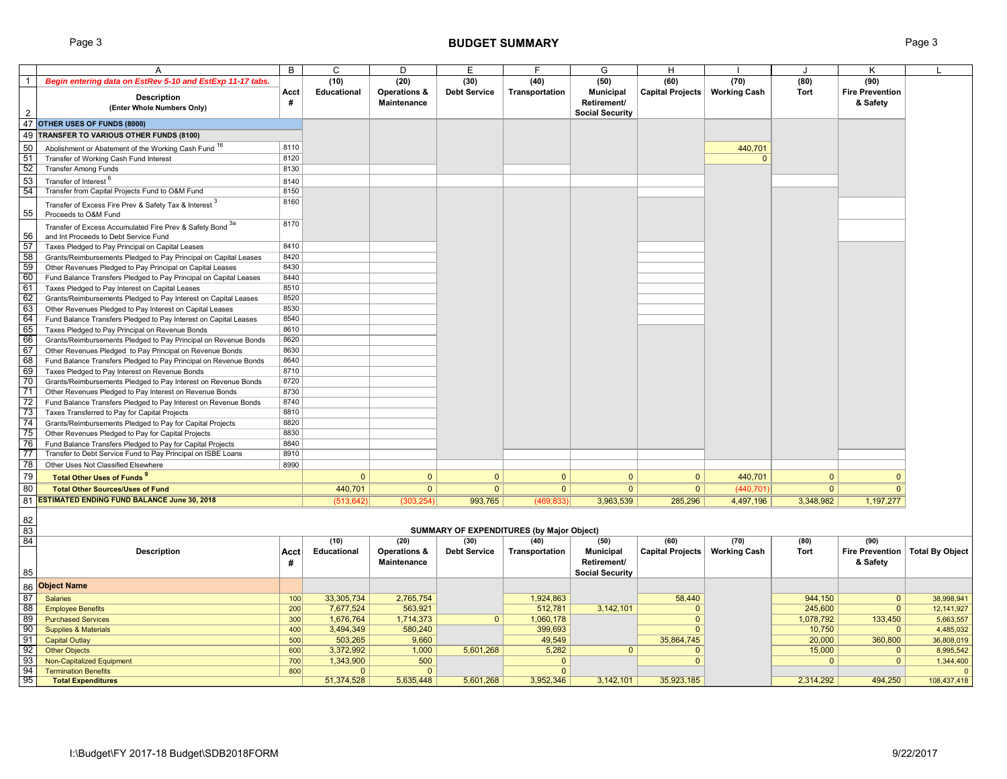# Page 3 **BUDGET SUMMARY** Page 3

|                 | Α                                                                 | B          | С                    | D                    | Ε                   | F                                                | G                      | н                          |                     |                  | Κ                       |                        |
|-----------------|-------------------------------------------------------------------|------------|----------------------|----------------------|---------------------|--------------------------------------------------|------------------------|----------------------------|---------------------|------------------|-------------------------|------------------------|
| $\overline{1}$  | Begin entering data on EstRev 5-10 and EstExp 11-17 tabs.         |            | (10)                 | (20)                 | (30)                | (40)                                             | (50)                   | (60)                       | (70)                | (80)             | (90)                    |                        |
|                 | <b>Description</b>                                                | Acct       | <b>Educational</b>   | Operations &         | <b>Debt Service</b> | Transportation                                   | <b>Municipal</b>       | Capital Projects           | <b>Working Cash</b> | <b>Tort</b>      | <b>Fire Prevention</b>  |                        |
|                 | (Enter Whole Numbers Only)                                        | #          |                      | Maintenance          |                     |                                                  | Retirement/            |                            |                     |                  | & Safety                |                        |
| 2               |                                                                   |            |                      |                      |                     |                                                  | <b>Social Security</b> |                            |                     |                  |                         |                        |
| 47              | OTHER USES OF FUNDS (8000)                                        |            |                      |                      |                     |                                                  |                        |                            |                     |                  |                         |                        |
| 49              | TRANSFER TO VARIOUS OTHER FUNDS (8100)                            |            |                      |                      |                     |                                                  |                        |                            |                     |                  |                         |                        |
| 50              | Abolishment or Abatement of the Working Cash Fund 16              | 8110       |                      |                      |                     |                                                  |                        |                            | 440,701             |                  |                         |                        |
| 51              | Transfer of Working Cash Fund Interest                            | 8120       |                      |                      |                     |                                                  |                        |                            | $\Omega$            |                  |                         |                        |
| -52             | <b>Transfer Among Funds</b>                                       | 8130       |                      |                      |                     |                                                  |                        |                            |                     |                  |                         |                        |
| 53              | Transfer of Interest <sup>6</sup>                                 | 8140       |                      |                      |                     |                                                  |                        |                            |                     |                  |                         |                        |
| 54              | Transfer from Capital Projects Fund to O&M Fund                   | 8150       |                      |                      |                     |                                                  |                        |                            |                     |                  |                         |                        |
|                 | Transfer of Excess Fire Prev & Safety Tax & Interest 3            | 8160       |                      |                      |                     |                                                  |                        |                            |                     |                  |                         |                        |
| 55              | Proceeds to O&M Fund                                              |            |                      |                      |                     |                                                  |                        |                            |                     |                  |                         |                        |
|                 | Transfer of Excess Accumulated Fire Prev & Safety Bond 3a         | 8170       |                      |                      |                     |                                                  |                        |                            |                     |                  |                         |                        |
| 56              | and Int Proceeds to Debt Service Fund                             |            |                      |                      |                     |                                                  |                        |                            |                     |                  |                         |                        |
| 57              | Taxes Pledged to Pay Principal on Capital Leases                  | 8410       |                      |                      |                     |                                                  |                        |                            |                     |                  |                         |                        |
| 58              | Grants/Reimbursements Pledged to Pay Principal on Capital Leases  | 8420       |                      |                      |                     |                                                  |                        |                            |                     |                  |                         |                        |
| 59              | Other Revenues Pledged to Pay Principal on Capital Leases         | 8430       |                      |                      |                     |                                                  |                        |                            |                     |                  |                         |                        |
| 60              | Fund Balance Transfers Pledged to Pay Principal on Capital Leases | 8440       |                      |                      |                     |                                                  |                        |                            |                     |                  |                         |                        |
| 61              | Taxes Pledged to Pay Interest on Capital Leases                   | 8510       |                      |                      |                     |                                                  |                        |                            |                     |                  |                         |                        |
| 62              | Grants/Reimbursements Pledged to Pay Interest on Capital Leases   | 8520       |                      |                      |                     |                                                  |                        |                            |                     |                  |                         |                        |
| 63              | Other Revenues Pledged to Pay Interest on Capital Leases          | 8530       |                      |                      |                     |                                                  |                        |                            |                     |                  |                         |                        |
| 64              | Fund Balance Transfers Pledged to Pay Interest on Capital Leases  | 8540       |                      |                      |                     |                                                  |                        |                            |                     |                  |                         |                        |
| 65              | Taxes Pledged to Pay Principal on Revenue Bonds                   | 8610       |                      |                      |                     |                                                  |                        |                            |                     |                  |                         |                        |
| 66              | Grants/Reimbursements Pledged to Pay Principal on Revenue Bonds   | 8620       |                      |                      |                     |                                                  |                        |                            |                     |                  |                         |                        |
| 67              | Other Revenues Pledged to Pay Principal on Revenue Bonds          | 8630       |                      |                      |                     |                                                  |                        |                            |                     |                  |                         |                        |
| 68              | Fund Balance Transfers Pledged to Pay Principal on Revenue Bonds  | 8640       |                      |                      |                     |                                                  |                        |                            |                     |                  |                         |                        |
| 69              | Taxes Pledged to Pay Interest on Revenue Bonds                    | 8710       |                      |                      |                     |                                                  |                        |                            |                     |                  |                         |                        |
| 70              | Grants/Reimbursements Pledged to Pay Interest on Revenue Bonds    | 8720       |                      |                      |                     |                                                  |                        |                            |                     |                  |                         |                        |
| 71              | Other Revenues Pledged to Pay Interest on Revenue Bonds           | 8730       |                      |                      |                     |                                                  |                        |                            |                     |                  |                         |                        |
| $\overline{72}$ | Fund Balance Transfers Pledged to Pay Interest on Revenue Bonds   | 8740       |                      |                      |                     |                                                  |                        |                            |                     |                  |                         |                        |
| 73              | Taxes Transferred to Pay for Capital Projects                     | 8810       |                      |                      |                     |                                                  |                        |                            |                     |                  |                         |                        |
| 74              | Grants/Reimbursements Pledged to Pay for Capital Projects         | 8820       |                      |                      |                     |                                                  |                        |                            |                     |                  |                         |                        |
| 75              | Other Revenues Pledged to Pay for Capital Projects                | 8830       |                      |                      |                     |                                                  |                        |                            |                     |                  |                         |                        |
| 76              | Fund Balance Transfers Pledged to Pay for Capital Projects        | 8840       |                      |                      |                     |                                                  |                        |                            |                     |                  |                         |                        |
| 77              | Transfer to Debt Service Fund to Pay Principal on ISBE Loans      | 8910       |                      |                      |                     |                                                  |                        |                            |                     |                  |                         |                        |
| 78              | Other Uses Not Classified Elsewhere                               | 8990       |                      |                      |                     |                                                  |                        |                            |                     |                  |                         |                        |
| 79              | <b>Total Other Uses of Funds<sup>9</sup></b>                      |            | $\Omega$             | $\mathbf{0}$         | $\mathbf{0}$        | $\Omega$                                         | $\mathbf{0}$           | $\mathbf{0}$               | 440.701             | $\Omega$         | $\Omega$                |                        |
| 80              | <b>Total Other Sources/Uses of Fund</b>                           |            | 440,701              | $\overline{0}$       | $\mathbf{0}$        | $\overline{0}$                                   | 0                      | $\overline{0}$             | (440, 701)          | $\overline{0}$   | $\Omega$                |                        |
| 81              | <b>ESTIMATED ENDING FUND BALANCE June 30, 2018</b>                |            |                      | (303, 254)           |                     |                                                  | 3,963,539              | 285,296                    |                     | 3,348,982        |                         |                        |
|                 |                                                                   |            | (513, 642)           |                      | 993,765             | (469, 833)                                       |                        |                            | 4,497,196           |                  | 1,197,277               |                        |
| 82              |                                                                   |            |                      |                      |                     |                                                  |                        |                            |                     |                  |                         |                        |
| 83              |                                                                   |            |                      |                      |                     | <b>SUMMARY OF EXPENDITURES (by Major Object)</b> |                        |                            |                     |                  |                         |                        |
| 84              |                                                                   |            | (10)                 | (20)                 | (30)                | (40)                                             | (50)                   | (60)                       | (70)                | (80)             | (90)                    |                        |
|                 | <b>Description</b>                                                | Acct       | <b>Educational</b>   | Operations &         | <b>Debt Service</b> | Transportation                                   | <b>Municipal</b>       | <b>Capital Projects</b>    | <b>Working Cash</b> | <b>Tort</b>      | <b>Fire Prevention</b>  | Total By Object        |
|                 |                                                                   | #          |                      | Maintenance          |                     |                                                  | Retirement/            |                            |                     |                  | & Safety                |                        |
| 85              |                                                                   |            |                      |                      |                     |                                                  | <b>Social Security</b> |                            |                     |                  |                         |                        |
|                 | <b>Object Name</b>                                                |            |                      |                      |                     |                                                  |                        |                            |                     |                  |                         |                        |
| 86              |                                                                   |            |                      |                      |                     |                                                  |                        |                            |                     |                  |                         |                        |
| 87<br>88        | <b>Salaries</b>                                                   | 100        | 33,305,734           | 2,765,754            |                     | 1,924,863                                        |                        | 58,440                     |                     | 944,150          | $\mathbf{0}$            | 38,998,941             |
| 89              | <b>Employee Benefits</b><br><b>Purchased Services</b>             | 200        | 7,677,524            | 563,921<br>1,714,373 | $\Omega$            | 512,781                                          | 3,142,101              | $\overline{0}$<br>$\Omega$ |                     | 245,600          | $\mathbf{0}$            | 12,141,927             |
| 90              |                                                                   | 300<br>400 | 1,676,764            | 580,240              |                     | 1,060,178                                        |                        | $\Omega$                   |                     | 1,078,792        | 133,450                 | 5,663,557              |
| 91              | <b>Supplies &amp; Materials</b>                                   | 500        | 3,494,349            | 9,660                |                     | 399,693<br>49,549                                |                        |                            |                     | 10,750           | $\mathbf{0}$            | 4,485,032              |
| 92              | <b>Capital Outlay</b><br><b>Other Objects</b>                     | 600        | 503,265<br>3,372,992 | 1,000                | 5,601,268           | 5,282                                            | $\mathbf{0}$           | 35,864,745<br>$\Omega$     |                     | 20,000<br>15,000 | 360,800<br>$\mathbf{0}$ | 36,808,019             |
| 93              | <b>Non-Capitalized Equipment</b>                                  | 700        | 1,343,900            | 500                  |                     | $\overline{0}$                                   |                        | $\Omega$                   |                     | $\Omega$         | $\Omega$                | 8,995,542<br>1,344,400 |
| 94              | <b>Termination Benefits</b>                                       | 800        | $\Omega$             | $\mathbf{0}$         |                     | $\overline{0}$                                   |                        |                            |                     |                  |                         |                        |
| 95              | <b>Total Expenditures</b>                                         |            | 51,374,528           | 5,635,448            | 5,601,268           | 3,952,346                                        | 3,142,101              | 35,923,185                 |                     | 2,314,292        | 494,250                 | 108,437,418            |
|                 |                                                                   |            |                      |                      |                     |                                                  |                        |                            |                     |                  |                         |                        |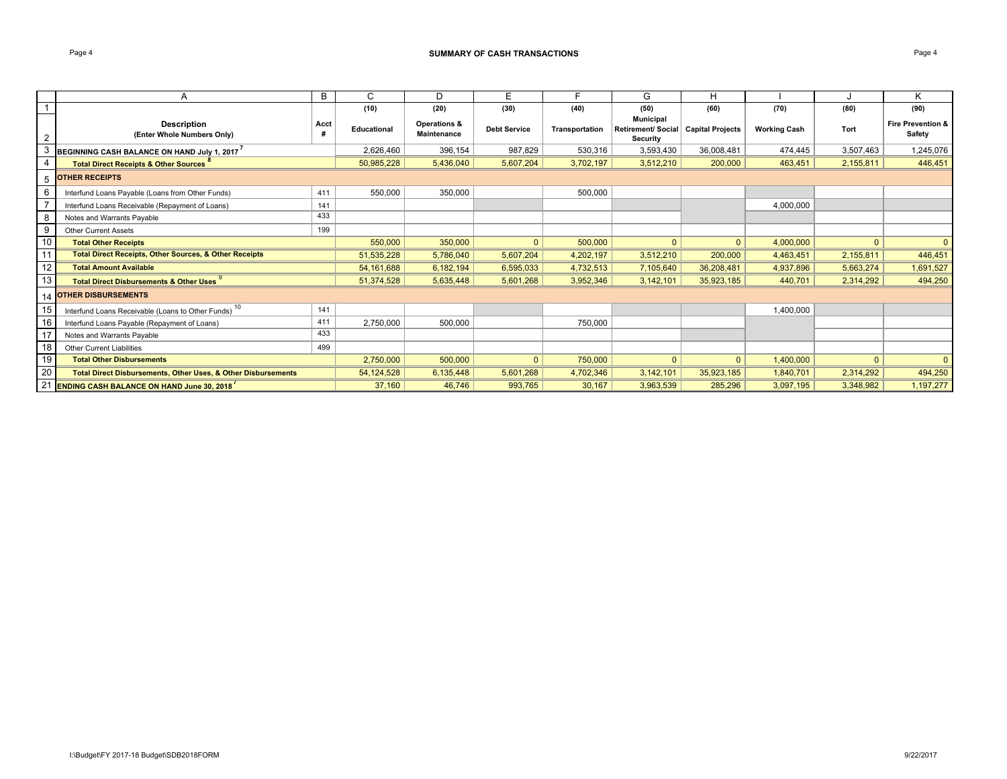### Page 4 **SUMMARY OF CASH TRANSACTIONS**

|                | A                                                                 | В    | C            | D                                             | Е                   |                | G                                                         | Н                       |                     |           | Κ                                      |
|----------------|-------------------------------------------------------------------|------|--------------|-----------------------------------------------|---------------------|----------------|-----------------------------------------------------------|-------------------------|---------------------|-----------|----------------------------------------|
|                |                                                                   |      | (10)         | (20)                                          | (30)                | (40)           | (50)                                                      | (60)                    | (70)                | (80)      | (90)                                   |
| $\overline{2}$ | <b>Description</b><br>(Enter Whole Numbers Only)                  | Acct | Educational  | <b>Operations &amp;</b><br><b>Maintenance</b> | <b>Debt Service</b> | Transportation | <b>Municipal</b><br>Retirement/ Social<br><b>Security</b> | <b>Capital Projects</b> | <b>Working Cash</b> | Tort      | <b>Fire Prevention &amp;</b><br>Safety |
| 3              | BEGINNING CASH BALANCE ON HAND July 1, 2017                       |      | 2,626,460    | 396,154                                       | 987,829             | 530,316        | 3,593,430                                                 | 36,008,481              | 474,445             | 3,507,463 | 1,245,076                              |
|                | <b>Total Direct Receipts &amp; Other Sources</b>                  |      | 50,985,228   | 5,436,040                                     | 5,607,204           | 3,702,197      | 3,512,210                                                 | 200,000                 | 463,451             | 2,155,811 | 446,451                                |
| 5              | <b>OTHER RECEIPTS</b>                                             |      |              |                                               |                     |                |                                                           |                         |                     |           |                                        |
| 6              | Interfund Loans Payable (Loans from Other Funds)                  | 411  | 550,000      | 350,000                                       |                     | 500,000        |                                                           |                         |                     |           |                                        |
| $\overline{7}$ | Interfund Loans Receivable (Repayment of Loans)                   | 141  |              |                                               |                     |                |                                                           |                         | 4,000,000           |           |                                        |
| 8              | Notes and Warrants Payable                                        | 433  |              |                                               |                     |                |                                                           |                         |                     |           |                                        |
| 9              | <b>Other Current Assets</b>                                       | 199  |              |                                               |                     |                |                                                           |                         |                     |           |                                        |
| $10$           | <b>Total Other Receipts</b>                                       |      | 550,000      | 350,000                                       | $\mathbf{0}$        | 500,000        | $\mathbf{0}$                                              | $\mathbf{0}$            | 4,000,000           | $\Omega$  | $\mathbf{0}$                           |
| 11             | <b>Total Direct Receipts, Other Sources, &amp; Other Receipts</b> |      | 51,535,228   | 5,786,040                                     | 5,607,204           | 4,202,197      | 3,512,210                                                 | 200,000                 | 4,463,451           | 2,155,811 | 446,451                                |
| 12             | <b>Total Amount Available</b>                                     |      | 54, 161, 688 | 6,182,194                                     | 6,595,033           | 4,732,513      | 7,105,640                                                 | 36,208,481              | 4,937,896           | 5,663,274 | 1,691,527                              |
| 13             | <b>Total Direct Disbursements &amp; Other Uses</b>                |      | 51,374,528   | 5,635,448                                     | 5,601,268           | 3,952,346      | 3,142,101                                                 | 35,923,185              | 440,701             | 2,314,292 | 494,250                                |
|                | 14 OTHER DISBURSEMENTS                                            |      |              |                                               |                     |                |                                                           |                         |                     |           |                                        |
| 15             | Interfund Loans Receivable (Loans to Other Funds) <sup>10</sup>   | 141  |              |                                               |                     |                |                                                           |                         | 1,400,000           |           |                                        |
| 16             | Interfund Loans Payable (Repayment of Loans)                      | 411  | 2,750,000    | 500,000                                       |                     | 750,000        |                                                           |                         |                     |           |                                        |
| 17             | Notes and Warrants Payable                                        | 433  |              |                                               |                     |                |                                                           |                         |                     |           |                                        |
| 18             | <b>Other Current Liabilities</b>                                  | 499  |              |                                               |                     |                |                                                           |                         |                     |           |                                        |
| 19             | <b>Total Other Disbursements</b>                                  |      | 2,750,000    | 500,000                                       | $\mathbf{0}$        | 750,000        | $\Omega$                                                  | $\mathbf{0}$            | 1,400,000           | $\Omega$  | $\Omega$                               |
| 20             | Total Direct Disbursements, Other Uses, & Other Disbursements     |      | 54, 124, 528 | 6,135,448                                     | 5,601,268           | 4,702,346      | 3, 142, 101                                               | 35,923,185              | 1,840,701           | 2,314,292 | 494,250                                |
| 21             | <b>ENDING CASH BALANCE ON HAND June 30, 2018</b>                  |      | 37,160       | 46,746                                        | 993,765             | 30,167         | 3,963,539                                                 | 285,296                 | 3,097,195           | 3,348,982 | 1,197,277                              |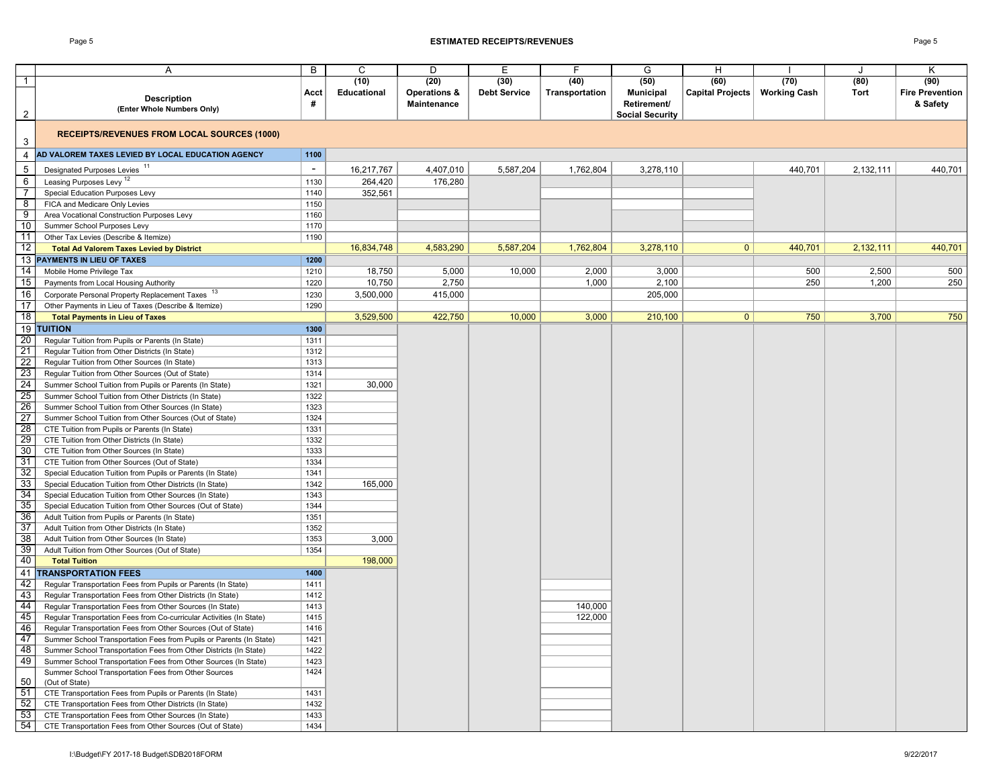### Page 5 **ESTIMATED RECEIPTS/REVENUES** Page 5

|                 | Α                                                                                                                    | B            | C           | D                  | Е                   | F              | G                      | H                       |                     |           | κ                      |
|-----------------|----------------------------------------------------------------------------------------------------------------------|--------------|-------------|--------------------|---------------------|----------------|------------------------|-------------------------|---------------------|-----------|------------------------|
| $\mathbf{1}$    |                                                                                                                      |              | (10)        | (20)               | (30)                | (40)           | (50)                   | (60)                    | (70)                | (80)      | (90)                   |
|                 | <b>Description</b>                                                                                                   | Acct         | Educational | Operations &       | <b>Debt Service</b> | Transportation | <b>Municipal</b>       | <b>Capital Projects</b> | <b>Working Cash</b> | Tort      | <b>Fire Prevention</b> |
|                 | (Enter Whole Numbers Only)                                                                                           | #            |             | <b>Maintenance</b> |                     |                | Retirement/            |                         |                     |           | & Safety               |
| $\overline{2}$  |                                                                                                                      |              |             |                    |                     |                | <b>Social Security</b> |                         |                     |           |                        |
| $\mathbf{3}$    | <b>RECEIPTS/REVENUES FROM LOCAL SOURCES (1000)</b>                                                                   |              |             |                    |                     |                |                        |                         |                     |           |                        |
| 4               | AD VALOREM TAXES LEVIED BY LOCAL EDUCATION AGENCY                                                                    | 1100         |             |                    |                     |                |                        |                         |                     |           |                        |
| $\sqrt{5}$      | Designated Purposes Levies <sup>11</sup>                                                                             | $\sim$       | 16,217,767  | 4,407,010          | 5,587,204           | 1,762,804      | 3,278,110              |                         | 440,701             | 2,132,111 | 440,701                |
| 6               | Leasing Purposes Levy <sup>12</sup>                                                                                  | 1130         | 264,420     | 176,280            |                     |                |                        |                         |                     |           |                        |
| 7               | Special Education Purposes Levy                                                                                      | 1140         | 352,561     |                    |                     |                |                        |                         |                     |           |                        |
| $^{\circ}$ 8    | FICA and Medicare Only Levies                                                                                        | 1150         |             |                    |                     |                |                        |                         |                     |           |                        |
| $\overline{9}$  | Area Vocational Construction Purposes Levy                                                                           | 1160         |             |                    |                     |                |                        |                         |                     |           |                        |
| 10              | Summer School Purposes Levy                                                                                          | 1170         |             |                    |                     |                |                        |                         |                     |           |                        |
| $\vert$ 11      | Other Tax Levies (Describe & Itemize)                                                                                | 1190         |             |                    |                     |                |                        |                         |                     |           |                        |
| 12              | <b>Total Ad Valorem Taxes Levied by District</b>                                                                     |              | 16,834,748  | 4,583,290          | 5,587,204           | 1,762,804      | 3,278,110              | $\mathbf{0}$            | 440,701             | 2,132,111 | 440,701                |
|                 | 13 PAYMENTS IN LIEU OF TAXES                                                                                         | 1200         |             |                    |                     |                |                        |                         |                     |           |                        |
| 14              | Mobile Home Privilege Tax                                                                                            | 1210         | 18,750      | 5,000              | 10,000              | 2,000          | 3,000                  |                         | 500                 | 2,500     | 500                    |
| 15              | Payments from Local Housing Authority                                                                                | 1220         | 10,750      | 2,750              |                     | 1,000          | 2,100                  |                         | 250                 | 1,200     | 250                    |
| 16              | Corporate Personal Property Replacement Taxes                                                                        | 1230         | 3,500,000   | 415,000            |                     |                | 205,000                |                         |                     |           |                        |
| 17              | Other Payments in Lieu of Taxes (Describe & Itemize)                                                                 | 1290         |             |                    |                     |                |                        |                         |                     |           |                        |
| 18              | <b>Total Payments in Lieu of Taxes</b>                                                                               |              | 3,529,500   | 422,750            | 10,000              | 3,000          | 210,100                | $\mathbf{0}$            | 750                 | 3,700     | 750                    |
| 19              | <b>TUITION</b>                                                                                                       | 1300         |             |                    |                     |                |                        |                         |                     |           |                        |
| 20              | Regular Tuition from Pupils or Parents (In State)                                                                    | 1311         |             |                    |                     |                |                        |                         |                     |           |                        |
| 21              | Regular Tuition from Other Districts (In State)                                                                      | 1312         |             |                    |                     |                |                        |                         |                     |           |                        |
| 22              | Regular Tuition from Other Sources (In State)                                                                        | 1313         |             |                    |                     |                |                        |                         |                     |           |                        |
|                 | Regular Tuition from Other Sources (Out of State)                                                                    | 1314         |             |                    |                     |                |                        |                         |                     |           |                        |
| $\frac{23}{24}$ | Summer School Tuition from Pupils or Parents (In State)                                                              | 1321         | 30,000      |                    |                     |                |                        |                         |                     |           |                        |
| 25              | Summer School Tuition from Other Districts (In State)                                                                | 1322         |             |                    |                     |                |                        |                         |                     |           |                        |
| 26              | Summer School Tuition from Other Sources (In State)                                                                  | 1323         |             |                    |                     |                |                        |                         |                     |           |                        |
| 27              | Summer School Tuition from Other Sources (Out of State)                                                              | 1324         |             |                    |                     |                |                        |                         |                     |           |                        |
| 28              | CTE Tuition from Pupils or Parents (In State)                                                                        | 1331         |             |                    |                     |                |                        |                         |                     |           |                        |
| 29              | CTE Tuition from Other Districts (In State)                                                                          | 1332         |             |                    |                     |                |                        |                         |                     |           |                        |
| 30              | CTE Tuition from Other Sources (In State)                                                                            | 1333         |             |                    |                     |                |                        |                         |                     |           |                        |
| 31              | CTE Tuition from Other Sources (Out of State)                                                                        | 1334         |             |                    |                     |                |                        |                         |                     |           |                        |
| 32              | Special Education Tuition from Pupils or Parents (In State)                                                          | 1341         |             |                    |                     |                |                        |                         |                     |           |                        |
| 33              | Special Education Tuition from Other Districts (In State)                                                            | 1342         | 165,000     |                    |                     |                |                        |                         |                     |           |                        |
| 34              | Special Education Tuition from Other Sources (In State)                                                              | 1343         |             |                    |                     |                |                        |                         |                     |           |                        |
| 35              | Special Education Tuition from Other Sources (Out of State)                                                          | 1344         |             |                    |                     |                |                        |                         |                     |           |                        |
| 36              | Adult Tuition from Pupils or Parents (In State)                                                                      | 1351         |             |                    |                     |                |                        |                         |                     |           |                        |
| 37              | Adult Tuition from Other Districts (In State)                                                                        | 1352         |             |                    |                     |                |                        |                         |                     |           |                        |
| 38              | Adult Tuition from Other Sources (In State)                                                                          | 1353         | 3,000       |                    |                     |                |                        |                         |                     |           |                        |
| 39              | Adult Tuition from Other Sources (Out of State)                                                                      | 1354         |             |                    |                     |                |                        |                         |                     |           |                        |
| 40              | <b>Total Tuition</b>                                                                                                 |              | 198,000     |                    |                     |                |                        |                         |                     |           |                        |
| 41              | <b>TRANSPORTATION FEES</b>                                                                                           | 1400         |             |                    |                     |                |                        |                         |                     |           |                        |
| 42              | Regular Transportation Fees from Pupils or Parents (In State)                                                        | 1411         |             |                    |                     |                |                        |                         |                     |           |                        |
| 43              | Regular Transportation Fees from Other Districts (In State)                                                          | 1412         |             |                    |                     |                |                        |                         |                     |           |                        |
| 44              | Regular Transportation Fees from Other Sources (In State)                                                            | 1413         |             |                    |                     | 140,000        |                        |                         |                     |           |                        |
| 45              | Regular Transportation Fees from Co-curricular Activities (In State)                                                 | 1415         |             |                    |                     | 122,000        |                        |                         |                     |           |                        |
| 46              | Regular Transportation Fees from Other Sources (Out of State)                                                        | 1416         |             |                    |                     |                |                        |                         |                     |           |                        |
| $\frac{1}{47}$  | Summer School Transportation Fees from Pupils or Parents (In State)                                                  | 1421         |             |                    |                     |                |                        |                         |                     |           |                        |
| 48              | Summer School Transportation Fees from Other Districts (In State)                                                    | 1422         |             |                    |                     |                |                        |                         |                     |           |                        |
| 49              | Summer School Transportation Fees from Other Sources (In State)                                                      | 1423         |             |                    |                     |                |                        |                         |                     |           |                        |
|                 | Summer School Transportation Fees from Other Sources                                                                 | 1424         |             |                    |                     |                |                        |                         |                     |           |                        |
| 50<br>51        | (Out of State)                                                                                                       |              |             |                    |                     |                |                        |                         |                     |           |                        |
| 52              | CTE Transportation Fees from Pupils or Parents (In State)<br>CTE Transportation Fees from Other Districts (In State) | 1431<br>1432 |             |                    |                     |                |                        |                         |                     |           |                        |
| 53              | CTE Transportation Fees from Other Sources (In State)                                                                | 1433         |             |                    |                     |                |                        |                         |                     |           |                        |
| 54              | CTE Transportation Fees from Other Sources (Out of State)                                                            | 1434         |             |                    |                     |                |                        |                         |                     |           |                        |
|                 |                                                                                                                      |              |             |                    |                     |                |                        |                         |                     |           |                        |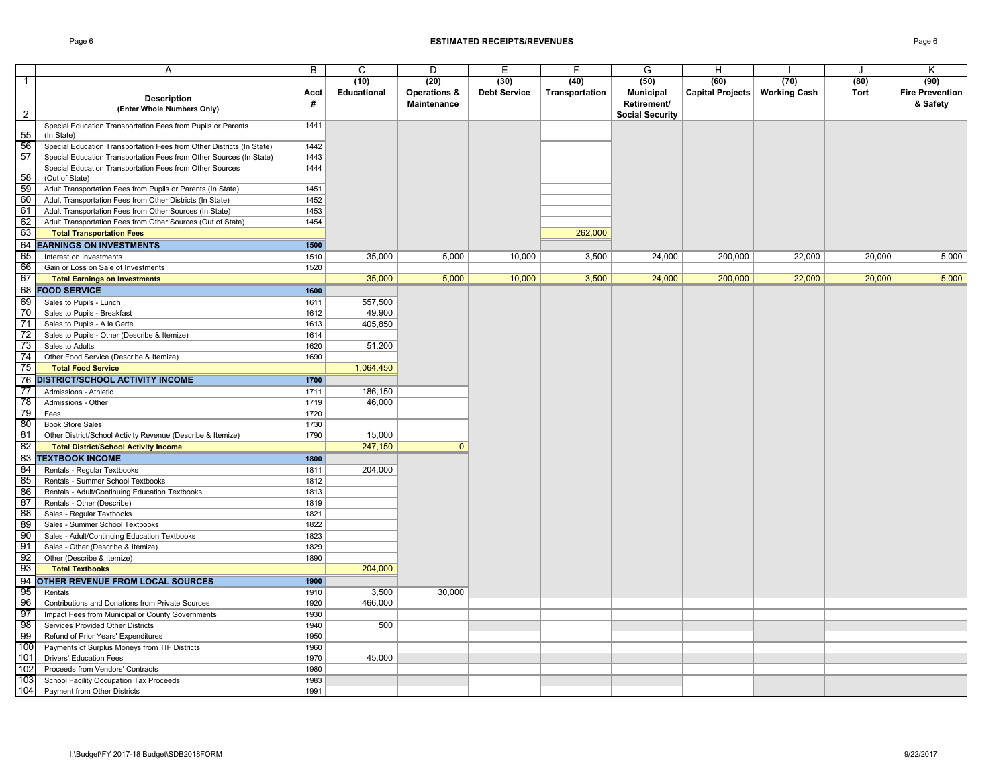### Page 6 **ESTIMATED RECEIPTS/REVENUES** Page 6

|                 | A                                                                     | B                 | C           | D                       | E                   | F              | G                      | H                               |        | $\cdot$ | K                      |
|-----------------|-----------------------------------------------------------------------|-------------------|-------------|-------------------------|---------------------|----------------|------------------------|---------------------------------|--------|---------|------------------------|
|                 |                                                                       |                   | (10)        |                         | (30)                | (40)           |                        | (60)                            | (70)   | (80)    | (90)                   |
| $\overline{1}$  |                                                                       |                   |             | (20)                    |                     |                | (50)                   |                                 |        |         |                        |
|                 | <b>Description</b>                                                    | Acct              | Educational | <b>Operations &amp;</b> | <b>Debt Service</b> | Transportation | <b>Municipal</b>       | Capital Projects   Working Cash |        | Tort    | <b>Fire Prevention</b> |
|                 | (Enter Whole Numbers Only)                                            | #                 |             | Maintenance             |                     |                | Retirement/            |                                 |        |         | & Safety               |
| $\overline{2}$  |                                                                       |                   |             |                         |                     |                | <b>Social Security</b> |                                 |        |         |                        |
|                 | Special Education Transportation Fees from Pupils or Parents          | 1441              |             |                         |                     |                |                        |                                 |        |         |                        |
| 55              | (In State)                                                            |                   |             |                         |                     |                |                        |                                 |        |         |                        |
| 56              | Special Education Transportation Fees from Other Districts (In State) | 1442              |             |                         |                     |                |                        |                                 |        |         |                        |
| 57              | Special Education Transportation Fees from Other Sources (In State)   | 1443              |             |                         |                     |                |                        |                                 |        |         |                        |
|                 | Special Education Transportation Fees from Other Sources              | 1444              |             |                         |                     |                |                        |                                 |        |         |                        |
| 58              | (Out of State)                                                        |                   |             |                         |                     |                |                        |                                 |        |         |                        |
| 59              | Adult Transportation Fees from Pupils or Parents (In State)           | 1451              |             |                         |                     |                |                        |                                 |        |         |                        |
| 60              | Adult Transportation Fees from Other Districts (In State)             | 1452              |             |                         |                     |                |                        |                                 |        |         |                        |
| 61              | Adult Transportation Fees from Other Sources (In State)               | 1453              |             |                         |                     |                |                        |                                 |        |         |                        |
| 62              | Adult Transportation Fees from Other Sources (Out of State)           | 1454              |             |                         |                     |                |                        |                                 |        |         |                        |
| 63              |                                                                       |                   |             |                         |                     | 262,000        |                        |                                 |        |         |                        |
|                 | <b>Total Transportation Fees</b>                                      |                   |             |                         |                     |                |                        |                                 |        |         |                        |
|                 | <b>64 EARNINGS ON INVESTMENTS</b>                                     | 1500              |             |                         |                     |                |                        |                                 |        |         |                        |
| 65              | Interest on Investments                                               | 1510              | 35,000      | 5,000                   | 10,000              | 3,500          | 24,000                 | 200,000                         | 22,000 | 20,000  | 5,000                  |
| 66              | Gain or Loss on Sale of Investments                                   | 1520              |             |                         |                     |                |                        |                                 |        |         |                        |
| 67              | <b>Total Earnings on Investments</b>                                  |                   | 35,000      | 5,000                   | 10,000              | 3,500          | 24,000                 | 200,000                         | 22,000 | 20,000  | 5,000                  |
|                 | 68 FOOD SERVICE                                                       | 1600              |             |                         |                     |                |                        |                                 |        |         |                        |
| 69              | Sales to Pupils - Lunch                                               | 1611              | 557,500     |                         |                     |                |                        |                                 |        |         |                        |
| 70              | Sales to Pupils - Breakfast                                           | 1612              | 49,900      |                         |                     |                |                        |                                 |        |         |                        |
| 71              | Sales to Pupils - A la Carte                                          | 1613              | 405,850     |                         |                     |                |                        |                                 |        |         |                        |
| 72              | Sales to Pupils - Other (Describe & Itemize)                          | 1614              |             |                         |                     |                |                        |                                 |        |         |                        |
| 73              |                                                                       | 1620              | 51,200      |                         |                     |                |                        |                                 |        |         |                        |
|                 | Sales to Adults                                                       |                   |             |                         |                     |                |                        |                                 |        |         |                        |
| 74              | Other Food Service (Describe & Itemize)                               | 1690              |             |                         |                     |                |                        |                                 |        |         |                        |
| 75              | <b>Total Food Service</b>                                             |                   | 1,064,450   |                         |                     |                |                        |                                 |        |         |                        |
|                 | <b>76 DISTRICT/SCHOOL ACTIVITY INCOME</b>                             | 1700              |             |                         |                     |                |                        |                                 |        |         |                        |
| $\overline{77}$ | Admissions - Athletic                                                 | 1711              | 186,150     |                         |                     |                |                        |                                 |        |         |                        |
| 78              | Admissions - Other                                                    | $\frac{1}{17}$ 19 | 46,000      |                         |                     |                |                        |                                 |        |         |                        |
| 79              | Fees                                                                  | 1720              |             |                         |                     |                |                        |                                 |        |         |                        |
| 80              | <b>Book Store Sales</b>                                               | 1730              |             |                         |                     |                |                        |                                 |        |         |                        |
| 81              | Other District/School Activity Revenue (Describe & Itemize)           | 1790              | 15,000      |                         |                     |                |                        |                                 |        |         |                        |
| 82              | <b>Total District/School Activity Income</b>                          |                   | 247,150     | $\mathbf{0}$            |                     |                |                        |                                 |        |         |                        |
| 83              | <b>TEXTBOOK INCOME</b>                                                | 1800              |             |                         |                     |                |                        |                                 |        |         |                        |
| 84              | Rentals - Regular Textbooks                                           | 1811              | 204,000     |                         |                     |                |                        |                                 |        |         |                        |
| 85              | Rentals - Summer School Textbooks                                     | 1812              |             |                         |                     |                |                        |                                 |        |         |                        |
|                 |                                                                       |                   |             |                         |                     |                |                        |                                 |        |         |                        |
| 86              | Rentals - Adult/Continuing Education Textbooks                        | 1813              |             |                         |                     |                |                        |                                 |        |         |                        |
| 87              | Rentals - Other (Describe)                                            | 1819              |             |                         |                     |                |                        |                                 |        |         |                        |
| 88              | Sales - Regular Textbooks                                             | 1821              |             |                         |                     |                |                        |                                 |        |         |                        |
| 89              | Sales - Summer School Textbooks                                       | 1822              |             |                         |                     |                |                        |                                 |        |         |                        |
| 90              | Sales - Adult/Continuing Education Textbooks                          | 1823              |             |                         |                     |                |                        |                                 |        |         |                        |
| 91              | Sales - Other (Describe & Itemize)                                    | 1829              |             |                         |                     |                |                        |                                 |        |         |                        |
| 92              | Other (Describe & Itemize)                                            | 1890              |             |                         |                     |                |                        |                                 |        |         |                        |
| 93              | <b>Total Textbooks</b>                                                |                   | 204,000     |                         |                     |                |                        |                                 |        |         |                        |
|                 | 94 OTHER REVENUE FROM LOCAL SOURCES                                   | 1900              |             |                         |                     |                |                        |                                 |        |         |                        |
| 95              | Rentals                                                               | 1910              | 3,500       | 30,000                  |                     |                |                        |                                 |        |         |                        |
| 96              | Contributions and Donations from Private Sources                      | 1920              | 466,000     |                         |                     |                |                        |                                 |        |         |                        |
| 97              | Impact Fees from Municipal or County Governments                      | 1930              |             |                         |                     |                |                        |                                 |        |         |                        |
| 98              | <b>Services Provided Other Districts</b>                              | 1940              | 500         |                         |                     |                |                        |                                 |        |         |                        |
| -99             | Refund of Prior Years' Expenditures                                   | 1950              |             |                         |                     |                |                        |                                 |        |         |                        |
|                 |                                                                       |                   |             |                         |                     |                |                        |                                 |        |         |                        |
| 100             | Payments of Surplus Moneys from TIF Districts                         | 1960              |             |                         |                     |                |                        |                                 |        |         |                        |
| 101             | <b>Drivers' Education Fees</b>                                        | 1970              | 45,000      |                         |                     |                |                        |                                 |        |         |                        |
| 102             | Proceeds from Vendors' Contracts                                      | 1980              |             |                         |                     |                |                        |                                 |        |         |                        |
| 103             | School Facility Occupation Tax Proceeds                               | 1983              |             |                         |                     |                |                        |                                 |        |         |                        |
| 104             | Payment from Other Districts                                          | 1991              |             |                         |                     |                |                        |                                 |        |         |                        |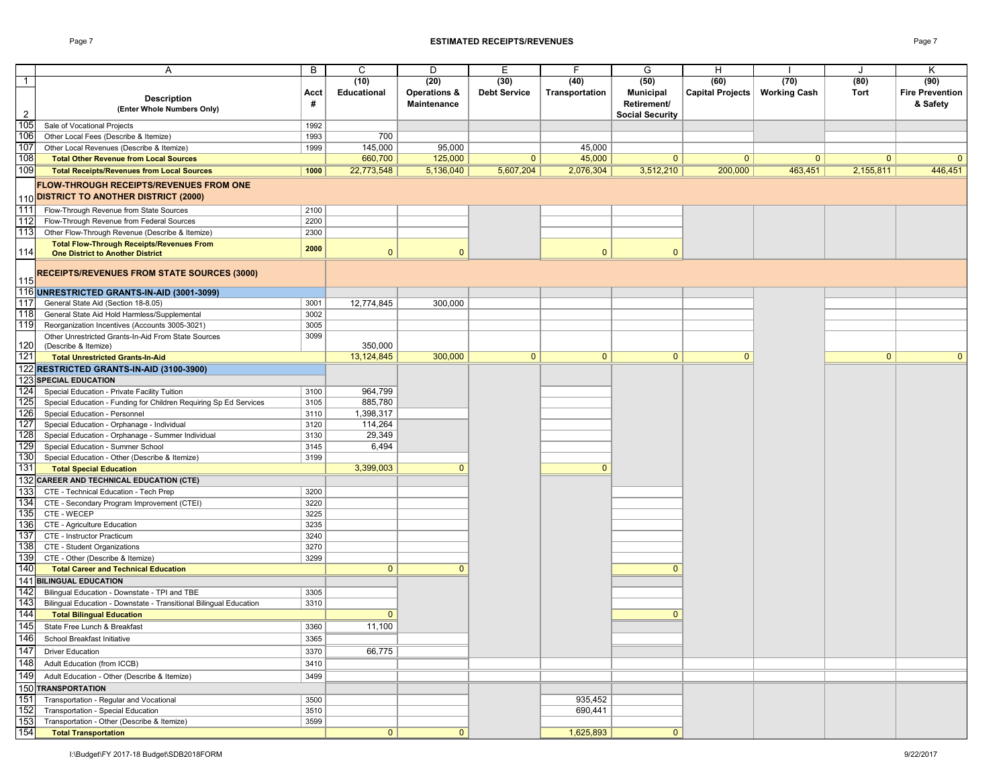### Page 7 **ESTIMATED RECEIPTS/REVENUES** Page 7

|                | Α                                                                    | B    | C                  | D            | Е                   | F              | G                      | H                               |              | J            | K                      |
|----------------|----------------------------------------------------------------------|------|--------------------|--------------|---------------------|----------------|------------------------|---------------------------------|--------------|--------------|------------------------|
| $\overline{1}$ |                                                                      |      | (10)               | (20)         | (30)                | (40)           | (50)                   | (60)                            | (70)         | (80)         | (90)                   |
|                |                                                                      |      |                    |              |                     |                |                        |                                 |              | Tort         |                        |
|                | <b>Description</b>                                                   | Acct | <b>Educational</b> | Operations & | <b>Debt Service</b> | Transportation | <b>Municipal</b>       | Capital Projects   Working Cash |              |              | <b>Fire Prevention</b> |
|                | (Enter Whole Numbers Only)                                           | #    |                    | Maintenance  |                     |                | Retirement/            |                                 |              |              | & Safety               |
| $\overline{2}$ |                                                                      |      |                    |              |                     |                | <b>Social Security</b> |                                 |              |              |                        |
| 105            | Sale of Vocational Projects<br>Other Local Fees (Describe & Itemize) | 1992 |                    |              |                     |                |                        |                                 |              |              |                        |
| 106            |                                                                      | 1993 | 700                |              |                     |                |                        |                                 |              |              |                        |
| 107            | Other Local Revenues (Describe & Itemize)                            | 1999 | 145,000            | 95,000       |                     | 45,000         |                        |                                 |              |              |                        |
| 108            | <b>Total Other Revenue from Local Sources</b>                        |      | 660,700            | 125,000      | $\mathbf{0}$        | 45,000         | $\mathbf{0}$           | $\mathbf{0}$                    | $\mathbf{0}$ | $\mathbf{0}$ |                        |
| 109            | <b>Total Receipts/Revenues from Local Sources</b>                    | 1000 | 22,773,548         | 5,136,040    | 5,607,204           | 2,076,304      | 3,512,210              | 200,000                         | 463,451      | 2,155,811    | 446,451                |
|                | <b>FLOW-THROUGH RECEIPTS/REVENUES FROM ONE</b>                       |      |                    |              |                     |                |                        |                                 |              |              |                        |
|                | 110 DISTRICT TO ANOTHER DISTRICT (2000)                              |      |                    |              |                     |                |                        |                                 |              |              |                        |
| 111            | Flow-Through Revenue from State Sources                              | 2100 |                    |              |                     |                |                        |                                 |              |              |                        |
| 112            | Flow-Through Revenue from Federal Sources                            | 2200 |                    |              |                     |                |                        |                                 |              |              |                        |
| 113            | Other Flow-Through Revenue (Describe & Itemize)                      | 2300 |                    |              |                     |                |                        |                                 |              |              |                        |
|                | <b>Total Flow-Through Receipts/Revenues From</b>                     |      |                    |              |                     |                |                        |                                 |              |              |                        |
| 114            | <b>One District to Another District</b>                              | 2000 | $\mathbf{0}$       | $\Omega$     |                     | $\mathbf{0}$   | $\mathbf{0}$           |                                 |              |              |                        |
|                |                                                                      |      |                    |              |                     |                |                        |                                 |              |              |                        |
|                | <b>RECEIPTS/REVENUES FROM STATE SOURCES (3000)</b>                   |      |                    |              |                     |                |                        |                                 |              |              |                        |
| 115            |                                                                      |      |                    |              |                     |                |                        |                                 |              |              |                        |
|                | 116 UNRESTRICTED GRANTS-IN-AID (3001-3099)                           |      |                    |              |                     |                |                        |                                 |              |              |                        |
| 117            | General State Aid (Section 18-8.05)                                  | 3001 | 12,774,845         | 300,000      |                     |                |                        |                                 |              |              |                        |
| 118            | General State Aid Hold Harmless/Supplemental                         | 3002 |                    |              |                     |                |                        |                                 |              |              |                        |
| 119            | Reorganization Incentives (Accounts 3005-3021)                       | 3005 |                    |              |                     |                |                        |                                 |              |              |                        |
|                | Other Unrestricted Grants-In-Aid From State Sources                  | 3099 |                    |              |                     |                |                        |                                 |              |              |                        |
| 120            | (Describe & Itemize)                                                 |      | 350,000            |              |                     |                |                        |                                 |              |              |                        |
| $121$          | <b>Total Unrestricted Grants-In-Aid</b>                              |      | 13, 124, 845       | 300,000      | $\mathbf{0}$        | $\mathbf{0}$   | $\mathbf{0}$           | $\Omega$                        |              | $\mathbf{0}$ | $\Omega$               |
|                | 122 RESTRICTED GRANTS-IN-AID (3100-3900)                             |      |                    |              |                     |                |                        |                                 |              |              |                        |
|                | <b>123 SPECIAL EDUCATION</b>                                         |      |                    |              |                     |                |                        |                                 |              |              |                        |
| 124            | Special Education - Private Facility Tuition                         | 3100 | 964,799            |              |                     |                |                        |                                 |              |              |                        |
| 125            | Special Education - Funding for Children Requiring Sp Ed Services    | 3105 | 885,780            |              |                     |                |                        |                                 |              |              |                        |
| 126            | Special Education - Personnel                                        | 3110 | 1,398,317          |              |                     |                |                        |                                 |              |              |                        |
| 127            | Special Education - Orphanage - Individual                           | 3120 | 114,264            |              |                     |                |                        |                                 |              |              |                        |
| 128            | Special Education - Orphanage - Summer Individual                    | 3130 | 29,349             |              |                     |                |                        |                                 |              |              |                        |
| 129            | Special Education - Summer School                                    | 3145 | 6,494              |              |                     |                |                        |                                 |              |              |                        |
| 130            | Special Education - Other (Describe & Itemize)                       | 3199 |                    |              |                     |                |                        |                                 |              |              |                        |
| 131            | <b>Total Special Education</b>                                       |      | 3,399,003          | $\Omega$     |                     | $\mathbf{0}$   |                        |                                 |              |              |                        |
|                | 132 CAREER AND TECHNICAL EDUCATION (CTE)                             |      |                    |              |                     |                |                        |                                 |              |              |                        |
| 133            | CTE - Technical Education - Tech Prep                                | 3200 |                    |              |                     |                |                        |                                 |              |              |                        |
| 134            | CTE - Secondary Program Improvement (CTEI)                           | 3220 |                    |              |                     |                |                        |                                 |              |              |                        |
| 135            | CTE - WECEP                                                          | 3225 |                    |              |                     |                |                        |                                 |              |              |                        |
| 136            | CTE - Agriculture Education                                          | 3235 |                    |              |                     |                |                        |                                 |              |              |                        |
| 137            | CTE - Instructor Practicum                                           | 3240 |                    |              |                     |                |                        |                                 |              |              |                        |
| 138            | CTE - Student Organizations                                          | 3270 |                    |              |                     |                |                        |                                 |              |              |                        |
| 139            | CTE - Other (Describe & Itemize)                                     | 3299 |                    |              |                     |                |                        |                                 |              |              |                        |
| 140            | <b>Total Career and Technical Education</b>                          |      | $\mathbf{0}$       | $\mathbf{0}$ |                     |                | $\mathbf{0}$           |                                 |              |              |                        |
|                | <b>141 BILINGUAL EDUCATION</b>                                       |      |                    |              |                     |                |                        |                                 |              |              |                        |
| 142            | Bilingual Education - Downstate - TPI and TBE                        | 3305 |                    |              |                     |                |                        |                                 |              |              |                        |
| 143            | Bilingual Education - Downstate - Transitional Bilingual Education   | 3310 |                    |              |                     |                |                        |                                 |              |              |                        |
| 144            | <b>Total Bilingual Education</b>                                     |      | $\mathbf{0}$       |              |                     |                | $\mathbf{0}$           |                                 |              |              |                        |
| 145            | State Free Lunch & Breakfast                                         | 3360 | 11,100             |              |                     |                |                        |                                 |              |              |                        |
| 146            | School Breakfast Initiative                                          | 3365 |                    |              |                     |                |                        |                                 |              |              |                        |
|                |                                                                      |      |                    |              |                     |                |                        |                                 |              |              |                        |
| 147            | <b>Driver Education</b>                                              | 3370 | 66,775             |              |                     |                |                        |                                 |              |              |                        |
| 148            | Adult Education (from ICCB)                                          | 3410 |                    |              |                     |                |                        |                                 |              |              |                        |
| 149            | Adult Education - Other (Describe & Itemize)                         | 3499 |                    |              |                     |                |                        |                                 |              |              |                        |
|                | 150 TRANSPORTATION                                                   |      |                    |              |                     |                |                        |                                 |              |              |                        |
| 151            | Transportation - Regular and Vocational                              | 3500 |                    |              |                     | 935,452        |                        |                                 |              |              |                        |
| 152            | Transportation - Special Education                                   | 3510 |                    |              |                     | 690,441        |                        |                                 |              |              |                        |
| 153            | Transportation - Other (Describe & Itemize)                          | 3599 |                    |              |                     |                |                        |                                 |              |              |                        |
| 154            | <b>Total Transportation</b>                                          |      | 0                  | $\mathbf{0}$ |                     | 1,625,893      | $\mathbf{0}$           |                                 |              |              |                        |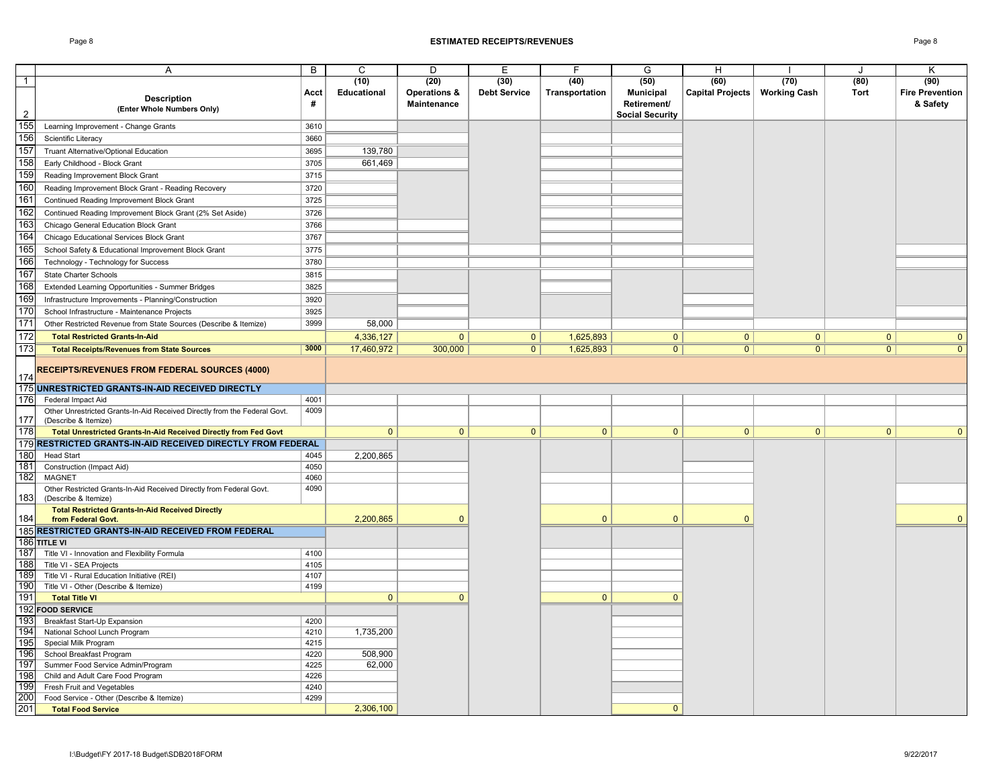### Page 8 **ESTIMATED RECEIPTS/REVENUES** Page 8

|                | A                                                                                                 | B            | $\mathsf{C}$ | D            | E                   | F              | G                      | H                               |              | J.             | K                      |
|----------------|---------------------------------------------------------------------------------------------------|--------------|--------------|--------------|---------------------|----------------|------------------------|---------------------------------|--------------|----------------|------------------------|
| $\overline{1}$ |                                                                                                   |              | (10)         | (20)         | (30)                | (40)           | (50)                   | (60)                            | (70)         | (80)           | (90)                   |
|                |                                                                                                   | Acct         | Educational  | Operations & | <b>Debt Service</b> | Transportation | <b>Municipal</b>       | Capital Projects   Working Cash |              | Tort           | <b>Fire Prevention</b> |
|                | <b>Description</b>                                                                                | #            |              | Maintenance  |                     |                | Retirement/            |                                 |              |                | & Safety               |
| $\overline{2}$ | (Enter Whole Numbers Only)                                                                        |              |              |              |                     |                | <b>Social Security</b> |                                 |              |                |                        |
| 155            | Learning Improvement - Change Grants                                                              | 3610         |              |              |                     |                |                        |                                 |              |                |                        |
| 156            | Scientific Literacy                                                                               | 3660         |              |              |                     |                |                        |                                 |              |                |                        |
| 157            | Truant Alternative/Optional Education                                                             | 3695         | 139,780      |              |                     |                |                        |                                 |              |                |                        |
| 158            | Early Childhood - Block Grant                                                                     | 3705         | 661,469      |              |                     |                |                        |                                 |              |                |                        |
| 159            |                                                                                                   | 3715         |              |              |                     |                |                        |                                 |              |                |                        |
|                | Reading Improvement Block Grant                                                                   |              |              |              |                     |                |                        |                                 |              |                |                        |
| 160            | Reading Improvement Block Grant - Reading Recovery                                                | 3720         |              |              |                     |                |                        |                                 |              |                |                        |
| 161            | Continued Reading Improvement Block Grant                                                         | 3725         |              |              |                     |                |                        |                                 |              |                |                        |
| 162            | Continued Reading Improvement Block Grant (2% Set Aside)                                          | 3726         |              |              |                     |                |                        |                                 |              |                |                        |
| 163            | Chicago General Education Block Grant                                                             | 3766         |              |              |                     |                |                        |                                 |              |                |                        |
| 164            | Chicago Educational Services Block Grant                                                          | 3767         |              |              |                     |                |                        |                                 |              |                |                        |
| 165            | School Safety & Educational Improvement Block Grant                                               | 3775         |              |              |                     |                |                        |                                 |              |                |                        |
| 166            | Technology - Technology for Success                                                               | 3780         |              |              |                     |                |                        |                                 |              |                |                        |
| 167            | State Charter Schools                                                                             | 3815         |              |              |                     |                |                        |                                 |              |                |                        |
| 168            | Extended Learning Opportunities - Summer Bridges                                                  | 3825         |              |              |                     |                |                        |                                 |              |                |                        |
| 169            | Infrastructure Improvements - Planning/Construction                                               | 3920         |              |              |                     |                |                        |                                 |              |                |                        |
| 170            |                                                                                                   |              |              |              |                     |                |                        |                                 |              |                |                        |
|                | School Infrastructure - Maintenance Projects                                                      | 3925         |              |              |                     |                |                        |                                 |              |                |                        |
| 171            | Other Restricted Revenue from State Sources (Describe & Itemize)                                  | 3999         | 58,000       |              |                     |                |                        |                                 |              |                |                        |
| 172            | <b>Total Restricted Grants-In-Aid</b>                                                             |              | 4,336,127    | $\mathbf{0}$ | $\overline{0}$      | 1,625,893      | $\overline{0}$         | $\overline{0}$                  | 0            | 0 <sup>1</sup> | $\mathbf{0}$           |
| 173            | <b>Total Receipts/Revenues from State Sources</b>                                                 | 3000         | 17,460,972   | 300,000      | 0 <sup>1</sup>      | 1,625,893      | 0 <sup>1</sup>         | 0                               | 0            | 0              | $\mathbf{0}$           |
|                |                                                                                                   |              |              |              |                     |                |                        |                                 |              |                |                        |
|                | <b>RECEIPTS/REVENUES FROM FEDERAL SOURCES (4000)</b>                                              |              |              |              |                     |                |                        |                                 |              |                |                        |
| 174            |                                                                                                   |              |              |              |                     |                |                        |                                 |              |                |                        |
|                | 175 UNRESTRICTED GRANTS-IN-AID RECEIVED DIRECTLY                                                  |              |              |              |                     |                |                        |                                 |              |                |                        |
| 176            | Federal Impact Aid                                                                                | 4001         |              |              |                     |                |                        |                                 |              |                |                        |
| 177            | Other Unrestricted Grants-In-Aid Received Directly from the Federal Govt.<br>(Describe & Itemize) | 4009         |              |              |                     |                |                        |                                 |              |                |                        |
| 178            | Total Unrestricted Grants-In-Aid Received Directly from Fed Govt                                  |              | $\mathbf{0}$ | $\mathbf{0}$ | $\overline{0}$      | $\mathbf{0}$   | $\overline{0}$         | $\mathbf{0}$                    | $\mathbf{0}$ | $\mathbf{0}$   | $\mathbf{0}$           |
|                | 179 RESTRICTED GRANTS-IN-AID RECEIVED DIRECTLY FROM FEDERAL                                       |              |              |              |                     |                |                        |                                 |              |                |                        |
| 180            |                                                                                                   |              |              |              |                     |                |                        |                                 |              |                |                        |
| 181            | <b>Head Start</b><br>Construction (Impact Aid)                                                    | 4045<br>4050 | 2,200,865    |              |                     |                |                        |                                 |              |                |                        |
| 182            | <b>MAGNET</b>                                                                                     | 4060         |              |              |                     |                |                        |                                 |              |                |                        |
|                | Other Restricted Grants-In-Aid Received Directly from Federal Govt.                               | 4090         |              |              |                     |                |                        |                                 |              |                |                        |
| 183            | (Describe & Itemize)                                                                              |              |              |              |                     |                |                        |                                 |              |                |                        |
|                | <b>Total Restricted Grants-In-Aid Received Directly</b>                                           |              |              |              |                     |                |                        |                                 |              |                |                        |
| 184            | from Federal Govt.                                                                                |              | 2,200,865    | $\Omega$     |                     | $\mathbf{0}$   | $\Omega$               | $\mathbf{0}$                    |              |                | $\mathbf{0}$           |
|                | 185 RESTRICTED GRANTS-IN-AID RECEIVED FROM FEDERAL                                                |              |              |              |                     |                |                        |                                 |              |                |                        |
|                | 186 TITLE VI                                                                                      |              |              |              |                     |                |                        |                                 |              |                |                        |
| 187            | Title VI - Innovation and Flexibility Formula                                                     | 4100         |              |              |                     |                |                        |                                 |              |                |                        |
| 188            | Title VI - SEA Projects                                                                           | 4105         |              |              |                     |                |                        |                                 |              |                |                        |
| 189            | Title VI - Rural Education Initiative (REI)                                                       | 4107         |              |              |                     |                |                        |                                 |              |                |                        |
| 190            | Title VI - Other (Describe & Itemize)                                                             | 4199         |              |              |                     |                |                        |                                 |              |                |                        |
| 191            | <b>Total Title VI</b>                                                                             |              | $\mathbf{0}$ | $\mathbf{0}$ |                     | $\mathbf{0}$   | $\mathbf{0}$           |                                 |              |                |                        |
|                | 192 FOOD SERVICE                                                                                  |              |              |              |                     |                |                        |                                 |              |                |                        |
| 193            | <b>Breakfast Start-Up Expansion</b>                                                               | 4200         |              |              |                     |                |                        |                                 |              |                |                        |
| 194            | National School Lunch Program                                                                     | 4210         | 1,735,200    |              |                     |                |                        |                                 |              |                |                        |
| 195            | Special Milk Program                                                                              | 4215         |              |              |                     |                |                        |                                 |              |                |                        |
| 196            | School Breakfast Program                                                                          | 4220         | 508,900      |              |                     |                |                        |                                 |              |                |                        |
| 197            | Summer Food Service Admin/Program                                                                 | 4225         | 62,000       |              |                     |                |                        |                                 |              |                |                        |
| 198            | Child and Adult Care Food Program                                                                 | 4226         |              |              |                     |                |                        |                                 |              |                |                        |
| 199            | Fresh Fruit and Vegetables                                                                        | 4240         |              |              |                     |                |                        |                                 |              |                |                        |
| 200            | Food Service - Other (Describe & Itemize)                                                         | 4299         |              |              |                     |                |                        |                                 |              |                |                        |
| 201            | <b>Total Food Service</b>                                                                         |              | 2,306,100    |              |                     |                | $\Omega$               |                                 |              |                |                        |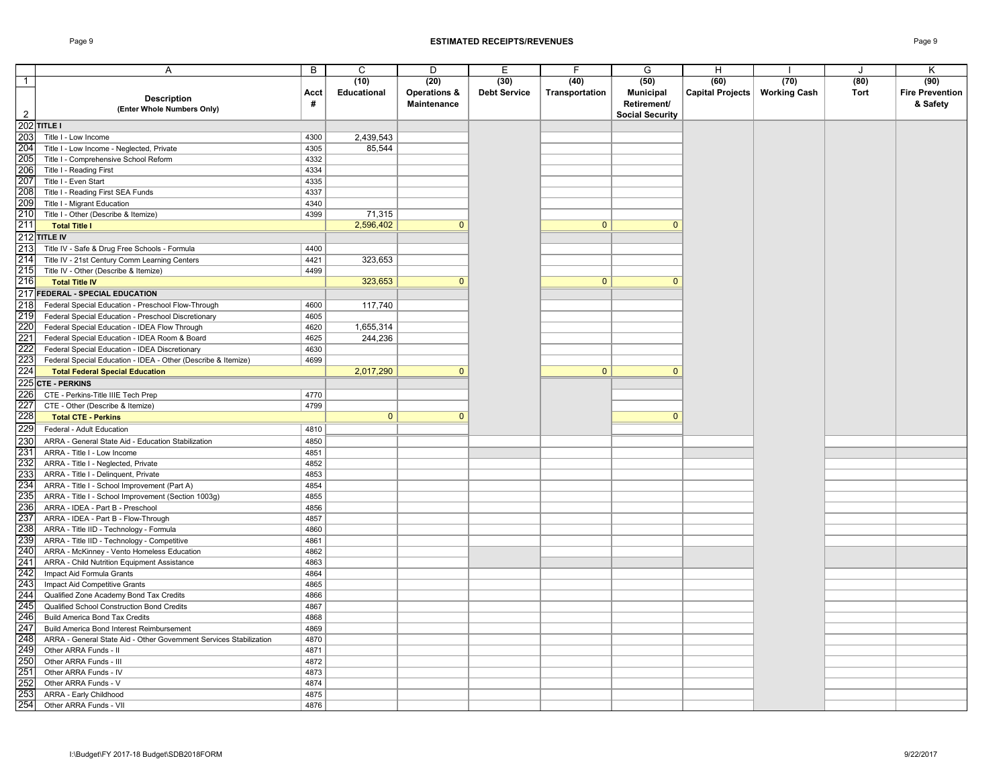### Page 9 **ESTIMATED RECEIPTS/REVENUES** Page 9

|                   | Α                                                                  | B    | C            | D            | E                   | F              | G                      | H                       |                     | $\cdot$ | K                      |
|-------------------|--------------------------------------------------------------------|------|--------------|--------------|---------------------|----------------|------------------------|-------------------------|---------------------|---------|------------------------|
| $\overline{1}$    |                                                                    |      | (10)         | (20)         | (30)                | (40)           | (50)                   | (60)                    | (70)                | (80)    | (90)                   |
|                   |                                                                    | Acct | Educational  | Operations & | <b>Debt Service</b> | Transportation | <b>Municipal</b>       | <b>Capital Projects</b> | <b>Working Cash</b> | Tort    | <b>Fire Prevention</b> |
|                   | <b>Description</b>                                                 | #    |              | Maintenance  |                     |                | Retirement/            |                         |                     |         | & Safety               |
| $\overline{2}$    | (Enter Whole Numbers Only)                                         |      |              |              |                     |                | <b>Social Security</b> |                         |                     |         |                        |
|                   | $202$ TITLE I                                                      |      |              |              |                     |                |                        |                         |                     |         |                        |
| 203               | Title I - Low Income                                               | 4300 | 2,439,543    |              |                     |                |                        |                         |                     |         |                        |
| 204               |                                                                    |      |              |              |                     |                |                        |                         |                     |         |                        |
|                   | Title I - Low Income - Neglected, Private                          | 4305 | 85,544       |              |                     |                |                        |                         |                     |         |                        |
| 205               | Title I - Comprehensive School Reform                              | 4332 |              |              |                     |                |                        |                         |                     |         |                        |
| 206               | Title I - Reading First                                            | 4334 |              |              |                     |                |                        |                         |                     |         |                        |
| 207               | Title I - Even Start                                               | 4335 |              |              |                     |                |                        |                         |                     |         |                        |
| 208               | Title I - Reading First SEA Funds                                  | 4337 |              |              |                     |                |                        |                         |                     |         |                        |
| 209               | Title I - Migrant Education                                        | 4340 |              |              |                     |                |                        |                         |                     |         |                        |
| 210               | Title I - Other (Describe & Itemize)                               | 4399 | 71,315       |              |                     |                |                        |                         |                     |         |                        |
| 211               | <b>Total Title I</b>                                               |      | 2,596,402    | $\mathbf{0}$ |                     | $\mathbf{0}$   | $\mathbf{0}$           |                         |                     |         |                        |
|                   | 212 TITLE IV                                                       |      |              |              |                     |                |                        |                         |                     |         |                        |
| 213               | Title IV - Safe & Drug Free Schools - Formula                      | 4400 |              |              |                     |                |                        |                         |                     |         |                        |
| 214               | Title IV - 21st Century Comm Learning Centers                      | 4421 | 323,653      |              |                     |                |                        |                         |                     |         |                        |
| 215               | Title IV - Other (Describe & Itemize)                              | 4499 |              |              |                     |                |                        |                         |                     |         |                        |
| 216               | <b>Total Title IV</b>                                              |      | 323,653      | $\Omega$     |                     | $\mathbf{0}$   | $\Omega$               |                         |                     |         |                        |
|                   | 217 FEDERAL - SPECIAL EDUCATION                                    |      |              |              |                     |                |                        |                         |                     |         |                        |
| 218               |                                                                    |      |              |              |                     |                |                        |                         |                     |         |                        |
|                   | Federal Special Education - Preschool Flow-Through                 | 4600 | 117,740      |              |                     |                |                        |                         |                     |         |                        |
| 219               | Federal Special Education - Preschool Discretionary                | 4605 |              |              |                     |                |                        |                         |                     |         |                        |
| 220               | Federal Special Education - IDEA Flow Through                      | 4620 | 1,655,314    |              |                     |                |                        |                         |                     |         |                        |
|                   | Federal Special Education - IDEA Room & Board                      | 4625 | 244,236      |              |                     |                |                        |                         |                     |         |                        |
| 221<br>222<br>223 | Federal Special Education - IDEA Discretionary                     | 4630 |              |              |                     |                |                        |                         |                     |         |                        |
|                   | Federal Special Education - IDEA - Other (Describe & Itemize)      | 4699 |              |              |                     |                |                        |                         |                     |         |                        |
| 224               | <b>Total Federal Special Education</b>                             |      | 2,017,290    | $\mathbf{0}$ |                     | $\mathbf{0}$   | $\Omega$               |                         |                     |         |                        |
|                   | 225 CTE - PERKINS                                                  |      |              |              |                     |                |                        |                         |                     |         |                        |
| 226               | CTE - Perkins-Title IIIE Tech Prep                                 | 4770 |              |              |                     |                |                        |                         |                     |         |                        |
| 227               | CTE - Other (Describe & Itemize)                                   | 4799 |              |              |                     |                |                        |                         |                     |         |                        |
| 228               | <b>Total CTE - Perkins</b>                                         |      | $\mathbf{0}$ | $\Omega$     |                     |                | $\Omega$               |                         |                     |         |                        |
| 229               | Federal - Adult Education                                          | 4810 |              |              |                     |                |                        |                         |                     |         |                        |
|                   | ARRA - General State Aid - Education Stabilization                 | 4850 |              |              |                     |                |                        |                         |                     |         |                        |
| 230<br>231        |                                                                    |      |              |              |                     |                |                        |                         |                     |         |                        |
|                   | ARRA - Title I - Low Income                                        | 4851 |              |              |                     |                |                        |                         |                     |         |                        |
| 232<br>233        | ARRA - Title I - Neglected, Private                                | 4852 |              |              |                     |                |                        |                         |                     |         |                        |
|                   | ARRA - Title I - Delinquent, Private                               | 4853 |              |              |                     |                |                        |                         |                     |         |                        |
| 234               | ARRA - Title I - School Improvement (Part A)                       | 4854 |              |              |                     |                |                        |                         |                     |         |                        |
| 235               | ARRA - Title I - School Improvement (Section 1003g)                | 4855 |              |              |                     |                |                        |                         |                     |         |                        |
| 236               | ARRA - IDEA - Part B - Preschool                                   | 4856 |              |              |                     |                |                        |                         |                     |         |                        |
| 237               | ARRA - IDEA - Part B - Flow-Through                                | 4857 |              |              |                     |                |                        |                         |                     |         |                        |
| 238               | ARRA - Title IID - Technology - Formula                            | 4860 |              |              |                     |                |                        |                         |                     |         |                        |
| 239<br>240        | ARRA - Title IID - Technology - Competitive                        | 4861 |              |              |                     |                |                        |                         |                     |         |                        |
|                   | ARRA - McKinney - Vento Homeless Education                         | 4862 |              |              |                     |                |                        |                         |                     |         |                        |
| $\frac{241}{242}$ | ARRA - Child Nutrition Equipment Assistance                        | 4863 |              |              |                     |                |                        |                         |                     |         |                        |
|                   | Impact Aid Formula Grants                                          | 4864 |              |              |                     |                |                        |                         |                     |         |                        |
| 243               | Impact Aid Competitive Grants                                      | 4865 |              |              |                     |                |                        |                         |                     |         |                        |
| 244               | Qualified Zone Academy Bond Tax Credits                            | 4866 |              |              |                     |                |                        |                         |                     |         |                        |
| 245               | Qualified School Construction Bond Credits                         | 4867 |              |              |                     |                |                        |                         |                     |         |                        |
| 246               | <b>Build America Bond Tax Credits</b>                              | 4868 |              |              |                     |                |                        |                         |                     |         |                        |
| 247               | Build America Bond Interest Reimbursement                          | 4869 |              |              |                     |                |                        |                         |                     |         |                        |
| 248               | ARRA - General State Aid - Other Government Services Stabilization | 4870 |              |              |                     |                |                        |                         |                     |         |                        |
|                   | Other ARRA Funds - II                                              | 4871 |              |              |                     |                |                        |                         |                     |         |                        |
| 249<br>250        | Other ARRA Funds - III                                             | 4872 |              |              |                     |                |                        |                         |                     |         |                        |
|                   | Other ARRA Funds - IV                                              | 4873 |              |              |                     |                |                        |                         |                     |         |                        |
| $\frac{251}{252}$ |                                                                    |      |              |              |                     |                |                        |                         |                     |         |                        |
|                   | Other ARRA Funds - V                                               | 4874 |              |              |                     |                |                        |                         |                     |         |                        |
| 253               | ARRA - Early Childhood                                             | 4875 |              |              |                     |                |                        |                         |                     |         |                        |
| 254               | Other ARRA Funds - VII                                             | 4876 |              |              |                     |                |                        |                         |                     |         |                        |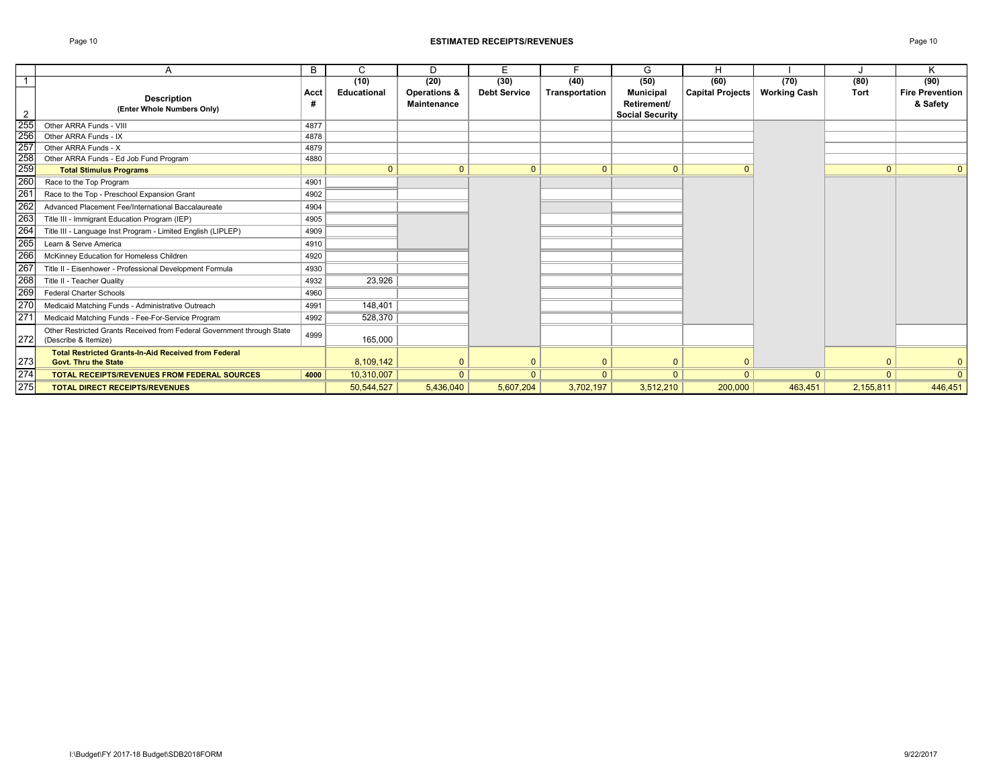### Page 10 **ESTIMATED RECEIPTS/REVENUES** Page 10

|                                 |                                                                                                | B         | C            | D                                      | E                   |                | G                                                         | H                       |                     |           | Κ                                  |
|---------------------------------|------------------------------------------------------------------------------------------------|-----------|--------------|----------------------------------------|---------------------|----------------|-----------------------------------------------------------|-------------------------|---------------------|-----------|------------------------------------|
| -1                              |                                                                                                |           | (10)         | (20)                                   | (30)                | (40)           | (50)                                                      | (60)                    | (70)                | (80)      | (90)                               |
| $\overline{2}$                  | <b>Description</b><br>(Enter Whole Numbers Only)                                               | Acct<br># | Educational  | <b>Operations &amp;</b><br>Maintenance | <b>Debt Service</b> | Transportation | <b>Municipal</b><br>Retirement/<br><b>Social Security</b> | <b>Capital Projects</b> | <b>Working Cash</b> | Tort      | <b>Fire Prevention</b><br>& Safety |
|                                 | Other ARRA Funds - VIII                                                                        | 4877      |              |                                        |                     |                |                                                           |                         |                     |           |                                    |
|                                 | Other ARRA Funds - IX                                                                          | 4878      |              |                                        |                     |                |                                                           |                         |                     |           |                                    |
| 255<br>256<br>257<br>258<br>259 | Other ARRA Funds - X                                                                           | 4879      |              |                                        |                     |                |                                                           |                         |                     |           |                                    |
|                                 | Other ARRA Funds - Ed Job Fund Program                                                         | 4880      |              |                                        |                     |                |                                                           |                         |                     |           |                                    |
|                                 | <b>Total Stimulus Programs</b>                                                                 |           | $\mathbf{0}$ | $\mathbf{0}$                           | $\overline{0}$      | $\mathbf{0}$   | $\mathbf{0}$                                              | ŋ                       |                     | $\Omega$  | $\overline{0}$                     |
| 260                             | Race to the Top Program                                                                        | 4901      |              |                                        |                     |                |                                                           |                         |                     |           |                                    |
| 26 <sup>2</sup>                 | Race to the Top - Preschool Expansion Grant                                                    | 4902      |              |                                        |                     |                |                                                           |                         |                     |           |                                    |
| 262                             | Advanced Placement Fee/International Baccalaureate                                             | 4904      |              |                                        |                     |                |                                                           |                         |                     |           |                                    |
| 263                             | Title III - Immigrant Education Program (IEP)                                                  | 4905      |              |                                        |                     |                |                                                           |                         |                     |           |                                    |
| 264                             | Title III - Language Inst Program - Limited English (LIPLEP)                                   | 4909      |              |                                        |                     |                |                                                           |                         |                     |           |                                    |
| $\frac{265}{266}$               | Learn & Serve America                                                                          | 4910      |              |                                        |                     |                |                                                           |                         |                     |           |                                    |
|                                 | McKinney Education for Homeless Children                                                       | 4920      |              |                                        |                     |                |                                                           |                         |                     |           |                                    |
| 267                             | Title II - Eisenhower - Professional Development Formula                                       | 4930      |              |                                        |                     |                |                                                           |                         |                     |           |                                    |
| 268                             | Title II - Teacher Quality                                                                     | 4932      | 23,926       |                                        |                     |                |                                                           |                         |                     |           |                                    |
| 269                             | <b>Federal Charter Schools</b>                                                                 | 4960      |              |                                        |                     |                |                                                           |                         |                     |           |                                    |
| 27 <sup>°</sup>                 | Medicaid Matching Funds - Administrative Outreach                                              | 4991      | 148,401      |                                        |                     |                |                                                           |                         |                     |           |                                    |
| 27 <sup>5</sup>                 | Medicaid Matching Funds - Fee-For-Service Program                                              | 4992      | 528,370      |                                        |                     |                |                                                           |                         |                     |           |                                    |
| 272                             | Other Restricted Grants Received from Federal Government through State<br>(Describe & Itemize) | 4999      | 165,000      |                                        |                     |                |                                                           |                         |                     |           |                                    |
| 273                             | <b>Total Restricted Grants-In-Aid Received from Federal</b><br><b>Govt. Thru the State</b>     |           | 8.109.142    | $\Omega$                               | $\Omega$            | $\Omega$       |                                                           |                         |                     |           | $\mathbf{0}$                       |
| 274                             | <b>TOTAL RECEIPTS/REVENUES FROM FEDERAL SOURCES</b>                                            | 4000      | 10,310,007   | $\mathbf{0}$                           | $\Omega$            | $\mathbf{0}$   | $\Omega$                                                  | $\Omega$                | $\overline{0}$      |           | $\overline{0}$                     |
| 275                             | <b>TOTAL DIRECT RECEIPTS/REVENUES</b>                                                          |           | 50,544,527   | 5,436,040                              | 5,607,204           | 3,702,197      | 3,512,210                                                 | 200,000                 | 463.451             | 2,155,811 | 446,451                            |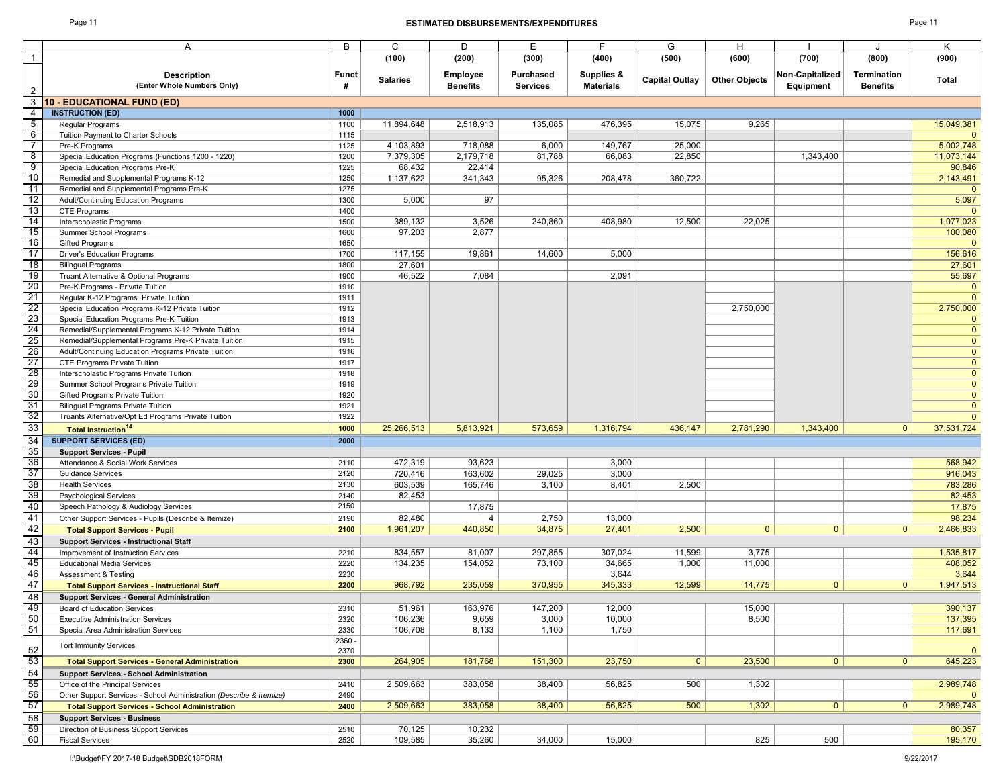### Page 11 **ESTIMATED DISBURSEMENTS/EXPENDITURES** Page 11

|                                    | Α                                                                                               | В              | C                   | D                   | E               | F.               | G                     | н                    |                 |                 | K                    |
|------------------------------------|-------------------------------------------------------------------------------------------------|----------------|---------------------|---------------------|-----------------|------------------|-----------------------|----------------------|-----------------|-----------------|----------------------|
| $\mathbf{1}$                       |                                                                                                 |                | (100)               | (200)               | (300)           | (400)            | (500)                 | (600)                | (700)           | (800)           | (900)                |
|                                    | <b>Description</b>                                                                              | <b>Funct</b>   |                     | <b>Employee</b>     | Purchased       | Supplies &       |                       |                      | Non-Capitalized | Termination     |                      |
|                                    | (Enter Whole Numbers Only)                                                                      | #              | <b>Salaries</b>     | <b>Benefits</b>     | <b>Services</b> | <b>Materials</b> | <b>Capital Outlay</b> | <b>Other Objects</b> | Equipment       | <b>Benefits</b> | Total                |
|                                    | <b>10 - EDUCATIONAL FUND (ED)</b>                                                               |                |                     |                     |                 |                  |                       |                      |                 |                 |                      |
| 4                                  | <b>INSTRUCTION (ED)</b>                                                                         | 1000           |                     |                     |                 |                  |                       |                      |                 |                 |                      |
| $\overline{5}$                     | Regular Programs                                                                                | 1100           | 11.894.648          | 2,518,913           | 135,085         | 476,395          | 15,075                | 9,265                |                 |                 | 15,049,381           |
| 6                                  | Tuition Payment to Charter Schools                                                              | 1115           |                     |                     |                 |                  |                       |                      |                 |                 |                      |
| 7<br>$\boldsymbol{8}$              | Pre-K Programs                                                                                  | 1125           | 4,103,893           | 718,088             | 6,000           | 149,767          | 25,000                |                      |                 |                 | 5,002,748            |
| 9                                  | Special Education Programs (Functions 1200 - 1220)<br>Special Education Programs Pre-K          | 1200<br>1225   | 7,379,305<br>68,432 | 2,179,718<br>22,414 | 81,788          | 66,083           | 22,850                |                      | 1,343,400       |                 | 11,073,144<br>90,846 |
| 10                                 | Remedial and Supplemental Programs K-12                                                         | 1250           | 1,137,622           | 341,343             | 95,326          | 208,478          | 360,722               |                      |                 |                 | 2,143,491            |
| 11                                 | Remedial and Supplemental Programs Pre-K                                                        | 1275           |                     |                     |                 |                  |                       |                      |                 |                 | $\mathbf 0$          |
| 12                                 | Adult/Continuing Education Programs                                                             | 1300           | 5,000               | 97                  |                 |                  |                       |                      |                 |                 | 5,097                |
| 13                                 | CTE Programs                                                                                    | 1400           |                     |                     |                 |                  |                       |                      |                 |                 | $\Omega$             |
| 14                                 | Interscholastic Programs                                                                        | 1500           | 389,132             | 3,526               | 240,860         | 408,980          | 12,500                | 22,025               |                 |                 | 1,077,023            |
| 15                                 | Summer School Programs                                                                          | 1600           | 97,203              | 2,877               |                 |                  |                       |                      |                 |                 | 100,080              |
| 16                                 | <b>Gifted Programs</b>                                                                          | 1650           |                     |                     |                 |                  |                       |                      |                 |                 | 0                    |
| $\overline{17}$                    | <b>Driver's Education Programs</b>                                                              | 1700           | 117,155             | 19,861              | 14,600          | 5,000            |                       |                      |                 |                 | 156,616              |
| 18                                 | <b>Bilingual Programs</b>                                                                       | 1800           | 27,601              |                     |                 |                  |                       |                      |                 |                 | 27,601               |
| 19                                 | Truant Alternative & Optional Programs                                                          | 1900           | 46,522              | 7,084               |                 | 2,091            |                       |                      |                 |                 | 55,697               |
| $\overline{20}$                    | Pre-K Programs - Private Tuition                                                                | 1910           |                     |                     |                 |                  |                       |                      |                 |                 | $\mathbf 0$          |
| 21                                 | Regular K-12 Programs Private Tuition                                                           | 1911           |                     |                     |                 |                  |                       |                      |                 |                 | $\Omega$             |
| 22                                 | Special Education Programs K-12 Private Tuition                                                 | 1912           |                     |                     |                 |                  |                       | 2,750,000            |                 |                 | 2,750,000            |
| 23                                 | Special Education Programs Pre-K Tuition<br>Remedial/Supplemental Programs K-12 Private Tuition | 1913<br>1914   |                     |                     |                 |                  |                       |                      |                 |                 | 0<br>$\mathbf{0}$    |
| 24<br>25                           | Remedial/Supplemental Programs Pre-K Private Tuition                                            | 1915           |                     |                     |                 |                  |                       |                      |                 |                 | $\overline{0}$       |
|                                    | Adult/Continuing Education Programs Private Tuition                                             | 1916           |                     |                     |                 |                  |                       |                      |                 |                 | $\mathbf{0}$         |
| 26<br>27                           | CTE Programs Private Tuition                                                                    | 1917           |                     |                     |                 |                  |                       |                      |                 |                 | $\overline{0}$       |
| 28                                 | Interscholastic Programs Private Tuition                                                        | 1918           |                     |                     |                 |                  |                       |                      |                 |                 | $\mathbf 0$          |
| 29                                 | Summer School Programs Private Tuition                                                          | 1919           |                     |                     |                 |                  |                       |                      |                 |                 | $\mathbf 0$          |
| $\overline{30}$                    | Gifted Programs Private Tuition                                                                 | 1920           |                     |                     |                 |                  |                       |                      |                 |                 | $\mathbf 0$          |
| 31<br>32                           | <b>Bilingual Programs Private Tuition</b>                                                       | 1921           |                     |                     |                 |                  |                       |                      |                 |                 | $\mathbf 0$          |
|                                    | Truants Alternative/Opt Ed Programs Private Tuition                                             | 1922           |                     |                     |                 |                  |                       |                      |                 |                 | $\overline{0}$       |
| $\frac{33}{34}$                    | <b>Total Instruction<sup>14</sup></b>                                                           | 1000           | 25,266,513          | 5,813,921           | 573,659         | 1,316,794        | 436,147               | 2,781,290            | 1,343,400       | $\mathbf{0}$    | 37,531,724           |
|                                    | <b>SUPPORT SERVICES (ED)</b>                                                                    | 2000           |                     |                     |                 |                  |                       |                      |                 |                 |                      |
| 35                                 | <b>Support Services - Pupil</b>                                                                 |                |                     |                     |                 |                  |                       |                      |                 |                 |                      |
| 36                                 | Attendance & Social Work Services                                                               | 2110           | 472,319             | 93,623              |                 | 3,000            |                       |                      |                 |                 | 568,942              |
| 37                                 | <b>Guidance Services</b>                                                                        | 2120           | 720,416             | 163,602             | 29,025          | 3,000            |                       |                      |                 |                 | 916,043              |
| $\overline{38}$                    | <b>Health Services</b>                                                                          | 2130           | 603,539             | 165,746             | 3,100           | 8,401            | 2,500                 |                      |                 |                 | 783,286              |
| 39                                 | <b>Psychological Services</b>                                                                   | 2140<br>2150   | 82,453              |                     |                 |                  |                       |                      |                 |                 | 82,453               |
| 40                                 | Speech Pathology & Audiology Services                                                           |                |                     | 17,875<br>4         |                 |                  |                       |                      |                 |                 | 17,875               |
| 41<br>42                           | Other Support Services - Pupils (Describe & Itemize)<br><b>Total Support Services - Pupil</b>   | 2190<br>2100   | 82,480<br>1,961,207 | 440,850             | 2,750<br>34,875 | 13,000<br>27,401 | 2,500                 | $\mathbf{0}$         | 0 <sup>1</sup>  | $\mathbf{0}$    | 98,234<br>2,466,833  |
| 43                                 | <b>Support Services - Instructional Staff</b>                                                   |                |                     |                     |                 |                  |                       |                      |                 |                 |                      |
| 44                                 | Improvement of Instruction Services                                                             | 2210           | 834,557             | 81,007              | 297,855         | 307,024          | 11,599                | 3,775                |                 |                 | 1,535,817            |
| 45                                 | <b>Educational Media Services</b>                                                               | 2220           | 134,235             | 154,052             | 73,100          | 34,665           | 1,000                 | 11,000               |                 |                 | 408,052              |
| 46                                 | <b>Assessment &amp; Testing</b>                                                                 | 2230           |                     |                     |                 | 3,644            |                       |                      |                 |                 | 3,644                |
| 47                                 | <b>Total Support Services - Instructional Staff</b>                                             | 2200           | 968,792             | 235,059             | 370,955         | 345,333          | 12,599                | 14,775               | $\overline{0}$  | $\mathbf{0}$    | 1,947,513            |
| 48                                 | <b>Support Services - General Administration</b>                                                |                |                     |                     |                 |                  |                       |                      |                 |                 |                      |
| <u>49</u>                          | Board of Education Services                                                                     | 2310           | 51,961              | 163,976             | 147,200         | 12,000           |                       | 15,000               |                 |                 | 390,137              |
|                                    | <b>Executive Administration Services</b>                                                        | 2320           | 106,236             | 9,659               | 3,000           | 10,000           |                       | 8,500                |                 |                 | 137,395              |
| 50<br>51                           | Special Area Administration Services                                                            | 2330           | 106,708             | 8,133               | 1,100           | 1,750            |                       |                      |                 |                 | 117,691              |
| 52                                 | <b>Tort Immunity Services</b>                                                                   | 2360 -<br>2370 |                     |                     |                 |                  |                       |                      |                 |                 | $\overline{0}$       |
|                                    | <b>Total Support Services - General Administration</b>                                          | 2300           | 264,905             | 181,768             | 151,300         | 23,750           | 0                     | 23,500               | 0               | $\overline{0}$  | 645,223              |
| $\frac{53}{54}$<br>$\frac{54}{55}$ | <b>Support Services - School Administration</b>                                                 |                |                     |                     |                 |                  |                       |                      |                 |                 |                      |
|                                    | Office of the Principal Services                                                                | 2410           | 2,509,663           | 383,058             | 38,400          | 56,825           | 500                   | 1,302                |                 |                 | 2,989,748            |
|                                    | Other Support Services - School Administration (Describe & Itemize)                             | 2490           |                     |                     |                 |                  |                       |                      |                 |                 | $\Omega$             |
| 57<br>58                           | <b>Total Support Services - School Administration</b>                                           | 2400           | 2,509,663           | 383,058             | 38,400          | 56,825           | 500                   | 1,302                | 0               | $\overline{0}$  | 2,989,748            |
|                                    | <b>Support Services - Business</b>                                                              |                |                     |                     |                 |                  |                       |                      |                 |                 |                      |
| 59                                 | Direction of Business Support Services                                                          | 2510           | 70,125              | 10,232              |                 |                  |                       |                      |                 |                 | 80,357               |
| 60                                 | <b>Fiscal Services</b>                                                                          | 2520           | 109,585             | 35,260              | 34,000          | 15,000           |                       | 825                  | 500             |                 | 195,170              |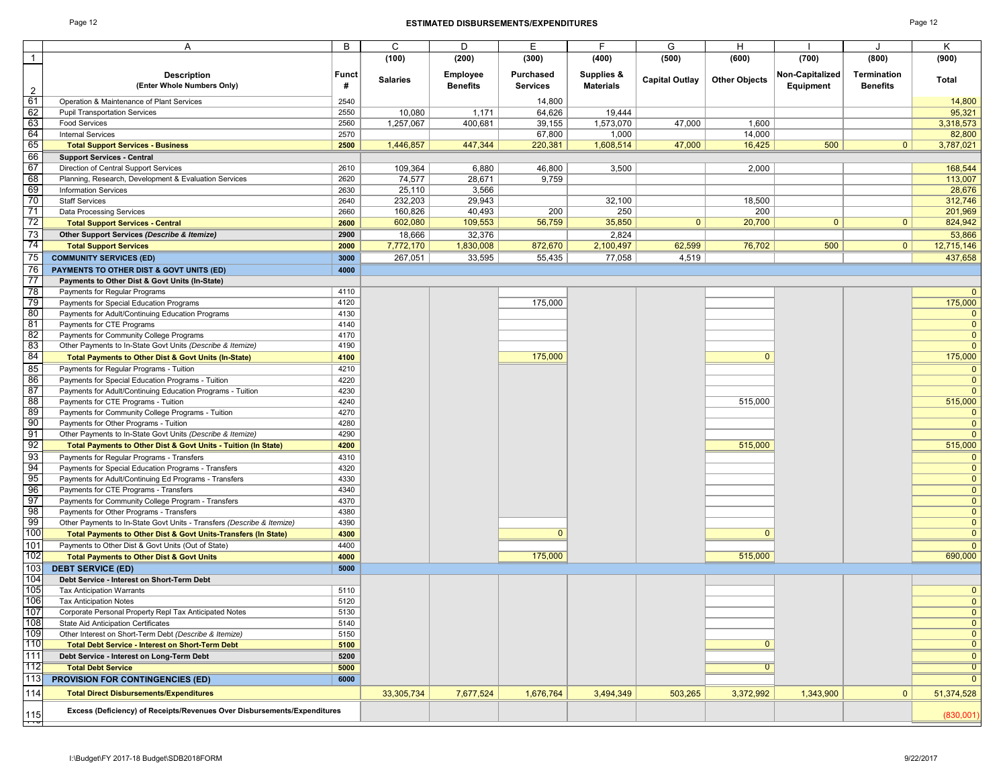1

80<br>81<br>82<br>83<br>84

85 86<br>87<br>88

89<br>90<br>91 92

93<br>
94<br>
95<br>
96<br>
97<br>
98<br>
99<br>
100

#### Page 12 **ESTIMATED DISBURSEMENTS/EXPENDITURES** Page 12

A BICIDIEIFIGIHIIJIK

|                                                                          |                   | (100)           | (200)                              | (300)                               | (400)                          | (500)                 | (600)                | (700)                        | (800)                                 | (900)          |
|--------------------------------------------------------------------------|-------------------|-----------------|------------------------------------|-------------------------------------|--------------------------------|-----------------------|----------------------|------------------------------|---------------------------------------|----------------|
| <b>Description</b><br>(Enter Whole Numbers Only)                         | <b>Funct</b><br># | <b>Salaries</b> | <b>Employee</b><br><b>Benefits</b> | <b>Purchased</b><br><b>Services</b> | Supplies &<br><b>Materials</b> | <b>Capital Outlay</b> | <b>Other Objects</b> | Non-Capitalized<br>Equipment | <b>Termination</b><br><b>Benefits</b> | <b>Total</b>   |
| Operation & Maintenance of Plant Services                                | 2540              |                 |                                    | 14.800                              |                                |                       |                      |                              |                                       | 14,800         |
| <b>Pupil Transportation Services</b>                                     | 2550              | 10.080          | 1,171                              | 64.626                              | 19.444                         |                       |                      |                              |                                       | 95,321         |
| <b>Food Services</b>                                                     | 2560              | 1,257,067       | 400,681                            | 39,155                              | 1,573,070                      | 47,000                | 1,600                |                              |                                       | 3,318,573      |
| <b>Internal Services</b>                                                 | 2570              |                 |                                    | 67,800                              | 1,000                          |                       | 14,000               |                              |                                       | 82,800         |
| <b>Total Support Services - Business</b>                                 | 2500              | 1,446,857       | 447,344                            | 220,381                             | 1,608,514                      | 47,000                | 16,425               | 500                          | 0                                     | 3,787,021      |
| <b>Support Services - Central</b>                                        |                   |                 |                                    |                                     |                                |                       |                      |                              |                                       |                |
| Direction of Central Support Services                                    | 2610              | 109,364         | 6,880                              | 46,800                              | 3,500                          |                       | 2,000                |                              |                                       | 168,544        |
| Planning, Research, Development & Evaluation Services                    | 2620              | 74,577          | 28,671                             | 9,759                               |                                |                       |                      |                              |                                       | 113,007        |
| <b>Information Services</b>                                              | 2630              | 25,110          | 3,566                              |                                     |                                |                       |                      |                              |                                       | 28,676         |
| <b>Staff Services</b>                                                    | 2640              | 232,203         | 29,943                             |                                     | 32,100                         |                       | 18,500               |                              |                                       | 312,746        |
| Data Processing Services                                                 | 2660              | 160,826         | 40,493                             | 200                                 | 250                            |                       | 200                  |                              |                                       | 201,969        |
| <b>Total Support Services - Central</b>                                  | 2600              | 602,080         | 109,553                            | 56,759                              | 35,850                         | $\Omega$              | 20,700               | $\mathbf{0}$                 | 0                                     | 824,942        |
| Other Support Services (Describe & Itemize)                              | 2900              | 18,666          | 32,376                             |                                     | 2,824                          |                       |                      |                              |                                       | 53,866         |
| <b>Total Support Services</b>                                            | 2000              | 7,772,170       | 1,830,008                          | 872,670                             | 2,100,497                      | 62,599                | 76,702               | 500                          | 0                                     | 12,715,146     |
| <b>COMMUNITY SERVICES (ED)</b>                                           | 3000              | 267,051         | 33,595                             | 55,435                              | 77,058                         | 4,519                 |                      |                              |                                       | 437,658        |
| PAYMENTS TO OTHER DIST & GOVT UNITS (ED)                                 | 4000              |                 |                                    |                                     |                                |                       |                      |                              |                                       |                |
| Payments to Other Dist & Govt Units (In-State)                           |                   |                 |                                    |                                     |                                |                       |                      |                              |                                       |                |
| Payments for Regular Programs                                            | 4110              |                 |                                    |                                     |                                |                       |                      |                              |                                       |                |
| Payments for Special Education Programs                                  | 4120              |                 |                                    | 175,000                             |                                |                       |                      |                              |                                       | 175,000        |
| Payments for Adult/Continuing Education Programs                         | 4130              |                 |                                    |                                     |                                |                       |                      |                              |                                       | $\mathbf{0}$   |
| Payments for CTE Programs                                                | 4140              |                 |                                    |                                     |                                |                       |                      |                              |                                       | $\Omega$       |
| Payments for Community College Programs                                  | 4170              |                 |                                    |                                     |                                |                       |                      |                              |                                       | $\Omega$       |
| Other Payments to In-State Govt Units (Describe & Itemize)               | 4190              |                 |                                    |                                     |                                |                       |                      |                              |                                       | $\Omega$       |
| Total Payments to Other Dist & Govt Units (In-State)                     | 4100              |                 |                                    | 175,000                             |                                |                       | $\Omega$             |                              |                                       | 175,000        |
| Payments for Regular Programs - Tuition                                  | 4210              |                 |                                    |                                     |                                |                       |                      |                              |                                       | $\overline{0}$ |
| Payments for Special Education Programs - Tuition                        | 4220              |                 |                                    |                                     |                                |                       |                      |                              |                                       | $\mathbf{0}$   |
| Payments for Adult/Continuing Education Programs - Tuition               | 4230              |                 |                                    |                                     |                                |                       |                      |                              |                                       | $\Omega$       |
| Payments for CTE Programs - Tuition                                      | 4240              |                 |                                    |                                     |                                |                       | 515,000              |                              |                                       | 515,000        |
| Payments for Community College Programs - Tuition                        | 4270              |                 |                                    |                                     |                                |                       |                      |                              |                                       | $\mathbf{0}$   |
| Payments for Other Programs - Tuition                                    | 4280              |                 |                                    |                                     |                                |                       |                      |                              |                                       | $\Omega$       |
| Other Payments to In-State Govt Units (Describe & Itemize)               | 4290              |                 |                                    |                                     |                                |                       |                      |                              |                                       | $\Omega$       |
| Total Payments to Other Dist & Govt Units - Tuition (In State)           | 4200              |                 |                                    |                                     |                                |                       | 515,000              |                              |                                       | 515,000        |
| Payments for Regular Programs - Transfers                                | 4310              |                 |                                    |                                     |                                |                       |                      |                              |                                       | $\mathbf{0}$   |
| Payments for Special Education Programs - Transfers                      | 4320              |                 |                                    |                                     |                                |                       |                      |                              |                                       | $\mathbf{0}$   |
| Payments for Adult/Continuing Ed Programs - Transfers                    | 4330              |                 |                                    |                                     |                                |                       |                      |                              |                                       | $\overline{0}$ |
| Payments for CTE Programs - Transfers                                    | 4340              |                 |                                    |                                     |                                |                       |                      |                              |                                       | $\pmb{0}$      |
| Payments for Community College Program - Transfers                       | 4370              |                 |                                    |                                     |                                |                       |                      |                              |                                       | $\mathbf{0}$   |
| Payments for Other Programs - Transfers                                  | 4380              |                 |                                    |                                     |                                |                       |                      |                              |                                       | $\mathbf{0}$   |
| Other Payments to In-State Govt Units - Transfers (Describe & Itemize)   | 4390              |                 |                                    |                                     |                                |                       |                      |                              |                                       | $\mathbf{0}$   |
| Total Payments to Other Dist & Govt Units-Transfers (In State)           | 4300              |                 |                                    | $\mathbf{0}$                        |                                |                       | $\mathbf{0}$         |                              |                                       | $\mathbf{0}$   |
| Payments to Other Dist & Govt Units (Out of State)                       | 4400              |                 |                                    |                                     |                                |                       |                      |                              |                                       | $\Omega$       |
| <b>Total Payments to Other Dist &amp; Govt Units</b>                     | 4000              |                 |                                    | 175,000                             |                                |                       | 515,000              |                              |                                       | 690,000        |
| <b>DEBT SERVICE (ED)</b>                                                 | 5000              |                 |                                    |                                     |                                |                       |                      |                              |                                       |                |
| Debt Service - Interest on Short-Term Debt                               |                   |                 |                                    |                                     |                                |                       |                      |                              |                                       |                |
| <b>Tax Anticipation Warrants</b>                                         | 5110              |                 |                                    |                                     |                                |                       |                      |                              |                                       | $\overline{0}$ |
| <b>Tax Anticipation Notes</b>                                            | 5120              |                 |                                    |                                     |                                |                       |                      |                              |                                       | $\mathbf{0}$   |
| Corporate Personal Property Repl Tax Anticipated Notes                   | 5130              |                 |                                    |                                     |                                |                       |                      |                              |                                       | $\overline{0}$ |
| State Aid Anticipation Certificates                                      | 5140              |                 |                                    |                                     |                                |                       |                      |                              |                                       | $\pmb{0}$      |
| Other Interest on Short-Term Debt (Describe & Itemize)                   | 5150              |                 |                                    |                                     |                                |                       |                      |                              |                                       | $\mathbf{0}$   |
| <b>Total Debt Service - Interest on Short-Term Debt</b>                  | 5100              |                 |                                    |                                     |                                |                       | $\mathbf{0}$         |                              |                                       | $\overline{0}$ |
| Debt Service - Interest on Long-Term Debt                                | 5200              |                 |                                    |                                     |                                |                       |                      |                              |                                       | $\mathbf{0}$   |
| <b>Total Debt Service</b>                                                | 5000              |                 |                                    |                                     |                                |                       | $\overline{0}$       |                              |                                       | $\overline{0}$ |
| <b>PROVISION FOR CONTINGENCIES (ED)</b>                                  | 6000              |                 |                                    |                                     |                                |                       |                      |                              |                                       | $\overline{0}$ |
| <b>Total Direct Disbursements/Expenditures</b>                           |                   | 33,305,734      | 7,677,524                          | 1,676,764                           | 3,494,349                      | 503,265               | 3,372,992            | 1,343,900                    | $\mathbf{0}$                          | 51,374,528     |
| Excess (Deficiency) of Receipts/Revenues Over Disbursements/Expenditures |                   |                 |                                    |                                     |                                |                       |                      |                              |                                       | (830,001)      |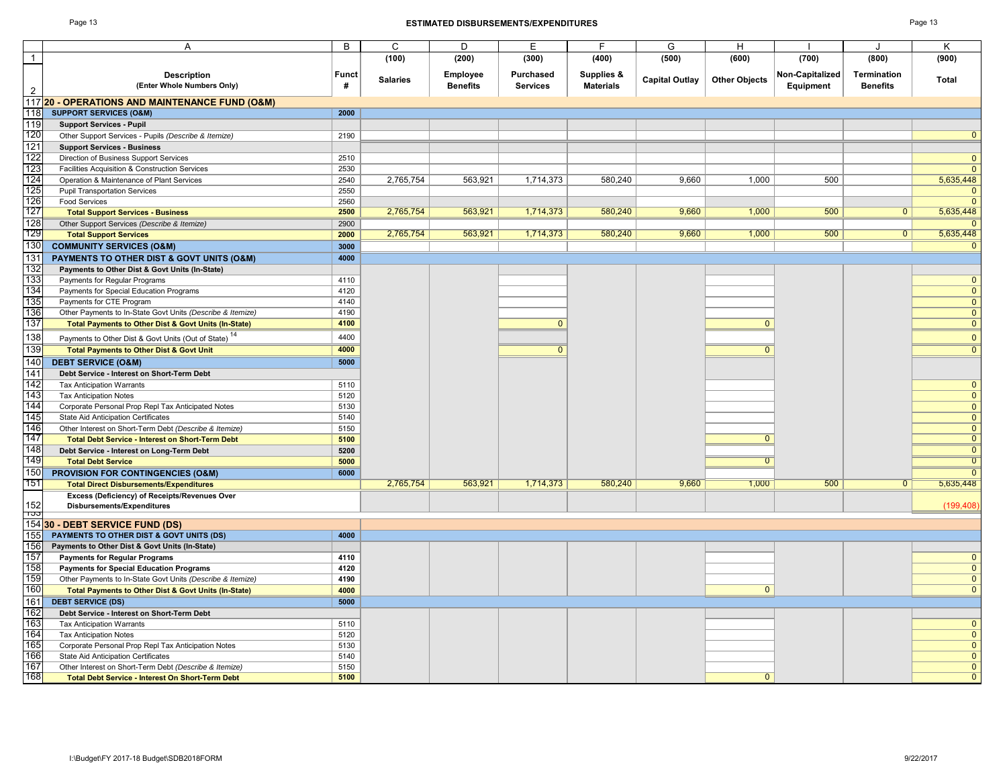#### Page 13 **ESTIMATED DISBURSEMENTS/EXPENDITURES** Page 13

|                         | Α                                                                                   | В            | C               | D                           | E                                   | F                              | G                     | н                    |                              |                                | κ              |
|-------------------------|-------------------------------------------------------------------------------------|--------------|-----------------|-----------------------------|-------------------------------------|--------------------------------|-----------------------|----------------------|------------------------------|--------------------------------|----------------|
| $\overline{\mathbf{1}}$ |                                                                                     |              | (100)           | (200)                       | (300)                               | (400)                          | (500)                 | (600)                | (700)                        | (800)                          | (900)          |
| $\overline{2}$          | <b>Description</b><br>(Enter Whole Numbers Only)                                    | Funct<br>#   | <b>Salaries</b> | Employee<br><b>Benefits</b> | <b>Purchased</b><br><b>Services</b> | Supplies &<br><b>Materials</b> | <b>Capital Outlay</b> | <b>Other Objects</b> | Non-Capitalized<br>Equipment | Termination<br><b>Benefits</b> | Total          |
|                         | 11720 - OPERATIONS AND MAINTENANCE FUND (O&M)                                       |              |                 |                             |                                     |                                |                       |                      |                              |                                |                |
| 118                     | <b>SUPPORT SERVICES (O&amp;M)</b>                                                   | 2000         |                 |                             |                                     |                                |                       |                      |                              |                                |                |
| 119                     | <b>Support Services - Pupil</b>                                                     |              |                 |                             |                                     |                                |                       |                      |                              |                                |                |
| 120                     | Other Support Services - Pupils (Describe & Itemize)                                | 2190         |                 |                             |                                     |                                |                       |                      |                              |                                | $\overline{0}$ |
| 121                     | <b>Support Services - Business</b>                                                  |              |                 |                             |                                     |                                |                       |                      |                              |                                |                |
| 122                     | Direction of Business Support Services                                              | 2510         |                 |                             |                                     |                                |                       |                      |                              |                                | $\mathbf{0}$   |
| 123                     | Facilities Acquisition & Construction Services                                      | 2530         |                 |                             |                                     |                                |                       |                      |                              |                                | $\Omega$       |
| 124                     | Operation & Maintenance of Plant Services                                           | 2540         | 2,765,754       | 563,921                     | 1,714,373                           | 580,240                        | 9.660                 | 1.000                | 500                          |                                | 5,635,448      |
| 125                     | <b>Pupil Transportation Services</b>                                                | 2550         |                 |                             |                                     |                                |                       |                      |                              |                                | $\mathbf{0}$   |
| 126                     | <b>Food Services</b>                                                                | 2560         |                 |                             |                                     |                                |                       |                      |                              |                                | $\Omega$       |
| 127                     | <b>Total Support Services - Business</b>                                            | 2500         | 2,765,754       | 563,921                     | 1,714,373                           | 580,240                        | 9,660                 | 1,000                | 500                          | $\overline{0}$                 | 5,635,448      |
| 128<br>129              | Other Support Services (Describe & Itemize)                                         | 2900         |                 |                             |                                     |                                |                       |                      |                              |                                | <sup>n</sup>   |
|                         | <b>Total Support Services</b>                                                       | 2000         | 2,765,754       | 563,921                     | 1,714,373                           | 580,240                        | 9,660                 | 1,000                | 500                          | $\overline{0}$                 | 5,635,448      |
| 130                     | <b>COMMUNITY SERVICES (O&amp;M)</b>                                                 | 3000         |                 |                             |                                     |                                |                       |                      |                              |                                | $\mathbf{0}$   |
| 131                     | PAYMENTS TO OTHER DIST & GOVT UNITS (O&M)                                           | 4000         |                 |                             |                                     |                                |                       |                      |                              |                                |                |
| 132<br>133              | Payments to Other Dist & Govt Units (In-State)                                      |              |                 |                             |                                     |                                |                       |                      |                              |                                | $\mathbf{0}$   |
| 134                     | Payments for Regular Programs<br>Payments for Special Education Programs            | 4110<br>4120 |                 |                             |                                     |                                |                       |                      |                              |                                | $\mathbf{0}$   |
| 135                     | Payments for CTE Program                                                            | 4140         |                 |                             |                                     |                                |                       |                      |                              |                                | $\Omega$       |
| 136                     | Other Payments to In-State Govt Units (Describe & Itemize)                          | 4190         |                 |                             |                                     |                                |                       |                      |                              |                                | $\mathbf{0}$   |
| 137                     | <b>Total Payments to Other Dist &amp; Govt Units (In-State)</b>                     | 4100         |                 |                             | $\mathbf{0}$                        |                                |                       | $\mathbf{0}$         |                              |                                | $\mathbf{0}$   |
| 138                     |                                                                                     | 4400         |                 |                             |                                     |                                |                       |                      |                              |                                | $\mathbf{0}$   |
|                         | Payments to Other Dist & Govt Units (Out of State) "                                | 4000         |                 |                             | $\overline{0}$                      |                                |                       |                      |                              |                                |                |
| 139                     | <b>Total Payments to Other Dist &amp; Govt Unit</b>                                 |              |                 |                             |                                     |                                |                       | $\overline{0}$       |                              |                                | $\mathbf{0}$   |
| 140                     | <b>DEBT SERVICE (O&amp;M)</b>                                                       | 5000         |                 |                             |                                     |                                |                       |                      |                              |                                |                |
| 141<br>142              | Debt Service - Interest on Short-Term Debt                                          |              |                 |                             |                                     |                                |                       |                      |                              |                                | $\mathbf{0}$   |
| 143                     | <b>Tax Anticipation Warrants</b>                                                    | 5110<br>5120 |                 |                             |                                     |                                |                       |                      |                              |                                | $\mathbf{0}$   |
| 144                     | <b>Tax Anticipation Notes</b><br>Corporate Personal Prop Repl Tax Anticipated Notes | 5130         |                 |                             |                                     |                                |                       |                      |                              |                                | $\mathbf{0}$   |
| 145                     | <b>State Aid Anticipation Certificates</b>                                          | 5140         |                 |                             |                                     |                                |                       |                      |                              |                                | $\mathbf{0}$   |
| 146                     | Other Interest on Short-Term Debt (Describe & Itemize)                              | 5150         |                 |                             |                                     |                                |                       |                      |                              |                                | $\mathbf{0}$   |
| 147                     | <b>Total Debt Service - Interest on Short-Term Debt</b>                             | 5100         |                 |                             |                                     |                                |                       | $\overline{0}$       |                              |                                | $\overline{0}$ |
| 148                     | Debt Service - Interest on Long-Term Debt                                           | 5200         |                 |                             |                                     |                                |                       |                      |                              |                                | $\overline{0}$ |
| 149                     | <b>Total Debt Service</b>                                                           | 5000         |                 |                             |                                     |                                |                       | $\overline{0}$       |                              |                                | $\overline{0}$ |
| 150                     | <b>PROVISION FOR CONTINGENCIES (O&amp;M)</b>                                        | 6000         |                 |                             |                                     |                                |                       |                      |                              |                                | $\Omega$       |
| 151                     | <b>Total Direct Disbursements/Expenditures</b>                                      |              | 2,765,754       | 563,921                     | 1,714,373                           | 580,240                        | 9,660                 | 1,000                | 500                          | 0                              | 5,635,448      |
|                         | Excess (Deficiency) of Receipts/Revenues Over                                       |              |                 |                             |                                     |                                |                       |                      |                              |                                |                |
| 152                     | Disbursements/Expenditures                                                          |              |                 |                             |                                     |                                |                       |                      |                              |                                | (199, 408)     |
| ၢ၁၁                     | 154 30 - DEBT SERVICE FUND (DS)                                                     |              |                 |                             |                                     |                                |                       |                      |                              |                                |                |
| 155                     | PAYMENTS TO OTHER DIST & GOVT UNITS (DS)                                            | 4000         |                 |                             |                                     |                                |                       |                      |                              |                                |                |
| 156                     | Payments to Other Dist & Govt Units (In-State)                                      |              |                 |                             |                                     |                                |                       |                      |                              |                                |                |
| 157                     | <b>Payments for Regular Programs</b>                                                | 4110         |                 |                             |                                     |                                |                       |                      |                              |                                | $\mathbf{0}$   |
| 158                     | <b>Payments for Special Education Programs</b>                                      | 4120         |                 |                             |                                     |                                |                       |                      |                              |                                | $\mathbf{0}$   |
| 159                     | Other Payments to In-State Govt Units (Describe & Itemize)                          | 4190         |                 |                             |                                     |                                |                       |                      |                              |                                | $\mathbf{0}$   |
| 160                     | Total Payments to Other Dist & Govt Units (In-State)                                | 4000         |                 |                             |                                     |                                |                       | $\mathbf{0}$         |                              |                                | $\Omega$       |
| 161                     | <b>DEBT SERVICE (DS)</b>                                                            | 5000         |                 |                             |                                     |                                |                       |                      |                              |                                |                |
| 162                     | Debt Service - Interest on Short-Term Debt                                          |              |                 |                             |                                     |                                |                       |                      |                              |                                |                |
| 163                     | <b>Tax Anticipation Warrants</b>                                                    | 5110         |                 |                             |                                     |                                |                       |                      |                              |                                | $\mathbf{0}$   |
| 164                     | <b>Tax Anticipation Notes</b>                                                       | 5120         |                 |                             |                                     |                                |                       |                      |                              |                                | $\Omega$       |
| 165                     | Corporate Personal Prop Repl Tax Anticipation Notes                                 | 5130         |                 |                             |                                     |                                |                       |                      |                              |                                | $\Omega$       |
| 166                     | <b>State Aid Anticipation Certificates</b>                                          | 5140         |                 |                             |                                     |                                |                       |                      |                              |                                | $\mathbf{0}$   |
| 167                     | Other Interest on Short-Term Debt (Describe & Itemize)                              | 5150         |                 |                             |                                     |                                |                       |                      |                              |                                | $\mathbf{0}$   |
| 168                     | <b>Total Debt Service - Interest On Short-Term Debt</b>                             | 5100         |                 |                             |                                     |                                |                       | $\overline{0}$       |                              |                                | $\overline{0}$ |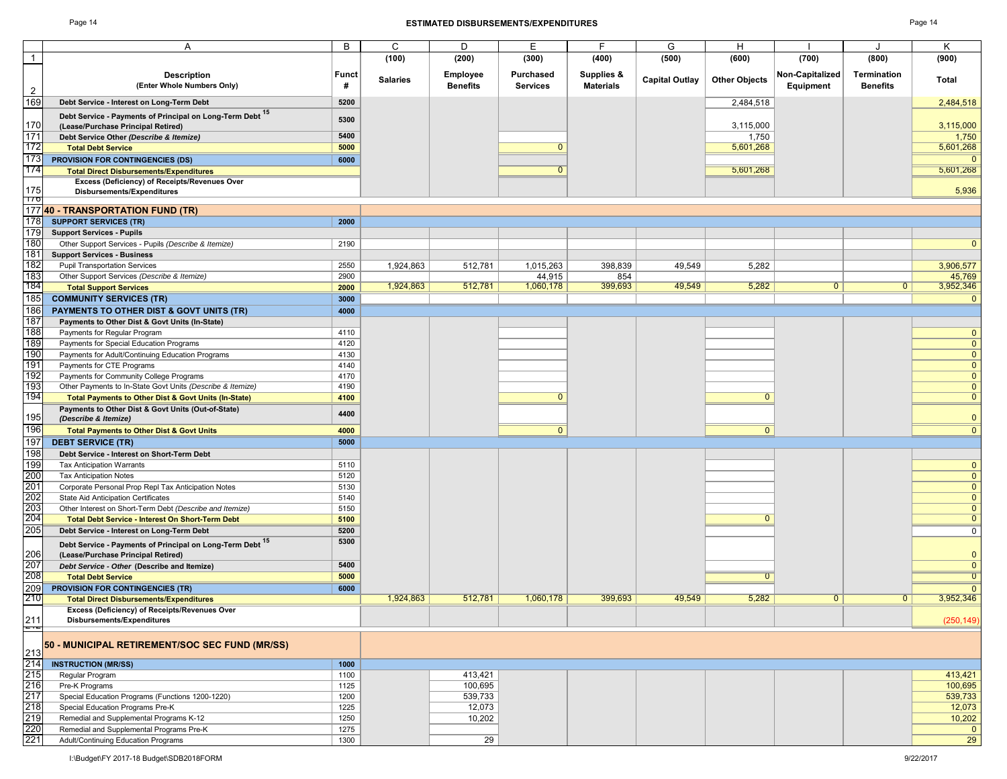#### Page 14 **ESTIMATED DISBURSEMENTS/EXPENDITURES** Page 14

|                | A                                                                           | B     | С               | D               | E.              | F.               | G                     | H                    |                 |                    | Κ                              |
|----------------|-----------------------------------------------------------------------------|-------|-----------------|-----------------|-----------------|------------------|-----------------------|----------------------|-----------------|--------------------|--------------------------------|
| $\overline{1}$ |                                                                             |       | (100)           | (200)           | (300)           | (400)            | (500)                 | (600)                | (700)           | (800)              | (900)                          |
|                | <b>Description</b>                                                          | Funct |                 | <b>Employee</b> | Purchased       | Supplies &       |                       |                      | Non-Capitalized | <b>Termination</b> |                                |
|                | (Enter Whole Numbers Only)                                                  | #     | <b>Salaries</b> | <b>Benefits</b> | <b>Services</b> | <b>Materials</b> | <b>Capital Outlay</b> | <b>Other Objects</b> | Equipment       | <b>Benefits</b>    | Total                          |
| $\overline{2}$ |                                                                             |       |                 |                 |                 |                  |                       |                      |                 |                    |                                |
| 169            | Debt Service - Interest on Long-Term Debt                                   | 5200  |                 |                 |                 |                  |                       | 2,484,518            |                 |                    | 2,484,518                      |
|                | Debt Service - Payments of Principal on Long-Term Debt 15                   | 5300  |                 |                 |                 |                  |                       |                      |                 |                    |                                |
| 170            | (Lease/Purchase Principal Retired)                                          |       |                 |                 |                 |                  |                       | 3,115,000            |                 |                    | 3,115,000                      |
| 171<br>172     | Debt Service Other (Describe & Itemize)                                     | 5400  |                 |                 | $\overline{0}$  |                  |                       | 1,750                |                 |                    | 1,750                          |
|                | <b>Total Debt Service</b>                                                   | 5000  |                 |                 |                 |                  |                       | 5,601,268            |                 |                    | 5,601,268                      |
| 173            | <b>PROVISION FOR CONTINGENCIES (DS)</b>                                     | 6000  |                 |                 | $\Omega$        |                  |                       | 5.601.268            |                 |                    | $\overline{0}$                 |
| 174            | <b>Total Direct Disbursements/Expenditures</b>                              |       |                 |                 |                 |                  |                       |                      |                 |                    | 5,601,268                      |
| 175            | Excess (Deficiency) of Receipts/Revenues Over<br>Disbursements/Expenditures |       |                 |                 |                 |                  |                       |                      |                 |                    | 5,936                          |
| 176            |                                                                             |       |                 |                 |                 |                  |                       |                      |                 |                    |                                |
| 177            | 40 - TRANSPORTATION FUND (TR)                                               |       |                 |                 |                 |                  |                       |                      |                 |                    |                                |
| 178            | <b>SUPPORT SERVICES (TR)</b>                                                | 2000  |                 |                 |                 |                  |                       |                      |                 |                    |                                |
| 179            | <b>Support Services - Pupils</b>                                            |       |                 |                 |                 |                  |                       |                      |                 |                    |                                |
| 180            | Other Support Services - Pupils (Describe & Itemize)                        | 2190  |                 |                 |                 |                  |                       |                      |                 |                    | $\mathbf{0}$                   |
| 181            | <b>Support Services - Business</b>                                          |       |                 |                 |                 |                  |                       |                      |                 |                    |                                |
| 182            | <b>Pupil Transportation Services</b>                                        | 2550  | 1,924,863       | 512,781         | 1,015,263       | 398,839          | 49,549                | 5,282                |                 |                    | 3,906,577                      |
| 183            | Other Support Services (Describe & Itemize)                                 | 2900  |                 |                 | 44,915          | 854              |                       |                      |                 |                    | 45,769                         |
| 184            | <b>Total Support Services</b>                                               | 2000  | 1,924,863       | 512,781         | 1,060,178       | 399,693          | 49,549                | 5,282                | $\mathbf{0}$    | $\mathbf{0}$       | 3,952,346                      |
| 185            | <b>COMMUNITY SERVICES (TR)</b>                                              | 3000  |                 |                 |                 |                  |                       |                      |                 |                    | $\mathbf{0}$                   |
| 186            | <b>PAYMENTS TO OTHER DIST &amp; GOVT UNITS (TR)</b>                         | 4000  |                 |                 |                 |                  |                       |                      |                 |                    |                                |
| 187            | Payments to Other Dist & Govt Units (In-State)                              |       |                 |                 |                 |                  |                       |                      |                 |                    |                                |
| 188            | Payments for Regular Program                                                | 4110  |                 |                 |                 |                  |                       |                      |                 |                    | $\mathbf{0}$                   |
| 189            | Payments for Special Education Programs                                     | 4120  |                 |                 |                 |                  |                       |                      |                 |                    | $\mathbf{0}$                   |
| 190            | Payments for Adult/Continuing Education Programs                            | 4130  |                 |                 |                 |                  |                       |                      |                 |                    | $\mathbf{0}$                   |
| 191            | Payments for CTE Programs                                                   | 4140  |                 |                 |                 |                  |                       |                      |                 |                    | $\mathbf{0}$                   |
| 192            | Payments for Community College Programs                                     | 4170  |                 |                 |                 |                  |                       |                      |                 |                    | $\mathbf{0}$                   |
| 193<br>194     | Other Payments to In-State Govt Units (Describe & Itemize)                  | 4190  |                 |                 | <sup>0</sup>    |                  |                       | $\Omega$             |                 |                    | $\mathbf{0}$<br>$\overline{0}$ |
|                | Total Payments to Other Dist & Govt Units (In-State)                        | 4100  |                 |                 |                 |                  |                       |                      |                 |                    |                                |
| 195            | Payments to Other Dist & Govt Units (Out-of-State)<br>(Describe & Itemize)  | 4400  |                 |                 |                 |                  |                       |                      |                 |                    | $\mathbf{0}$                   |
| 196            | <b>Total Payments to Other Dist &amp; Govt Units</b>                        | 4000  |                 |                 | $\overline{0}$  |                  |                       | $\overline{0}$       |                 |                    | $\overline{0}$                 |
| 197            | <b>DEBT SERVICE (TR)</b>                                                    | 5000  |                 |                 |                 |                  |                       |                      |                 |                    |                                |
| 198            | Debt Service - Interest on Short-Term Debt                                  |       |                 |                 |                 |                  |                       |                      |                 |                    |                                |
| 199            | <b>Tax Anticipation Warrants</b>                                            | 5110  |                 |                 |                 |                  |                       |                      |                 |                    | $\mathbf{0}$                   |
| 200            | <b>Tax Anticipation Notes</b>                                               | 5120  |                 |                 |                 |                  |                       |                      |                 |                    | $\mathbf{0}$                   |
| 201            | Corporate Personal Prop Repl Tax Anticipation Notes                         | 5130  |                 |                 |                 |                  |                       |                      |                 |                    | $\mathbf{0}$                   |
| 202            | State Aid Anticipation Certificates                                         | 5140  |                 |                 |                 |                  |                       |                      |                 |                    | $\mathbf{0}$                   |
| 203            | Other Interest on Short-Term Debt (Describe and Itemize)                    | 5150  |                 |                 |                 |                  |                       |                      |                 |                    | $\overline{0}$                 |
| 204            | <b>Total Debt Service - Interest On Short-Term Debt</b>                     | 5100  |                 |                 |                 |                  |                       | $\Omega$             |                 |                    | $\overline{0}$                 |
| 205            | Debt Service - Interest on Long-Term Debt                                   | 5200  |                 |                 |                 |                  |                       |                      |                 |                    | $\mathbf 0$                    |
|                | Debt Service - Payments of Principal on Long-Term Debt 15                   | 5300  |                 |                 |                 |                  |                       |                      |                 |                    |                                |
| 206            | (Lease/Purchase Principal Retired)                                          |       |                 |                 |                 |                  |                       |                      |                 |                    | $\mathbf{0}$                   |
| 207            | Debt Service - Other (Describe and Itemize)                                 | 5400  |                 |                 |                 |                  |                       |                      |                 |                    | $\mathbf{0}$                   |
| 208            | <b>Total Debt Service</b>                                                   | 5000  |                 |                 |                 |                  |                       | $\overline{0}$       |                 |                    | $\overline{0}$                 |
| 209            | <b>PROVISION FOR CONTINGENCIES (TR)</b>                                     | 6000  |                 |                 |                 |                  |                       |                      |                 |                    | $\Omega$                       |
| 210            | <b>Total Direct Disbursements/Expenditures</b>                              |       | 1,924,863       | 512,781         | 1,060,178       | 399,693          | 49,549                | 5,282                | $\mathbf{0}$    | $\mathbf{0}$       | 3,952,346                      |
|                | Excess (Deficiency) of Receipts/Revenues Over                               |       |                 |                 |                 |                  |                       |                      |                 |                    |                                |
| 211            | Disbursements/Expenditures                                                  |       |                 |                 |                 |                  |                       |                      |                 |                    | (250, 149)                     |
| ÷.,            |                                                                             |       |                 |                 |                 |                  |                       |                      |                 |                    |                                |
| 213            | 50 - MUNICIPAL RETIREMENT/SOC SEC FUND (MR/SS)                              |       |                 |                 |                 |                  |                       |                      |                 |                    |                                |
| 214            | <b>INSTRUCTION (MR/SS)</b>                                                  | 1000  |                 |                 |                 |                  |                       |                      |                 |                    |                                |
| 215            | Regular Program                                                             | 1100  |                 | 413,421         |                 |                  |                       |                      |                 |                    | 413,421                        |
| 216            | Pre-K Programs                                                              | 1125  |                 | 100,695         |                 |                  |                       |                      |                 |                    | 100,695                        |
| 217            | Special Education Programs (Functions 1200-1220)                            | 1200  |                 | 539,733         |                 |                  |                       |                      |                 |                    | 539,733                        |
| 218            | Special Education Programs Pre-K                                            | 1225  |                 | 12,073          |                 |                  |                       |                      |                 |                    | 12,073                         |
| 219            | Remedial and Supplemental Programs K-12                                     | 1250  |                 | 10,202          |                 |                  |                       |                      |                 |                    | 10,202                         |
| 220            | Remedial and Supplemental Programs Pre-K                                    | 1275  |                 |                 |                 |                  |                       |                      |                 |                    | $\mathbf{0}$                   |
| 221            | Adult/Continuing Education Programs                                         | 1300  |                 | 29              |                 |                  |                       |                      |                 |                    | 29                             |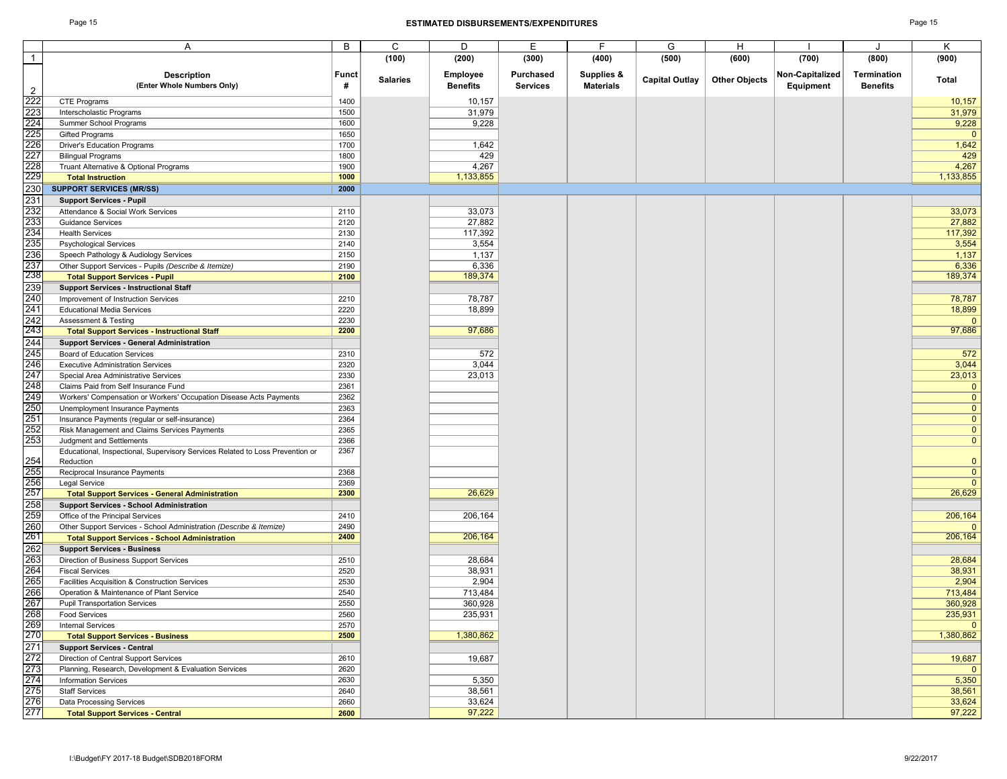#### Page 15 **ESTIMATED DISBURSEMENTS/EXPENDITURES** Page 15

|                 | Α                                                                             | B            | C               | D               | Е               | F.               | G                     | H                    |                 | J               | Κ              |
|-----------------|-------------------------------------------------------------------------------|--------------|-----------------|-----------------|-----------------|------------------|-----------------------|----------------------|-----------------|-----------------|----------------|
| $\overline{1}$  |                                                                               |              | (100)           | (200)           | (300)           | (400)            | (500)                 | (600)                | (700)           | (800)           | (900)          |
|                 |                                                                               |              |                 |                 |                 |                  |                       |                      |                 |                 |                |
|                 | <b>Description</b>                                                            | <b>Funct</b> | <b>Salaries</b> | <b>Employee</b> | Purchased       | Supplies &       | <b>Capital Outlay</b> | <b>Other Objects</b> | Non-Capitalized | Termination     | Total          |
| $\overline{2}$  | (Enter Whole Numbers Only)                                                    | #            |                 | <b>Benefits</b> | <b>Services</b> | <b>Materials</b> |                       |                      | Equipment       | <b>Benefits</b> |                |
|                 |                                                                               |              |                 |                 |                 |                  |                       |                      |                 |                 |                |
| 222             | <b>CTE Programs</b>                                                           | 1400         |                 | 10,157          |                 |                  |                       |                      |                 |                 | 10,157         |
| 223             | Interscholastic Programs                                                      | 1500         |                 | 31,979          |                 |                  |                       |                      |                 |                 | 31,979         |
| 224             | Summer School Programs                                                        | 1600         |                 | 9,228           |                 |                  |                       |                      |                 |                 | 9,228          |
| 225<br>226      | <b>Gifted Programs</b>                                                        | 1650         |                 |                 |                 |                  |                       |                      |                 |                 | $\mathbf 0$    |
|                 | <b>Driver's Education Programs</b>                                            | 1700         |                 | 1,642           |                 |                  |                       |                      |                 |                 | 1,642          |
| 227             | <b>Bilingual Programs</b>                                                     | 1800         |                 | 429             |                 |                  |                       |                      |                 |                 | 429            |
|                 | Truant Alternative & Optional Programs                                        | 1900         |                 | 4,267           |                 |                  |                       |                      |                 |                 | 4,267          |
| 228<br>229      | <b>Total Instruction</b>                                                      | 1000         |                 | 1,133,855       |                 |                  |                       |                      |                 |                 | 1,133,855      |
| 230             |                                                                               |              |                 |                 |                 |                  |                       |                      |                 |                 |                |
|                 | <b>SUPPORT SERVICES (MR/SS)</b>                                               | 2000         |                 |                 |                 |                  |                       |                      |                 |                 |                |
| 231             | <b>Support Services - Pupil</b>                                               |              |                 |                 |                 |                  |                       |                      |                 |                 |                |
| 232             | Attendance & Social Work Services                                             | 2110         |                 | 33,073          |                 |                  |                       |                      |                 |                 | 33,073         |
| 233<br>234      | <b>Guidance Services</b>                                                      | 2120         |                 | 27,882          |                 |                  |                       |                      |                 |                 | 27,882         |
|                 | <b>Health Services</b>                                                        | 2130         |                 | 117,392         |                 |                  |                       |                      |                 |                 | 117,392        |
| 235             | <b>Psychological Services</b>                                                 | 2140         |                 | 3,554           |                 |                  |                       |                      |                 |                 | 3,554          |
| 236             | Speech Pathology & Audiology Services                                         | 2150         |                 | 1,137           |                 |                  |                       |                      |                 |                 | 1,137          |
|                 | Other Support Services - Pupils (Describe & Itemize)                          | 2190         |                 | 6,336           |                 |                  |                       |                      |                 |                 | 6,336          |
| 237<br>238      |                                                                               |              |                 | 189,374         |                 |                  |                       |                      |                 |                 | 189,374        |
|                 | <b>Total Support Services - Pupil</b>                                         | 2100         |                 |                 |                 |                  |                       |                      |                 |                 |                |
| 239             | <b>Support Services - Instructional Staff</b>                                 |              |                 |                 |                 |                  |                       |                      |                 |                 |                |
| 240             | Improvement of Instruction Services                                           | 2210         |                 | 78,787          |                 |                  |                       |                      |                 |                 | 78,787         |
| 241             | <b>Educational Media Services</b>                                             | 2220         |                 | 18,899          |                 |                  |                       |                      |                 |                 | 18,899         |
| 242             | Assessment & Testing                                                          | 2230         |                 |                 |                 |                  |                       |                      |                 |                 | $\Omega$       |
| $\frac{1}{243}$ | <b>Total Support Services - Instructional Staff</b>                           | 2200         |                 | 97,686          |                 |                  |                       |                      |                 |                 | 97,686         |
| 244             | <b>Support Services - General Administration</b>                              |              |                 |                 |                 |                  |                       |                      |                 |                 |                |
| 245             | <b>Board of Education Services</b>                                            | 2310         |                 | 572             |                 |                  |                       |                      |                 |                 | 572            |
| 246             |                                                                               |              |                 |                 |                 |                  |                       |                      |                 |                 |                |
|                 | <b>Executive Administration Services</b>                                      | 2320         |                 | 3,044           |                 |                  |                       |                      |                 |                 | 3,044          |
| 247             | Special Area Administrative Services                                          | 2330         |                 | 23,013          |                 |                  |                       |                      |                 |                 | 23,013         |
| 248             | Claims Paid from Self Insurance Fund                                          | 2361         |                 |                 |                 |                  |                       |                      |                 |                 | $\mathbf 0$    |
| 249             | Workers' Compensation or Workers' Occupation Disease Acts Payments            | 2362         |                 |                 |                 |                  |                       |                      |                 |                 | $\mathbf{0}$   |
| 250             | Unemployment Insurance Payments                                               | 2363         |                 |                 |                 |                  |                       |                      |                 |                 | $\mathbf 0$    |
| 251             | Insurance Payments (regular or self-insurance)                                | 2364         |                 |                 |                 |                  |                       |                      |                 |                 | $\Omega$       |
| 252             | Risk Management and Claims Services Payments                                  | 2365         |                 |                 |                 |                  |                       |                      |                 |                 | $\mathbf 0$    |
| 253             | Judgment and Settlements                                                      | 2366         |                 |                 |                 |                  |                       |                      |                 |                 | $\mathbf{0}$   |
|                 | Educational, Inspectional, Supervisory Services Related to Loss Prevention or | 2367         |                 |                 |                 |                  |                       |                      |                 |                 |                |
| 254             | Reduction                                                                     |              |                 |                 |                 |                  |                       |                      |                 |                 | $\mathbf{0}$   |
| 255             |                                                                               |              |                 |                 |                 |                  |                       |                      |                 |                 |                |
|                 | Reciprocal Insurance Payments                                                 | 2368         |                 |                 |                 |                  |                       |                      |                 |                 | $\mathbf 0$    |
| 256<br>257      | Legal Service                                                                 | 2369         |                 |                 |                 |                  |                       |                      |                 |                 | $\overline{0}$ |
|                 | <b>Total Support Services - General Administration</b>                        | 2300         |                 | 26,629          |                 |                  |                       |                      |                 |                 | 26,629         |
| 258             | <b>Support Services - School Administration</b>                               |              |                 |                 |                 |                  |                       |                      |                 |                 |                |
| 259             | Office of the Principal Services                                              | 2410         |                 | 206,164         |                 |                  |                       |                      |                 |                 | 206,164        |
| 260             | Other Support Services - School Administration (Describe & Itemize)           | 2490         |                 |                 |                 |                  |                       |                      |                 |                 |                |
| $\frac{1}{261}$ | <b>Total Support Services - School Administration</b>                         | 2400         |                 | 206,164         |                 |                  |                       |                      |                 |                 | 206,164        |
| 262             | <b>Support Services - Business</b>                                            |              |                 |                 |                 |                  |                       |                      |                 |                 |                |
| 263             | Direction of Business Support Services                                        | 2510         |                 | 28,684          |                 |                  |                       |                      |                 |                 | 28,684         |
|                 |                                                                               |              |                 |                 |                 |                  |                       |                      |                 |                 |                |
| 264             | <b>Fiscal Services</b>                                                        | 2520         |                 | 38,931          |                 |                  |                       |                      |                 |                 | 38,931         |
| 265             | Facilities Acquisition & Construction Services                                | 2530         |                 | 2,904           |                 |                  |                       |                      |                 |                 | 2,904          |
| 266             | Operation & Maintenance of Plant Service                                      | 2540         |                 | 713,484         |                 |                  |                       |                      |                 |                 | 713,484        |
| 267             | <b>Pupil Transportation Services</b>                                          | 2550         |                 | 360,928         |                 |                  |                       |                      |                 |                 | 360,928        |
| 268             | Food Services                                                                 | 2560         |                 | 235,931         |                 |                  |                       |                      |                 |                 | 235,931        |
| 269             | <b>Internal Services</b>                                                      | 2570         |                 |                 |                 |                  |                       |                      |                 |                 | $\mathbf{0}$   |
| 270             | <b>Total Support Services - Business</b>                                      | 2500         |                 | 1,380,862       |                 |                  |                       |                      |                 |                 | 1,380,862      |
| 271             | <b>Support Services - Central</b>                                             |              |                 |                 |                 |                  |                       |                      |                 |                 |                |
|                 |                                                                               |              |                 |                 |                 |                  |                       |                      |                 |                 |                |
| 272             | Direction of Central Support Services                                         | 2610         |                 | 19,687          |                 |                  |                       |                      |                 |                 | 19,687         |
| 273             | Planning, Research, Development & Evaluation Services                         | 2620         |                 |                 |                 |                  |                       |                      |                 |                 | $\overline{0}$ |
| 274             | <b>Information Services</b>                                                   | 2630         |                 | 5,350           |                 |                  |                       |                      |                 |                 | 5,350          |
| 275             | <b>Staff Services</b>                                                         | 2640         |                 | 38,561          |                 |                  |                       |                      |                 |                 | 38,561         |
| 276             | Data Processing Services                                                      | 2660         |                 | 33,624          |                 |                  |                       |                      |                 |                 | 33,624         |
| 277             | <b>Total Support Services - Central</b>                                       | 2600         |                 | 97,222          |                 |                  |                       |                      |                 |                 | 97,222         |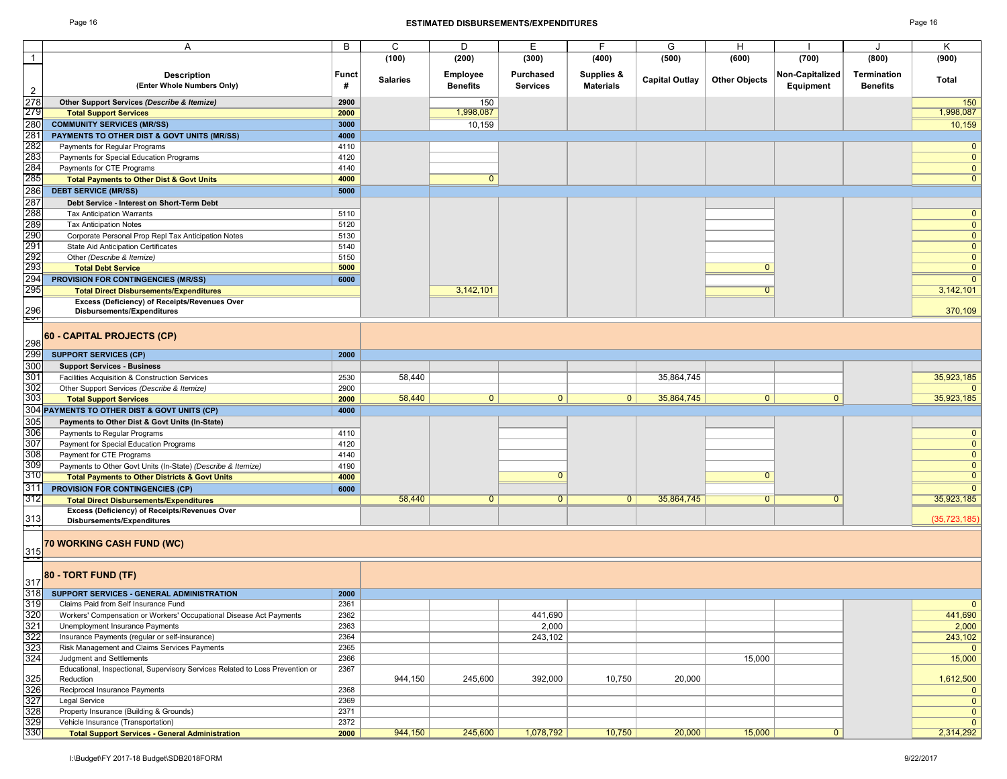#### Page 16 **ESTIMATED DISBURSEMENTS/EXPENDITURES** Page 16

| ∙age |  |
|------|--|
|------|--|

|                   | Α                                                                             | В     | C               | D               | Е                |                  | G                     | H                    |                 |                 | κ              |
|-------------------|-------------------------------------------------------------------------------|-------|-----------------|-----------------|------------------|------------------|-----------------------|----------------------|-----------------|-----------------|----------------|
| $\mathbf{1}$      |                                                                               |       | (100)           | (200)           | (300)            | (400)            | (500)                 | (600)                | (700)           | (800)           | (900)          |
|                   |                                                                               |       |                 |                 |                  |                  |                       |                      |                 |                 |                |
|                   | <b>Description</b>                                                            | Funct | <b>Salaries</b> | <b>Employee</b> | <b>Purchased</b> | Supplies &       | <b>Capital Outlay</b> | <b>Other Objects</b> | Non-Capitalized | Termination     | <b>Total</b>   |
|                   | (Enter Whole Numbers Only)                                                    | #     |                 | <b>Benefits</b> | <b>Services</b>  | <b>Materials</b> |                       |                      | Equipment       | <b>Benefits</b> |                |
| $\overline{2}$    |                                                                               |       |                 |                 |                  |                  |                       |                      |                 |                 |                |
| 278               | Other Support Services (Describe & Itemize)                                   | 2900  |                 | 150             |                  |                  |                       |                      |                 |                 | 150            |
| 279               | <b>Total Support Services</b>                                                 | 2000  |                 | 1,998,087       |                  |                  |                       |                      |                 |                 | 1,998,087      |
| 280               | <b>COMMUNITY SERVICES (MR/SS)</b>                                             | 3000  |                 | 10,159          |                  |                  |                       |                      |                 |                 | 10,159         |
| 281               | PAYMENTS TO OTHER DIST & GOVT UNITS (MR/SS)                                   | 4000  |                 |                 |                  |                  |                       |                      |                 |                 |                |
| 282               | Payments for Regular Programs                                                 | 4110  |                 |                 |                  |                  |                       |                      |                 |                 | $\mathbf{0}$   |
| 283               |                                                                               | 4120  |                 |                 |                  |                  |                       |                      |                 |                 | $\overline{0}$ |
|                   | Payments for Special Education Programs                                       |       |                 |                 |                  |                  |                       |                      |                 |                 |                |
| 284               | Payments for CTE Programs                                                     | 4140  |                 |                 |                  |                  |                       |                      |                 |                 | $\overline{0}$ |
| 285               | <b>Total Payments to Other Dist &amp; Govt Units</b>                          | 4000  |                 | $\mathbf{0}$    |                  |                  |                       |                      |                 |                 | $\mathbf{0}$   |
| 286               | <b>DEBT SERVICE (MR/SS)</b>                                                   | 5000  |                 |                 |                  |                  |                       |                      |                 |                 |                |
| 287               | Debt Service - Interest on Short-Term Debt                                    |       |                 |                 |                  |                  |                       |                      |                 |                 |                |
| 288               | <b>Tax Anticipation Warrants</b>                                              | 5110  |                 |                 |                  |                  |                       |                      |                 |                 | $\mathbf{0}$   |
| 289               |                                                                               |       |                 |                 |                  |                  |                       |                      |                 |                 | $\overline{0}$ |
|                   | <b>Tax Anticipation Notes</b>                                                 | 5120  |                 |                 |                  |                  |                       |                      |                 |                 |                |
| 290               | Corporate Personal Prop Repl Tax Anticipation Notes                           | 5130  |                 |                 |                  |                  |                       |                      |                 |                 | $\overline{0}$ |
| 291               | State Aid Anticipation Certificates                                           | 5140  |                 |                 |                  |                  |                       |                      |                 |                 | $\overline{0}$ |
| 292<br>293        | Other (Describe & Itemize)                                                    | 5150  |                 |                 |                  |                  |                       |                      |                 |                 | $\overline{0}$ |
|                   | <b>Total Debt Service</b>                                                     | 5000  |                 |                 |                  |                  |                       | $\Omega$             |                 |                 | $\overline{0}$ |
| 294               | PROVISION FOR CONTINGENCIES (MR/SS)                                           | 6000  |                 |                 |                  |                  |                       |                      |                 |                 | $\overline{0}$ |
| 295               | <b>Total Direct Disbursements/Expenditures</b>                                |       |                 | 3,142,101       |                  |                  |                       | $\overline{0}$       |                 |                 | 3,142,101      |
|                   |                                                                               |       |                 |                 |                  |                  |                       |                      |                 |                 |                |
|                   | Excess (Deficiency) of Receipts/Revenues Over                                 |       |                 |                 |                  |                  |                       |                      |                 |                 |                |
| $\frac{296}{251}$ | Disbursements/Expenditures                                                    |       |                 |                 |                  |                  |                       |                      |                 |                 | 370,109        |
|                   |                                                                               |       |                 |                 |                  |                  |                       |                      |                 |                 |                |
|                   | 60 - CAPITAL PROJECTS (CP)                                                    |       |                 |                 |                  |                  |                       |                      |                 |                 |                |
| 298               |                                                                               |       |                 |                 |                  |                  |                       |                      |                 |                 |                |
| 299               | <b>SUPPORT SERVICES (CP)</b>                                                  | 2000  |                 |                 |                  |                  |                       |                      |                 |                 |                |
| 300               | <b>Support Services - Business</b>                                            |       |                 |                 |                  |                  |                       |                      |                 |                 |                |
| 301               | Facilities Acquisition & Construction Services                                | 2530  | 58,440          |                 |                  |                  | 35,864,745            |                      |                 |                 | 35,923,185     |
|                   |                                                                               |       |                 |                 |                  |                  |                       |                      |                 |                 |                |
| 302               | Other Support Services (Describe & Itemize)                                   | 2900  |                 |                 |                  |                  |                       |                      |                 |                 | $\mathbf{0}$   |
| 303               | <b>Total Support Services</b>                                                 | 2000  | 58,440          | $\mathbf{0}$    | $\mathbf{0}$     | $\mathbf{0}$     | 35,864,745            | $\mathbf{0}$         | $\overline{0}$  |                 | 35,923,185     |
|                   | 304 PAYMENTS TO OTHER DIST & GOVT UNITS (CP)                                  | 4000  |                 |                 |                  |                  |                       |                      |                 |                 |                |
| 305               | Payments to Other Dist & Govt Units (In-State)                                |       |                 |                 |                  |                  |                       |                      |                 |                 |                |
| 306               | Payments to Regular Programs                                                  | 4110  |                 |                 |                  |                  |                       |                      |                 |                 | $\overline{0}$ |
| 307               | Payment for Special Education Programs                                        | 4120  |                 |                 |                  |                  |                       |                      |                 |                 | $\overline{0}$ |
|                   |                                                                               |       |                 |                 |                  |                  |                       |                      |                 |                 |                |
| 308               | Payment for CTE Programs                                                      | 4140  |                 |                 |                  |                  |                       |                      |                 |                 | $\overline{0}$ |
| 309               | Payments to Other Govt Units (In-State) (Describe & Itemize)                  | 4190  |                 |                 |                  |                  |                       |                      |                 |                 | $\mathbf{0}$   |
| 310               | <b>Total Payments to Other Districts &amp; Govt Units</b>                     | 4000  |                 |                 | $\Omega$         |                  |                       | $\overline{0}$       |                 |                 | $\overline{0}$ |
| 311               | <b>PROVISION FOR CONTINGENCIES (CP)</b>                                       | 6000  |                 |                 |                  |                  |                       |                      |                 |                 | $\overline{0}$ |
| 312               | <b>Total Direct Disbursements/Expenditures</b>                                |       | 58,440          | $\mathbf{0}$    | $\mathbf{0}$     | $\overline{0}$   | 35,864,745            | $\overline{0}$       | $\overline{0}$  |                 | 35,923,185     |
|                   | Excess (Deficiency) of Receipts/Revenues Over                                 |       |                 |                 |                  |                  |                       |                      |                 |                 |                |
| 313               | Disbursements/Expenditures                                                    |       |                 |                 |                  |                  |                       |                      |                 |                 | (35, 723, 185) |
| ᠳ                 |                                                                               |       |                 |                 |                  |                  |                       |                      |                 |                 |                |
|                   |                                                                               |       |                 |                 |                  |                  |                       |                      |                 |                 |                |
| 315               | 70 WORKING CASH FUND (WC)                                                     |       |                 |                 |                  |                  |                       |                      |                 |                 |                |
|                   |                                                                               |       |                 |                 |                  |                  |                       |                      |                 |                 |                |
|                   |                                                                               |       |                 |                 |                  |                  |                       |                      |                 |                 |                |
|                   | 80 - TORT FUND (TF)                                                           |       |                 |                 |                  |                  |                       |                      |                 |                 |                |
| 317               |                                                                               |       |                 |                 |                  |                  |                       |                      |                 |                 |                |
| 318               | SUPPORT SERVICES - GENERAL ADMINISTRATION                                     | 2000  |                 |                 |                  |                  |                       |                      |                 |                 |                |
| 319               | Claims Paid from Self Insurance Fund                                          | 2361  |                 |                 |                  |                  |                       |                      |                 |                 |                |
| 320               | Workers' Compensation or Workers' Occupational Disease Act Payments           | 2362  |                 |                 | 441,690          |                  |                       |                      |                 |                 | 441,690        |
| 321               | Unemployment Insurance Payments                                               | 2363  |                 |                 | 2,000            |                  |                       |                      |                 |                 | 2,000          |
| 322               | Insurance Payments (regular or self-insurance)                                | 2364  |                 |                 | 243,102          |                  |                       |                      |                 |                 | 243,102        |
| 323               | Risk Management and Claims Services Payments                                  | 2365  |                 |                 |                  |                  |                       |                      |                 |                 | $\mathbf{0}$   |
| 324               | Judgment and Settlements                                                      | 2366  |                 |                 |                  |                  |                       |                      |                 |                 |                |
|                   |                                                                               |       |                 |                 |                  |                  |                       | 15,000               |                 |                 | 15,000         |
|                   | Educational, Inspectional, Supervisory Services Related to Loss Prevention or | 2367  |                 |                 |                  |                  |                       |                      |                 |                 |                |
| 325               | Reduction                                                                     |       | 944,150         | 245,600         | 392,000          | 10,750           | 20,000                |                      |                 |                 | 1,612,500      |
| 326               | Reciprocal Insurance Payments                                                 | 2368  |                 |                 |                  |                  |                       |                      |                 |                 | $\mathbf{0}$   |
| 327               | Legal Service                                                                 | 2369  |                 |                 |                  |                  |                       |                      |                 |                 | $\overline{0}$ |
| 328               | Property Insurance (Building & Grounds)                                       | 2371  |                 |                 |                  |                  |                       |                      |                 |                 | $\overline{0}$ |
| 329               | Vehicle Insurance (Transportation)                                            | 2372  |                 |                 |                  |                  |                       |                      |                 |                 | $\mathbf{0}$   |
| 330               | <b>Total Support Services - General Administration</b>                        | 2000  | 944,150         | 245,600         | 1,078,792        | 10,750           | 20,000                | 15,000               | 0               |                 | 2,314,292      |
|                   |                                                                               |       |                 |                 |                  |                  |                       |                      |                 |                 |                |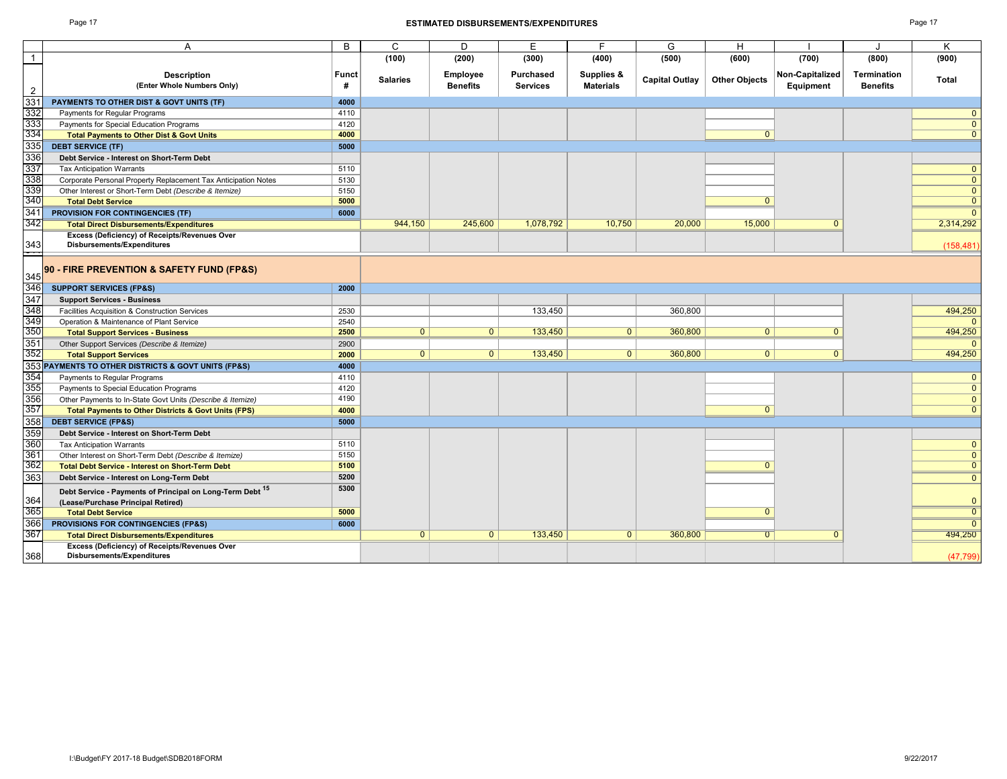#### Page 17 **ESTIMATED DISBURSEMENTS/EXPENDITURES** Page 17

| ٠ |  |
|---|--|
|---|--|

|                   |                                                                 |              | C.              |                 | F               | F.               |                       |                      |                 |                 |                |
|-------------------|-----------------------------------------------------------------|--------------|-----------------|-----------------|-----------------|------------------|-----------------------|----------------------|-----------------|-----------------|----------------|
|                   | A                                                               | B            |                 | D               |                 |                  | G                     | H                    |                 |                 | K              |
|                   |                                                                 |              | (100)           | (200)           | (300)           | (400)            | (500)                 | (600)                | (700)           | (800)           | (900)          |
|                   | <b>Description</b>                                              | <b>Funct</b> |                 | <b>Employee</b> | Purchased       | Supplies &       |                       |                      | Non-Capitalized | Termination     |                |
|                   | (Enter Whole Numbers Only)                                      | #            | <b>Salaries</b> | <b>Benefits</b> | <b>Services</b> | <b>Materials</b> | <b>Capital Outlay</b> | <b>Other Objects</b> | Equipment       | <b>Benefits</b> | Total          |
| $\overline{2}$    |                                                                 |              |                 |                 |                 |                  |                       |                      |                 |                 |                |
| 331               | PAYMENTS TO OTHER DIST & GOVT UNITS (TF)                        | 4000         |                 |                 |                 |                  |                       |                      |                 |                 |                |
| 332               | Payments for Regular Programs                                   | 4110         |                 |                 |                 |                  |                       |                      |                 |                 | $\Omega$       |
| 333<br>334        | Payments for Special Education Programs                         | 4120         |                 |                 |                 |                  |                       |                      |                 |                 | $\mathbf{0}$   |
|                   | <b>Total Payments to Other Dist &amp; Govt Units</b>            | 4000         |                 |                 |                 |                  |                       | $\mathbf{0}$         |                 |                 | $\overline{0}$ |
| 335               | <b>DEBT SERVICE (TF)</b>                                        | 5000         |                 |                 |                 |                  |                       |                      |                 |                 |                |
| 336               | Debt Service - Interest on Short-Term Debt                      |              |                 |                 |                 |                  |                       |                      |                 |                 |                |
| 337               | <b>Tax Anticipation Warrants</b>                                | 5110         |                 |                 |                 |                  |                       |                      |                 |                 | $\mathbf{0}$   |
| 338               | Corporate Personal Property Replacement Tax Anticipation Notes  | 5130         |                 |                 |                 |                  |                       |                      |                 |                 | $\mathbf{0}$   |
| 339               | Other Interest or Short-Term Debt (Describe & Itemize)          | 5150         |                 |                 |                 |                  |                       |                      |                 |                 | $\mathbf{0}$   |
| 340               | <b>Total Debt Service</b>                                       | 5000         |                 |                 |                 |                  |                       | $\Omega$             |                 |                 | $\overline{0}$ |
| 341               | PROVISION FOR CONTINGENCIES (TF)                                | 6000         |                 |                 |                 |                  |                       |                      |                 |                 | $\Omega$       |
| 342               | <b>Total Direct Disbursements/Expenditures</b>                  |              | 944,150         | 245,600         | 1,078,792       | 10,750           | 20,000                | 15,000               | $\Omega$        |                 | 2,314,292      |
|                   | Excess (Deficiency) of Receipts/Revenues Over                   |              |                 |                 |                 |                  |                       |                      |                 |                 |                |
| $\frac{343}{1}$   | <b>Disbursements/Expenditures</b>                               |              |                 |                 |                 |                  |                       |                      |                 |                 | (158, 481)     |
|                   |                                                                 |              |                 |                 |                 |                  |                       |                      |                 |                 |                |
|                   | 90 - FIRE PREVENTION & SAFETY FUND (FP&S)                       |              |                 |                 |                 |                  |                       |                      |                 |                 |                |
| 345               |                                                                 |              |                 |                 |                 |                  |                       |                      |                 |                 |                |
| $\frac{1}{346}$   | <b>SUPPORT SERVICES (FP&amp;S)</b>                              | 2000         |                 |                 |                 |                  |                       |                      |                 |                 |                |
| 347               | <b>Support Services - Business</b>                              |              |                 |                 |                 |                  |                       |                      |                 |                 |                |
| 348               | Facilities Acquisition & Construction Services                  | 2530         |                 |                 | 133,450         |                  | 360,800               |                      |                 |                 | 494,250        |
| 349<br>350        | Operation & Maintenance of Plant Service                        | 2540         |                 |                 |                 |                  |                       |                      |                 |                 | $\Omega$       |
|                   | <b>Total Support Services - Business</b>                        | 2500         | $\overline{0}$  | 0 <sup>1</sup>  | 133,450         | $\mathbf{0}$     | 360,800               | $\mathbf{0}$         | $\Omega$        |                 | 494,250        |
| $\frac{351}{352}$ | Other Support Services (Describe & Itemize)                     | 2900         |                 |                 |                 |                  |                       |                      |                 |                 | $\Omega$       |
|                   | <b>Total Support Services</b>                                   | 2000         | $\overline{0}$  | 0 <sup>1</sup>  | 133,450         | $\overline{0}$   | 360,800               | $\overline{0}$       | $\overline{0}$  |                 | 494.250        |
| 353               | PAYMENTS TO OTHER DISTRICTS & GOVT UNITS (FP&S)                 | 4000         |                 |                 |                 |                  |                       |                      |                 |                 |                |
| 354               | Payments to Regular Programs                                    | 4110         |                 |                 |                 |                  |                       |                      |                 |                 | $\mathbf{0}$   |
| 355               | Payments to Special Education Programs                          | 4120         |                 |                 |                 |                  |                       |                      |                 |                 | $\mathbf{0}$   |
| 356               | Other Payments to In-State Govt Units (Describe & Itemize)      | 4190         |                 |                 |                 |                  |                       |                      |                 |                 | $\mathbf{0}$   |
| 357               | <b>Total Payments to Other Districts &amp; Govt Units (FPS)</b> | 4000         |                 |                 |                 |                  |                       | $\overline{0}$       |                 |                 | $\overline{0}$ |
| 358               | <b>DEBT SERVICE (FP&amp;S)</b>                                  | 5000         |                 |                 |                 |                  |                       |                      |                 |                 |                |
| 359               | Debt Service - Interest on Short-Term Debt                      |              |                 |                 |                 |                  |                       |                      |                 |                 |                |
| 360               | <b>Tax Anticipation Warrants</b>                                | 5110         |                 |                 |                 |                  |                       |                      |                 |                 | $\mathbf{0}$   |
| 361               | Other Interest on Short-Term Debt (Describe & Itemize)          | 5150         |                 |                 |                 |                  |                       |                      |                 |                 | $\mathbf{0}$   |
| 362               | <b>Total Debt Service - Interest on Short-Term Debt</b>         | 5100         |                 |                 |                 |                  |                       | $\Omega$             |                 |                 | $\overline{0}$ |
| 363               | Debt Service - Interest on Long-Term Debt                       | 5200         |                 |                 |                 |                  |                       |                      |                 |                 | $\mathbf{0}$   |
|                   |                                                                 | 5300         |                 |                 |                 |                  |                       |                      |                 |                 |                |
|                   | Debt Service - Payments of Principal on Long-Term Debt 15       |              |                 |                 |                 |                  |                       |                      |                 |                 |                |
| 364               | (Lease/Purchase Principal Retired)                              |              |                 |                 |                 |                  |                       |                      |                 |                 | $\mathbf{0}$   |
| 365               | <b>Total Debt Service</b>                                       | 5000         |                 |                 |                 |                  |                       | $\overline{0}$       |                 |                 | $\overline{0}$ |
| 366               | PROVISIONS FOR CONTINGENCIES (FP&S)                             | 6000         |                 |                 |                 |                  |                       |                      |                 |                 | $\Omega$       |
| 367               | <b>Total Direct Disbursements/Expenditures</b>                  |              | $\overline{0}$  | $\overline{0}$  | 133.450         | $\overline{0}$   | 360.800               | $\overline{0}$       | $\overline{0}$  |                 | 494,250        |
|                   | Excess (Deficiency) of Receipts/Revenues Over                   |              |                 |                 |                 |                  |                       |                      |                 |                 |                |
| 368               | <b>Disbursements/Expenditures</b>                               |              |                 |                 |                 |                  |                       |                      |                 |                 | (47, 799)      |
|                   |                                                                 |              |                 |                 |                 |                  |                       |                      |                 |                 |                |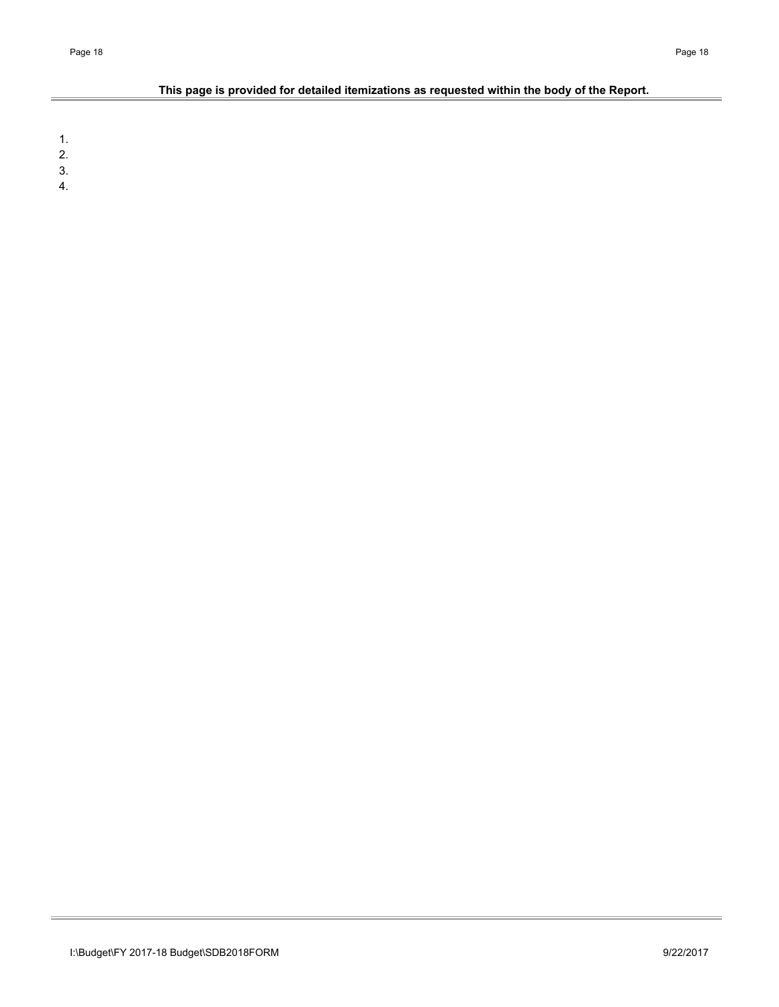# **This page is provided for detailed itemizations as requested within the body of the Report.**

1.

2.

3.

4.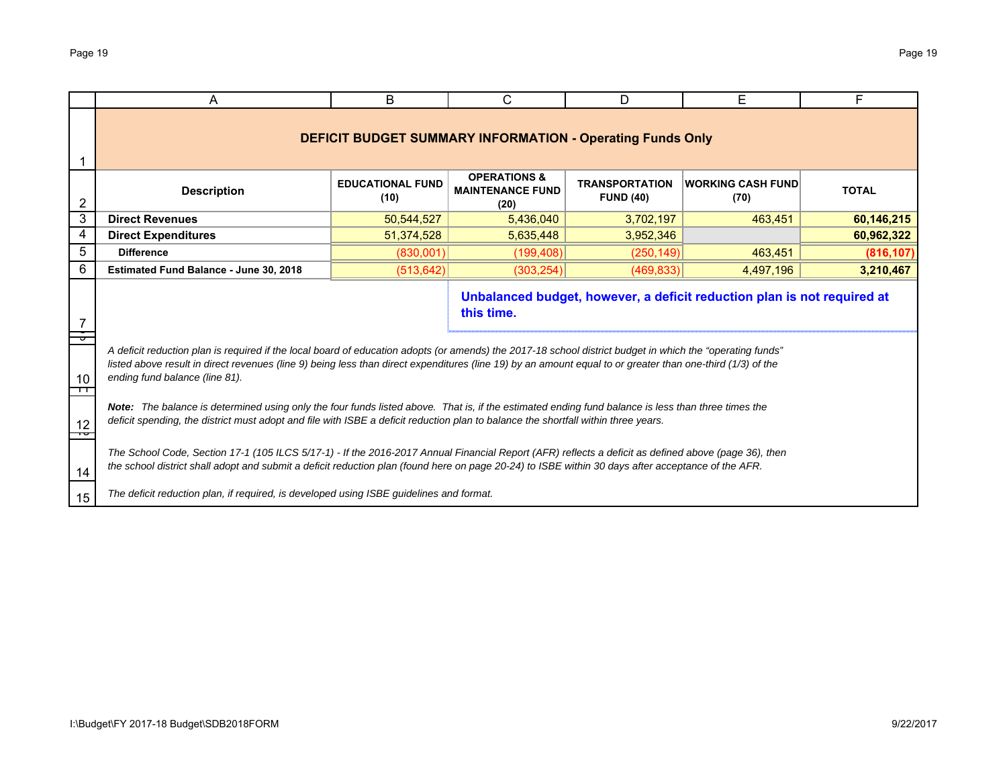|         | A                                                                                                                                                                                                                                                                                                                                                         | B                               | C                                                                | D                                | E                                                                       | F          |  |  |  |  |  |  |  |
|---------|-----------------------------------------------------------------------------------------------------------------------------------------------------------------------------------------------------------------------------------------------------------------------------------------------------------------------------------------------------------|---------------------------------|------------------------------------------------------------------|----------------------------------|-------------------------------------------------------------------------|------------|--|--|--|--|--|--|--|
|         |                                                                                                                                                                                                                                                                                                                                                           |                                 | <b>DEFICIT BUDGET SUMMARY INFORMATION - Operating Funds Only</b> |                                  |                                                                         |            |  |  |  |  |  |  |  |
| 2       | <b>Description</b>                                                                                                                                                                                                                                                                                                                                        | <b>EDUCATIONAL FUND</b><br>(10) | <b>OPERATIONS &amp;</b><br><b>MAINTENANCE FUND</b><br>(20)       | <b>WORKING CASH FUND</b><br>(70) | <b>TOTAL</b>                                                            |            |  |  |  |  |  |  |  |
| 3       | <b>Direct Revenues</b>                                                                                                                                                                                                                                                                                                                                    | 50,544,527                      | 5,436,040                                                        | 3,702,197                        | 463,451                                                                 | 60,146,215 |  |  |  |  |  |  |  |
| 4       | <b>Direct Expenditures</b><br>51,374,528<br>5,635,448<br>3,952,346<br>60,962,322<br>(830,001)<br>(199, 408)                                                                                                                                                                                                                                               |                                 |                                                                  |                                  |                                                                         |            |  |  |  |  |  |  |  |
| 5       | <b>Difference</b>                                                                                                                                                                                                                                                                                                                                         | (250, 149)                      | 463,451                                                          | (816, 107)                       |                                                                         |            |  |  |  |  |  |  |  |
| 6       | (303, 254)<br>3,210,467<br>Estimated Fund Balance - June 30, 2018<br>(513, 642)<br>(469, 833)<br>4,497,196                                                                                                                                                                                                                                                |                                 |                                                                  |                                  |                                                                         |            |  |  |  |  |  |  |  |
|         |                                                                                                                                                                                                                                                                                                                                                           |                                 | this time.                                                       |                                  | Unbalanced budget, however, a deficit reduction plan is not required at |            |  |  |  |  |  |  |  |
| 10<br>┱ | A deficit reduction plan is required if the local board of education adopts (or amends) the 2017-18 school district budget in which the "operating funds"<br>listed above result in direct revenues (line 9) being less than direct expenditures (line 19) by an amount equal to or greater than one-third (1/3) of the<br>ending fund balance (line 81). |                                 |                                                                  |                                  |                                                                         |            |  |  |  |  |  |  |  |
| 12      | Note: The balance is determined using only the four funds listed above. That is, if the estimated ending fund balance is less than three times the<br>deficit spending, the district must adopt and file with ISBE a deficit reduction plan to balance the shortfall within three years.                                                                  |                                 |                                                                  |                                  |                                                                         |            |  |  |  |  |  |  |  |
| 14      | The School Code, Section 17-1 (105 ILCS 5/17-1) - If the 2016-2017 Annual Financial Report (AFR) reflects a deficit as defined above (page 36), then<br>the school district shall adopt and submit a deficit reduction plan (found here on page 20-24) to ISBE within 30 days after acceptance of the AFR.                                                |                                 |                                                                  |                                  |                                                                         |            |  |  |  |  |  |  |  |
| 15      | The deficit reduction plan, if required, is developed using ISBE guidelines and format.                                                                                                                                                                                                                                                                   |                                 |                                                                  |                                  |                                                                         |            |  |  |  |  |  |  |  |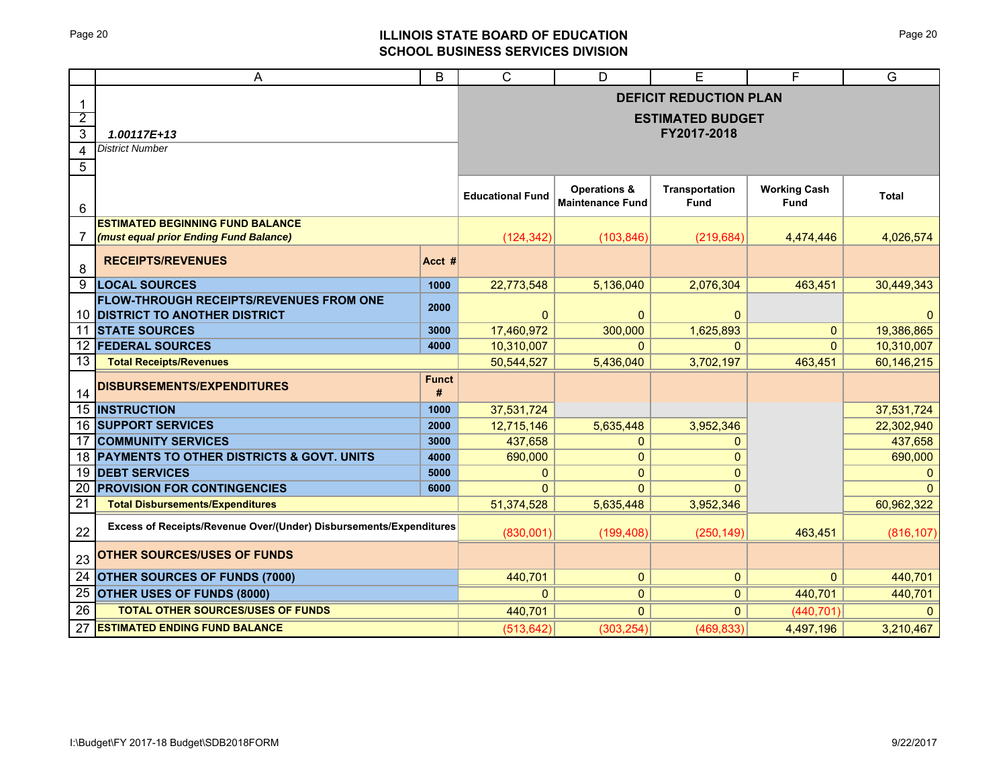# Page 20 **ILLINOIS STATE BOARD OF EDUCATION SCHOOL BUSINESS SERVICES DIVISION**

|                 | A                                                                                     | B                 | $\mathsf{C}$            | D                                                  | E                             | F                           | G            |
|-----------------|---------------------------------------------------------------------------------------|-------------------|-------------------------|----------------------------------------------------|-------------------------------|-----------------------------|--------------|
| -1              |                                                                                       |                   |                         |                                                    | <b>DEFICIT REDUCTION PLAN</b> |                             |              |
| $\overline{2}$  |                                                                                       |                   |                         |                                                    | <b>ESTIMATED BUDGET</b>       |                             |              |
| $\mathfrak{B}$  | 1.00117E+13                                                                           |                   |                         |                                                    | FY2017-2018                   |                             |              |
| 4               | <b>District Number</b>                                                                |                   |                         |                                                    |                               |                             |              |
| 5               |                                                                                       |                   |                         |                                                    |                               |                             |              |
| 6               |                                                                                       |                   | <b>Educational Fund</b> | <b>Operations &amp;</b><br><b>Maintenance Fund</b> | <b>Transportation</b><br>Fund | <b>Working Cash</b><br>Fund | <b>Total</b> |
|                 | <b>ESTIMATED BEGINNING FUND BALANCE</b>                                               |                   |                         |                                                    |                               |                             |              |
| 7               | (must equal prior Ending Fund Balance)                                                |                   | (124, 342)              | (103, 846)                                         | (219, 684)                    | 4,474,446                   | 4,026,574    |
| 8               | <b>RECEIPTS/REVENUES</b>                                                              | Acct #            |                         |                                                    |                               |                             |              |
| 9               | <b>LOCAL SOURCES</b>                                                                  | 1000              | 22,773,548              | 5.136.040                                          | 2,076,304                     | 463,451                     | 30,449,343   |
| 10              | <b>FLOW-THROUGH RECEIPTS/REVENUES FROM ONE</b><br><b>DISTRICT TO ANOTHER DISTRICT</b> | 2000              | 0                       | $\mathbf{0}$                                       | $\mathbf{0}$                  |                             | $\Omega$     |
| 11              | <b>STATE SOURCES</b>                                                                  | 3000              | 17,460,972              | 300,000                                            | 1,625,893                     | $\mathbf{0}$                | 19,386,865   |
| 12              | <b>FEDERAL SOURCES</b>                                                                | 4000              | 10,310,007              | $\Omega$                                           | $\Omega$                      | $\Omega$                    | 10,310,007   |
| 13              | <b>Total Receipts/Revenues</b>                                                        |                   | 50,544,527              | 5,436,040                                          | 3,702,197                     | 463,451                     | 60,146,215   |
| 14              | <b>DISBURSEMENTS/EXPENDITURES</b>                                                     | <b>Funct</b><br># |                         |                                                    |                               |                             |              |
|                 | <b>15 INSTRUCTION</b>                                                                 | 1000              | 37,531,724              |                                                    |                               |                             | 37,531,724   |
|                 | <b>16 SUPPORT SERVICES</b>                                                            | 2000              | 12,715,146              | 5,635,448                                          | 3,952,346                     |                             | 22,302,940   |
| 17              | <b>COMMUNITY SERVICES</b>                                                             | 3000              | 437,658                 | 0                                                  | $\mathbf{0}$                  |                             | 437,658      |
| 18              | <b>PAYMENTS TO OTHER DISTRICTS &amp; GOVT. UNITS</b>                                  | 4000              | 690,000                 | $\mathbf{0}$                                       | $\mathbf{0}$                  |                             | 690,000      |
| 19              | <b>DEBT SERVICES</b>                                                                  | 5000              | $\mathbf{0}$            | $\mathbf{0}$                                       | $\mathbf{0}$                  |                             | $\mathbf{0}$ |
| 20<br>21        | <b>PROVISION FOR CONTINGENCIES</b>                                                    | 6000              | $\Omega$                | $\Omega$                                           | $\Omega$                      |                             |              |
|                 | <b>Total Disbursements/Expenditures</b>                                               |                   | 51,374,528              | 5,635,448                                          | 3,952,346                     |                             | 60,962,322   |
| 22              | Excess of Receipts/Revenue Over/(Under) Disbursements/Expenditures                    |                   | (830,001)               | (199, 408)                                         | (250, 149)                    | 463.451                     | (816, 107)   |
| 23              | OTHER SOURCES/USES OF FUNDS                                                           |                   |                         |                                                    |                               |                             |              |
| $\overline{24}$ | <b>OTHER SOURCES OF FUNDS (7000)</b>                                                  |                   | 440,701                 | $\pmb{0}$                                          | $\mathbf{0}$                  | $\Omega$                    | 440,701      |
| 25              | <b>OTHER USES OF FUNDS (8000)</b>                                                     |                   | 0                       | $\mathbf{0}$                                       | $\mathbf{0}$                  | 440,701                     | 440,701      |
| 26              | <b>TOTAL OTHER SOURCES/USES OF FUNDS</b>                                              |                   | 440,701                 | $\Omega$                                           | $\Omega$                      | (440, 701)                  | $\Omega$     |
| 27              | <b>ESTIMATED ENDING FUND BALANCE</b>                                                  |                   | (513, 642)              | (303, 254)                                         | (469, 833)                    | 4,497,196                   | 3,210,467    |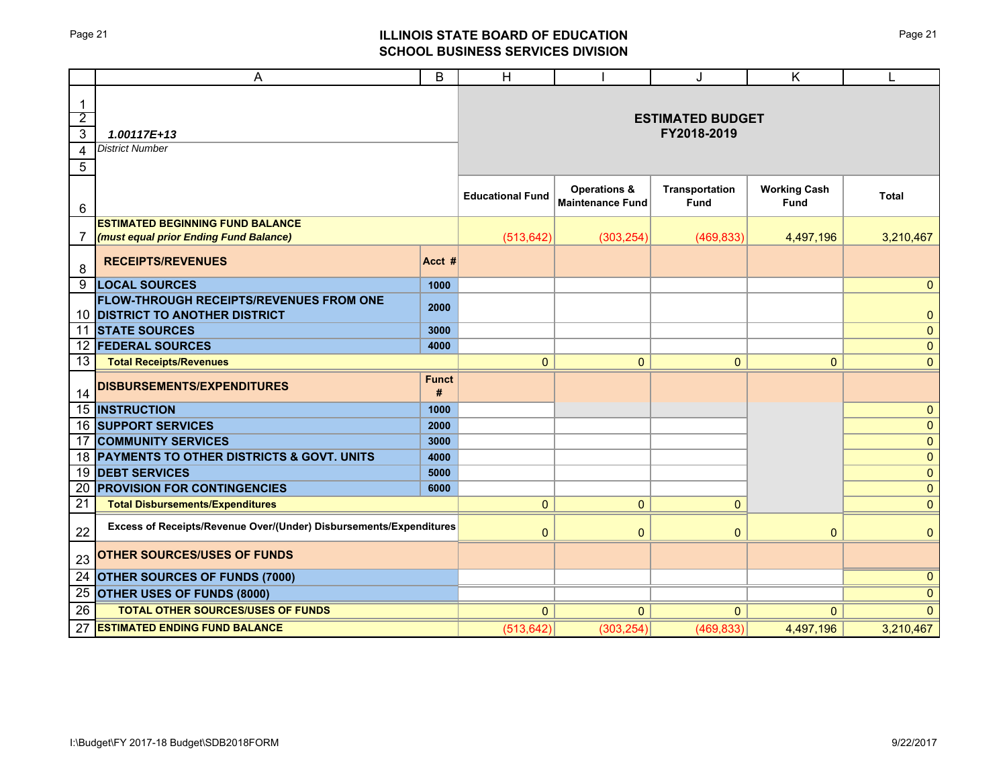# Page 21 **ILLINOIS STATE BOARD OF EDUCATION SCHOOL BUSINESS SERVICES DIVISION**

|                                                                                      | A                                                                                     | B                 | Н                       |                                                    | J                                      | K                           | L            |
|--------------------------------------------------------------------------------------|---------------------------------------------------------------------------------------|-------------------|-------------------------|----------------------------------------------------|----------------------------------------|-----------------------------|--------------|
| $\mathbf{1}$<br>$\overline{2}$<br>$\overline{3}$<br>$\overline{4}$<br>$\overline{5}$ | $1.00117E+13$<br><b>District Number</b>                                               |                   |                         |                                                    | <b>ESTIMATED BUDGET</b><br>FY2018-2019 |                             |              |
| 6                                                                                    |                                                                                       |                   | <b>Educational Fund</b> | <b>Operations &amp;</b><br><b>Maintenance Fund</b> | Transportation<br>Fund                 | <b>Working Cash</b><br>Fund | <b>Total</b> |
| 7                                                                                    | <b>ESTIMATED BEGINNING FUND BALANCE</b><br>(must equal prior Ending Fund Balance)     |                   | (513, 642)              | (303, 254)                                         | (469, 833)                             | 4,497,196                   | 3,210,467    |
| 8                                                                                    | <b>RECEIPTS/REVENUES</b>                                                              | Acct #            |                         |                                                    |                                        |                             |              |
| 9                                                                                    | <b>LOCAL SOURCES</b>                                                                  | 1000              |                         |                                                    |                                        |                             | $\mathbf{0}$ |
| 10                                                                                   | <b>FLOW-THROUGH RECEIPTS/REVENUES FROM ONE</b><br><b>DISTRICT TO ANOTHER DISTRICT</b> | 2000              |                         |                                                    |                                        |                             | $\pmb{0}$    |
| 11                                                                                   | <b>STATE SOURCES</b>                                                                  | 3000              |                         |                                                    |                                        |                             | $\mathbf{0}$ |
| 12                                                                                   | <b>FEDERAL SOURCES</b>                                                                | 4000              |                         |                                                    |                                        |                             | $\mathbf{0}$ |
| 13                                                                                   | <b>Total Receipts/Revenues</b>                                                        |                   | $\mathbf{0}$            | $\pmb{0}$                                          | $\pmb{0}$                              | $\mathbf{0}$                | $\mathbf{0}$ |
| 14                                                                                   | DISBURSEMENTS/EXPENDITURES                                                            | <b>Funct</b><br># |                         |                                                    |                                        |                             |              |
| $\overline{15}$                                                                      | <b>INSTRUCTION</b>                                                                    | 1000              |                         |                                                    |                                        |                             | $\mathbf{0}$ |
| 16                                                                                   | <b>SUPPORT SERVICES</b>                                                               | 2000              |                         |                                                    |                                        |                             | $\mathbf{0}$ |
| 17                                                                                   | <b>COMMUNITY SERVICES</b>                                                             | 3000              |                         |                                                    |                                        |                             | $\mathbf{0}$ |
| 18                                                                                   | PAYMENTS TO OTHER DISTRICTS & GOVT. UNITS                                             | 4000              |                         |                                                    |                                        |                             | $\mathbf{0}$ |
| 19                                                                                   | <b>DEBT SERVICES</b>                                                                  | 5000              |                         |                                                    |                                        |                             | $\mathbf{0}$ |
| 20                                                                                   | <b>PROVISION FOR CONTINGENCIES</b>                                                    | 6000              |                         |                                                    |                                        |                             | $\mathbf{0}$ |
| 21                                                                                   | <b>Total Disbursements/Expenditures</b>                                               |                   | $\mathbf{0}$            | $\mathbf{0}$                                       | $\mathbf{0}$                           |                             | $\mathbf{0}$ |
| 22                                                                                   | Excess of Receipts/Revenue Over/(Under) Disbursements/Expenditures                    |                   | $\mathbf{0}$            | $\mathbf 0$                                        | $\pmb{0}$                              | $\mathbf{0}$                | $\mathbf{0}$ |
| 23                                                                                   | <b>OTHER SOURCES/USES OF FUNDS</b>                                                    |                   |                         |                                                    |                                        |                             |              |
| $\overline{24}$                                                                      | <b>OTHER SOURCES OF FUNDS (7000)</b>                                                  |                   |                         |                                                    |                                        |                             | $\mathbf{0}$ |
| 25                                                                                   | OTHER USES OF FUNDS (8000)                                                            |                   |                         |                                                    |                                        |                             | $\mathbf{0}$ |
| 26                                                                                   | TOTAL OTHER SOURCES/USES OF FUNDS                                                     |                   | $\mathbf{0}$            | $\mathbf{0}$                                       | $\mathbf{0}$                           | $\mathbf{0}$                | $\Omega$     |
| 27                                                                                   | <b>ESTIMATED ENDING FUND BALANCE</b>                                                  |                   | (513, 642)              | (303, 254)                                         | (469, 833)                             | 4,497,196                   | 3,210,467    |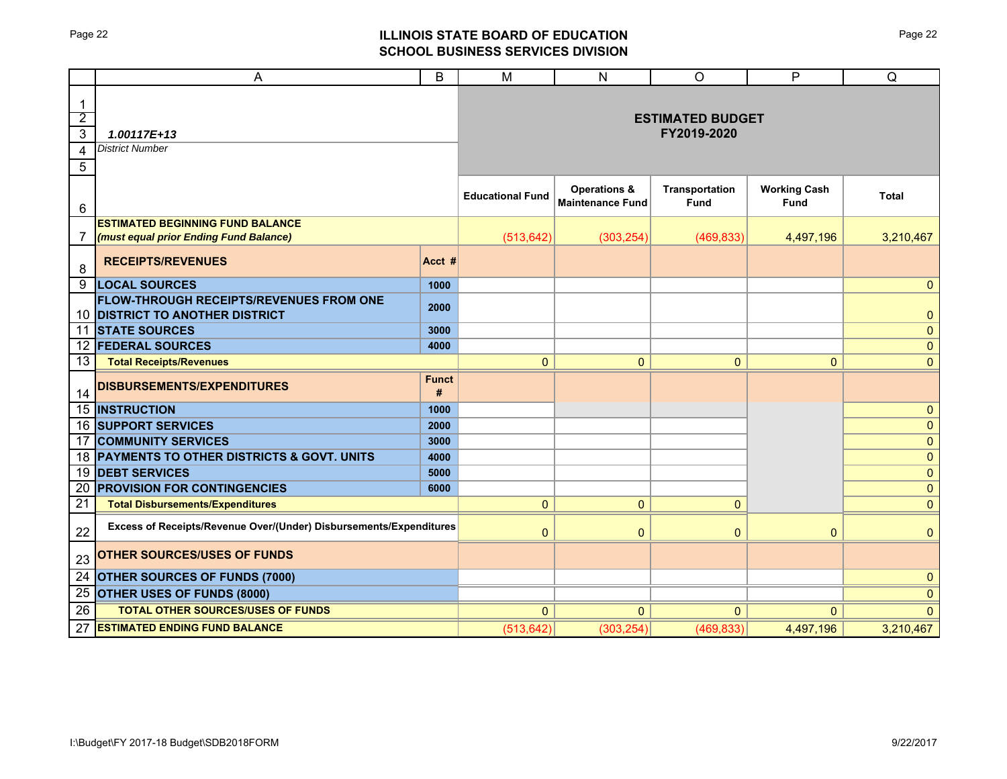# Page 22 **ILLINOIS STATE BOARD OF EDUCATION SCHOOL BUSINESS SERVICES DIVISION**

|                                                           | A                                                                                 | B                 | M                       | N                                                  | O                                      | P                           | Q            |
|-----------------------------------------------------------|-----------------------------------------------------------------------------------|-------------------|-------------------------|----------------------------------------------------|----------------------------------------|-----------------------------|--------------|
| $\mathbf 1$<br>$\overline{2}$<br>$\overline{3}$<br>4<br>5 | $1.00117E+13$<br><b>District Number</b>                                           |                   |                         |                                                    | <b>ESTIMATED BUDGET</b><br>FY2019-2020 |                             |              |
| 6                                                         |                                                                                   |                   | <b>Educational Fund</b> | <b>Operations &amp;</b><br><b>Maintenance Fund</b> | <b>Transportation</b><br>Fund          | <b>Working Cash</b><br>Fund | <b>Total</b> |
| 7                                                         | <b>ESTIMATED BEGINNING FUND BALANCE</b><br>(must equal prior Ending Fund Balance) |                   | (513, 642)              | (303, 254)                                         | (469, 833)                             | 4,497,196                   | 3,210,467    |
| 8                                                         | <b>RECEIPTS/REVENUES</b>                                                          | Acct #            |                         |                                                    |                                        |                             |              |
| 9                                                         | <b>LOCAL SOURCES</b>                                                              | 1000              |                         |                                                    |                                        |                             | $\mathbf{0}$ |
| 10                                                        | FLOW-THROUGH RECEIPTS/REVENUES FROM ONE<br><b>DISTRICT TO ANOTHER DISTRICT</b>    | 2000              |                         |                                                    |                                        |                             | $\pmb{0}$    |
| 11                                                        | <b>STATE SOURCES</b>                                                              | 3000              |                         |                                                    |                                        |                             | $\pmb{0}$    |
| 12                                                        | <b>FEDERAL SOURCES</b>                                                            | 4000              |                         |                                                    |                                        |                             | $\pmb{0}$    |
| 13                                                        | <b>Total Receipts/Revenues</b>                                                    |                   | $\pmb{0}$               | $\mathbf 0$                                        | 0                                      | $\pmb{0}$                   | $\mathbf{0}$ |
| 14                                                        | <b>DISBURSEMENTS/EXPENDITURES</b>                                                 | <b>Funct</b><br># |                         |                                                    |                                        |                             |              |
| 15                                                        | <b>INSTRUCTION</b>                                                                | 1000              |                         |                                                    |                                        |                             | $\mathbf{0}$ |
| 16                                                        | <b>SUPPORT SERVICES</b>                                                           | 2000              |                         |                                                    |                                        |                             | $\mathbf{0}$ |
| 17                                                        | <b>COMMUNITY SERVICES</b>                                                         | 3000              |                         |                                                    |                                        |                             | $\pmb{0}$    |
| 18                                                        | PAYMENTS TO OTHER DISTRICTS & GOVT. UNITS                                         | 4000              |                         |                                                    |                                        |                             | $\mathbf{0}$ |
| 19                                                        | <b>DEBT SERVICES</b>                                                              | 5000              |                         |                                                    |                                        |                             | $\mathbf{0}$ |
| 20                                                        | <b>PROVISION FOR CONTINGENCIES</b>                                                | 6000              |                         |                                                    |                                        |                             | $\pmb{0}$    |
| 21                                                        | <b>Total Disbursements/Expenditures</b>                                           |                   | $\mathbf{0}$            | $\mathbf{0}$                                       | $\mathbf{0}$                           |                             | $\mathbf{0}$ |
| 22                                                        | Excess of Receipts/Revenue Over/(Under) Disbursements/Expenditures                |                   | $\mathbf{0}$            | $\mathbf{0}$                                       | $\mathbf{0}$                           | $\mathbf{0}$                | $\mathbf{0}$ |
| 23                                                        | <b>OTHER SOURCES/USES OF FUNDS</b>                                                |                   |                         |                                                    |                                        |                             |              |
| $\overline{24}$                                           | <b>OTHER SOURCES OF FUNDS (7000)</b>                                              |                   |                         |                                                    |                                        |                             | $\mathbf{0}$ |
| $\overline{25}$                                           | OTHER USES OF FUNDS (8000)                                                        |                   |                         |                                                    |                                        |                             | $\mathbf{0}$ |
| 26                                                        | <b>TOTAL OTHER SOURCES/USES OF FUNDS</b>                                          |                   | $\mathbf{0}$            | $\Omega$                                           | $\Omega$                               | $\Omega$                    | $\Omega$     |
| 27                                                        | <b>ESTIMATED ENDING FUND BALANCE</b>                                              |                   | (513, 642)              | (303, 254)                                         | (469, 833)                             | 4,497,196                   | 3,210,467    |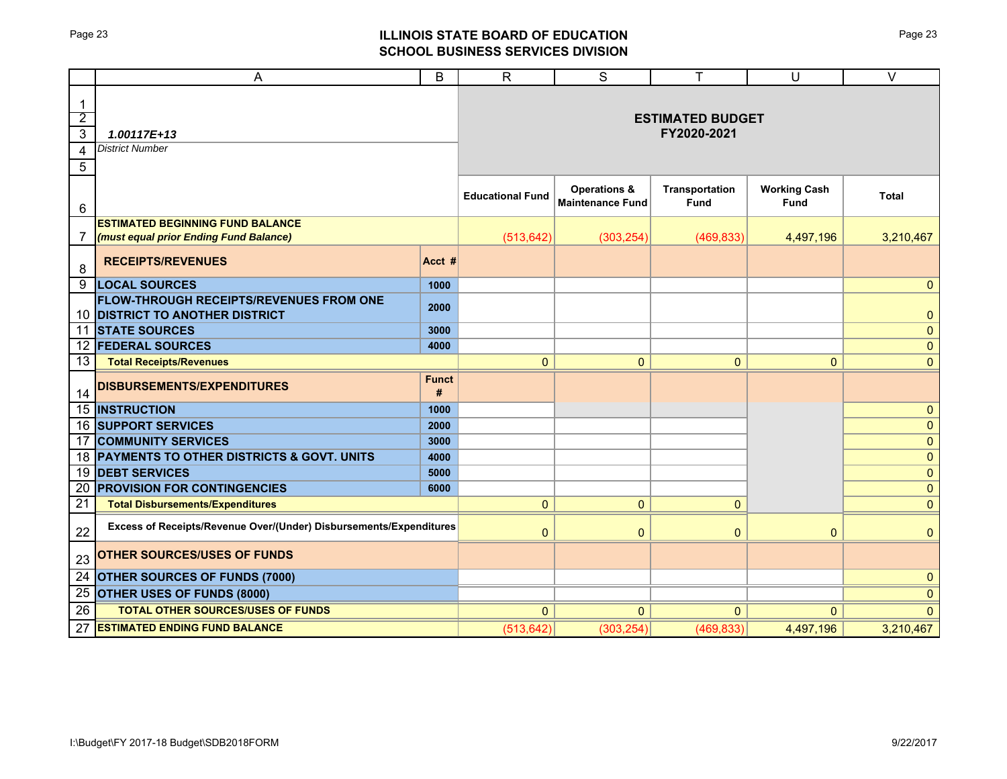# Page 23 **ILLINOIS STATE BOARD OF EDUCATION SCHOOL BUSINESS SERVICES DIVISION**

|                                                            | A                                                                                 | B                 | $\mathsf{R}$                           | S                                                  | T                             | U                           | $\vee$                       |  |  |  |  |
|------------------------------------------------------------|-----------------------------------------------------------------------------------|-------------------|----------------------------------------|----------------------------------------------------|-------------------------------|-----------------------------|------------------------------|--|--|--|--|
| $\mathbf{1}$<br>$\overline{2}$<br>$\overline{3}$<br>4<br>5 | 1.00117E+13<br><b>District Number</b>                                             |                   | <b>ESTIMATED BUDGET</b><br>FY2020-2021 |                                                    |                               |                             |                              |  |  |  |  |
| 6                                                          |                                                                                   |                   | <b>Educational Fund</b>                | <b>Operations &amp;</b><br><b>Maintenance Fund</b> | <b>Transportation</b><br>Fund | <b>Working Cash</b><br>Fund | <b>Total</b>                 |  |  |  |  |
| 7                                                          | <b>ESTIMATED BEGINNING FUND BALANCE</b><br>(must equal prior Ending Fund Balance) |                   | (513, 642)                             | (303, 254)                                         | (469, 833)                    | 4,497,196                   | 3,210,467                    |  |  |  |  |
| 8                                                          | <b>RECEIPTS/REVENUES</b>                                                          | Acct #            |                                        |                                                    |                               |                             |                              |  |  |  |  |
| 9                                                          | <b>LOCAL SOURCES</b>                                                              | 1000              |                                        |                                                    |                               |                             | $\mathbf{0}$                 |  |  |  |  |
|                                                            | FLOW-THROUGH RECEIPTS/REVENUES FROM ONE<br>10 DISTRICT TO ANOTHER DISTRICT        | 2000              |                                        |                                                    |                               |                             | $\pmb{0}$                    |  |  |  |  |
|                                                            | <b>11 STATE SOURCES</b>                                                           | 3000              |                                        |                                                    |                               |                             | $\pmb{0}$                    |  |  |  |  |
|                                                            | <b>12 FEDERAL SOURCES</b>                                                         | 4000              |                                        |                                                    |                               |                             | $\pmb{0}$                    |  |  |  |  |
| 13                                                         | <b>Total Receipts/Revenues</b>                                                    |                   | 0                                      | $\mathbf 0$                                        | 0                             | $\mathbf{0}$                | $\mathbf{0}$                 |  |  |  |  |
| 14                                                         | <b>DISBURSEMENTS/EXPENDITURES</b>                                                 | <b>Funct</b><br># |                                        |                                                    |                               |                             |                              |  |  |  |  |
|                                                            | <b>15 INSTRUCTION</b>                                                             | 1000              |                                        |                                                    |                               |                             | $\mathbf{0}$                 |  |  |  |  |
|                                                            | 16 SUPPORT SERVICES                                                               | 2000              |                                        |                                                    |                               |                             | $\mathbf{0}$                 |  |  |  |  |
| 17                                                         | <b>COMMUNITY SERVICES</b>                                                         | 3000              |                                        |                                                    |                               |                             | $\pmb{0}$                    |  |  |  |  |
|                                                            | 18 PAYMENTS TO OTHER DISTRICTS & GOVT. UNITS                                      | 4000              |                                        |                                                    |                               |                             | $\pmb{0}$                    |  |  |  |  |
| 19<br>20                                                   | <b>DEBT SERVICES</b><br><b>PROVISION FOR CONTINGENCIES</b>                        | 5000<br>6000      |                                        |                                                    |                               |                             | $\mathbf{0}$                 |  |  |  |  |
| 21                                                         | <b>Total Disbursements/Expenditures</b>                                           |                   | $\overline{0}$                         | $\mathbf{0}$                                       | $\mathbf 0$                   |                             | $\mathbf{0}$<br>$\mathbf{0}$ |  |  |  |  |
| 22                                                         | Excess of Receipts/Revenue Over/(Under) Disbursements/Expenditures                |                   | $\mathbf{0}$                           | $\mathbf{0}$                                       | $\mathbf{0}$                  | $\Omega$                    | $\mathbf{0}$                 |  |  |  |  |
| 23                                                         | <b>OTHER SOURCES/USES OF FUNDS</b>                                                |                   |                                        |                                                    |                               |                             |                              |  |  |  |  |
| $\overline{24}$                                            | <b>OTHER SOURCES OF FUNDS (7000)</b>                                              |                   |                                        |                                                    |                               |                             | $\mathbf{0}$                 |  |  |  |  |
| 25                                                         | <b>OTHER USES OF FUNDS (8000)</b>                                                 |                   |                                        |                                                    |                               |                             | $\mathbf{0}$                 |  |  |  |  |
| 26                                                         | <b>TOTAL OTHER SOURCES/USES OF FUNDS</b>                                          |                   | $\Omega$                               | $\Omega$                                           | $\Omega$                      | $\Omega$                    | $\Omega$                     |  |  |  |  |
| 27                                                         | <b>ESTIMATED ENDING FUND BALANCE</b>                                              |                   | (513, 642)                             | (303, 254)                                         | (469, 833)                    | 4,497,196                   | 3,210,467                    |  |  |  |  |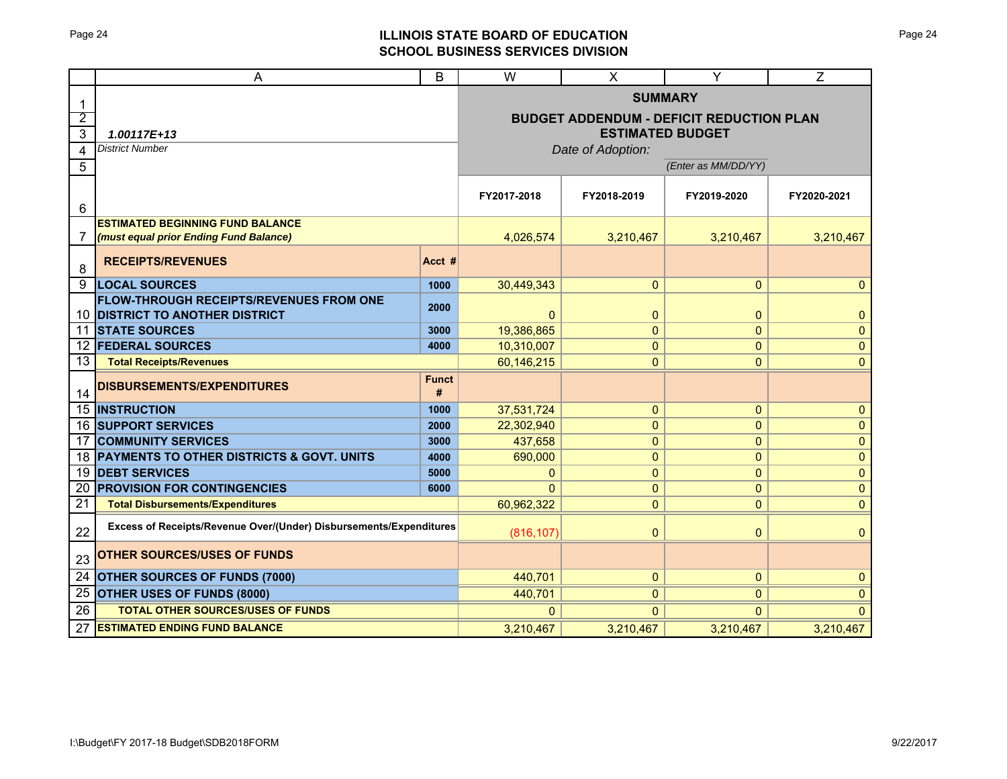# Page 24 **ILLINOIS STATE BOARD OF EDUCATION SCHOOL BUSINESS SERVICES DIVISION**

|                 | A                                                                  |                         | W               | X                                               | Y                        | $\overline{Z}$              |  |
|-----------------|--------------------------------------------------------------------|-------------------------|-----------------|-------------------------------------------------|--------------------------|-----------------------------|--|
| 1               |                                                                    |                         | <b>SUMMARY</b>  |                                                 |                          |                             |  |
| $\overline{2}$  |                                                                    |                         |                 | <b>BUDGET ADDENDUM - DEFICIT REDUCTION PLAN</b> |                          |                             |  |
| 3               | 1.00117E+13                                                        | <b>ESTIMATED BUDGET</b> |                 |                                                 |                          |                             |  |
| $\overline{4}$  | <b>District Number</b>                                             | Date of Adoption:       |                 |                                                 |                          |                             |  |
| 5               |                                                                    | (Enter as MM/DD/YY)     |                 |                                                 |                          |                             |  |
| 6               |                                                                    |                         | FY2017-2018     | FY2018-2019                                     | FY2019-2020              | FY2020-2021                 |  |
|                 | <b>ESTIMATED BEGINNING FUND BALANCE</b>                            |                         |                 |                                                 |                          |                             |  |
| 7               | (must equal prior Ending Fund Balance)                             | 4,026,574               | 3,210,467       | 3,210,467                                       | 3,210,467                |                             |  |
| 8               | <b>RECEIPTS/REVENUES</b>                                           | Acct #                  |                 |                                                 |                          |                             |  |
| 9               | <b>LOCAL SOURCES</b>                                               | 1000                    | 30,449,343      | $\mathbf{0}$                                    | $\mathbf{0}$             | $\mathbf{0}$                |  |
|                 | FLOW-THROUGH RECEIPTS/REVENUES FROM ONE                            | 2000                    |                 |                                                 |                          |                             |  |
| 10<br>11        | <b>DISTRICT TO ANOTHER DISTRICT</b><br><b>STATE SOURCES</b>        | 3000                    | 0<br>19,386,865 | $\mathbf{0}$<br>$\mathbf 0$                     | $\pmb{0}$<br>$\mathbf 0$ | $\mathbf 0$<br>$\mathbf{0}$ |  |
| 12              | <b>FEDERAL SOURCES</b>                                             | 4000                    | 10,310,007      | $\mathbf{0}$                                    | $\mathbf 0$              | $\mathbf{0}$                |  |
| 13              | <b>Total Receipts/Revenues</b>                                     |                         | 60,146,215      | $\mathbf{0}$                                    | $\mathbf{0}$             | $\mathbf{0}$                |  |
| 14              | DISBURSEMENTS/EXPENDITURES                                         | <b>Funct</b><br>#       |                 |                                                 |                          |                             |  |
| 15              | <b>INSTRUCTION</b>                                                 | 1000                    | 37,531,724      | 0                                               | 0                        | $\mathbf{0}$                |  |
| 16              | <b>SUPPORT SERVICES</b>                                            | 2000                    | 22,302,940      | 0                                               | 0                        | $\pmb{0}$                   |  |
| 17              | <b>COMMUNITY SERVICES</b>                                          | 3000                    | 437,658         | 0                                               | 0                        | $\pmb{0}$                   |  |
| 18              | PAYMENTS TO OTHER DISTRICTS & GOVT. UNITS                          | 4000                    | 690,000         | 0                                               | 0                        | $\mathbf 0$                 |  |
| 19              | <b>DEBT SERVICES</b>                                               | 5000                    | $\mathbf{0}$    | $\mathbf{0}$                                    | 0                        | $\mathbf 0$                 |  |
| 20<br>21        | <b>PROVISION FOR CONTINGENCIES</b>                                 | 6000                    | $\Omega$        | $\mathbf{0}$                                    | 0                        | $\mathbf 0$                 |  |
|                 | <b>Total Disbursements/Expenditures</b>                            |                         | 60,962,322      | $\mathbf{0}$                                    | $\mathbf 0$              | $\mathbf{0}$                |  |
| 22              | Excess of Receipts/Revenue Over/(Under) Disbursements/Expenditures |                         | (816, 107)      | $\mathbf{0}$                                    | $\pmb{0}$                | $\mathbf{0}$                |  |
| 23              | <b>OTHER SOURCES/USES OF FUNDS</b>                                 |                         |                 |                                                 |                          |                             |  |
| $\overline{24}$ | <b>OTHER SOURCES OF FUNDS (7000)</b>                               |                         | 440,701         | $\mathbf{0}$                                    | $\pmb{0}$                | $\mathbf 0$                 |  |
| 25              | <b>OTHER USES OF FUNDS (8000)</b>                                  |                         | 440,701         | $\Omega$                                        | $\mathbf{0}$             | $\mathbf{0}$                |  |
| 26              | <b>TOTAL OTHER SOURCES/USES OF FUNDS</b>                           |                         | $\Omega$        | $\Omega$                                        | $\Omega$                 | $\Omega$                    |  |
| 27              | <b>ESTIMATED ENDING FUND BALANCE</b>                               |                         | 3,210,467       | 3,210,467                                       | 3,210,467                | 3,210,467                   |  |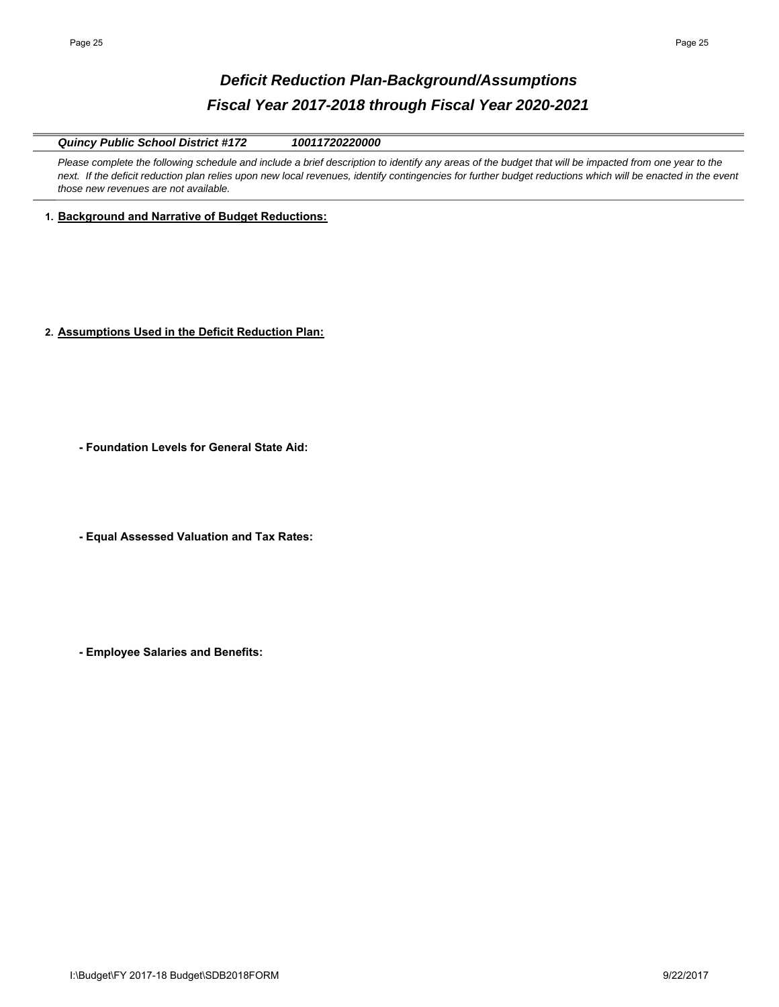# *Deficit Reduction Plan-Background/Assumptions Fiscal Year 2017-2018 through Fiscal Year 2020-2021*

*Quincy Public School District #172 10011720220000*

Please complete the following schedule and include a brief description to identify any areas of the budget that will be impacted from one year to the next. If the deficit reduction plan relies upon new local revenues, identify contingencies for further budget reductions which will be enacted in the event *those new revenues are not available.* 

**1. Background and Narrative of Budget Reductions:**

**2. Assumptions Used in the Deficit Reduction Plan:**

**- Foundation Levels for General State Aid:**

**- Equal Assessed Valuation and Tax Rates:**

**- Employee Salaries and Benefits:**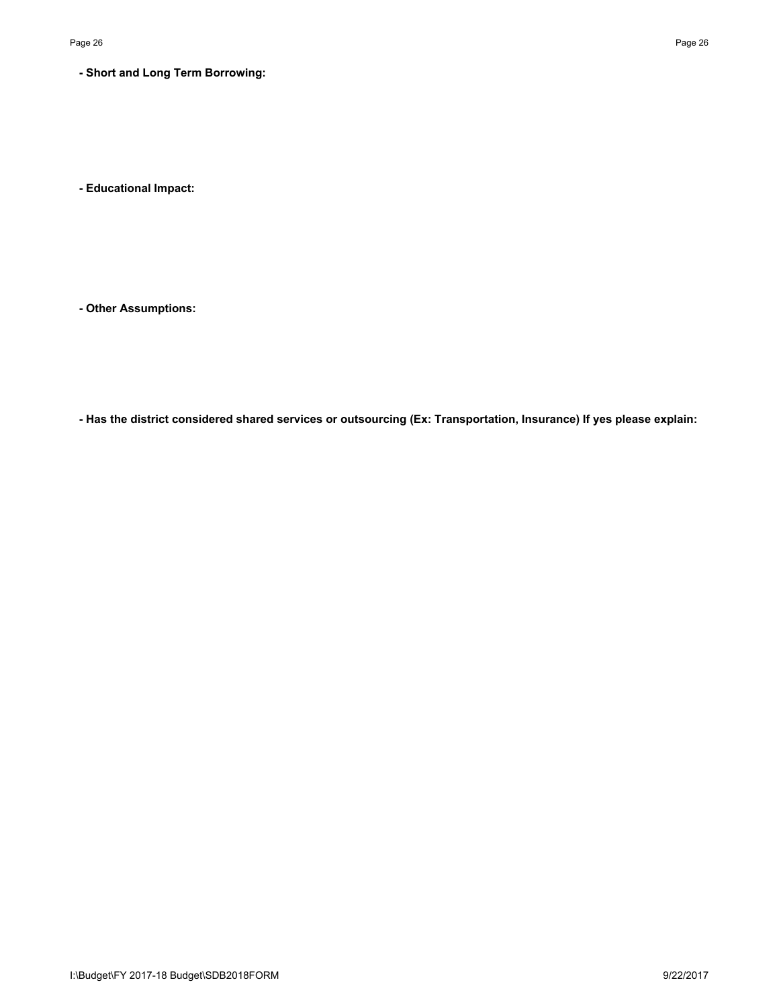# **- Short and Long Term Borrowing:**

**- Educational Impact:**

**- Other Assumptions:**

**- Has the district considered shared services or outsourcing (Ex: Transportation, Insurance) If yes please explain:**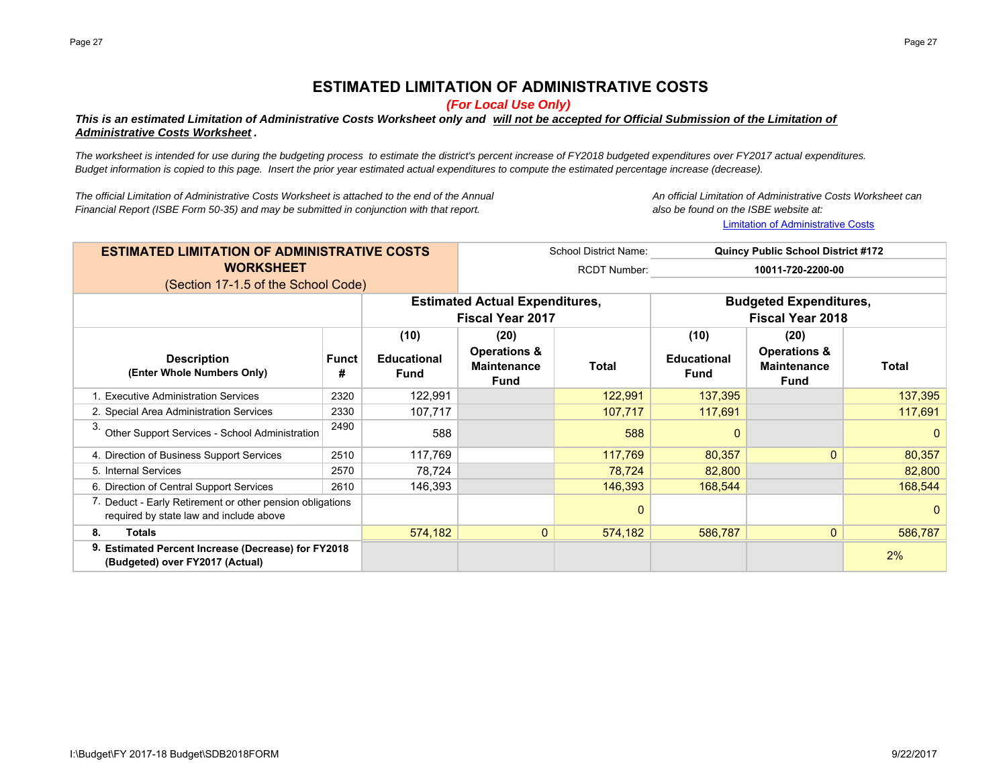# **ESTIMATED LIMITATION OF ADMINISTRATIVE COSTS**

*(For Local Use Only)*

# *This is an estimated Limitation of Administrative Costs Worksheet only and will not be accepted for Official Submission of the Limitation of Administrative Costs Worksheet .*

*The worksheet is intended for use during the budgeting process to estimate the district's percent increase of FY2018 budgeted expenditures over FY2017 actual expenditures. Budget information is copied to this page. Insert the prior year estimated actual expenditures to compute the estimated percentage increase (decrease).*

*The official Limitation of Administrative Costs Worksheet is attached to the end of the Annual Financial Report (ISBE Form 50-35) and may be submitted in conjunction with that report. also be found on the ISBE website at:*

An official Limitation of Administrative Costs Worksheet can Limitation of Administrative Costs

| <b>ESTIMATED LIMITATION OF ADMINISTRATIVE COSTS</b>                                                  | <b>School District Name:</b><br><b>Quincy Public School District #172</b> |                                   |                                                                  |             |                                                          |                                                              |              |
|------------------------------------------------------------------------------------------------------|---------------------------------------------------------------------------|-----------------------------------|------------------------------------------------------------------|-------------|----------------------------------------------------------|--------------------------------------------------------------|--------------|
| <b>WORKSHEET</b>                                                                                     |                                                                           | <b>RCDT Number:</b>               | 10011-720-2200-00                                                |             |                                                          |                                                              |              |
| (Section 17-1.5 of the School Code)                                                                  |                                                                           |                                   |                                                                  |             |                                                          |                                                              |              |
|                                                                                                      |                                                                           |                                   | <b>Estimated Actual Expenditures,</b><br><b>Fiscal Year 2017</b> |             | <b>Budgeted Expenditures,</b><br><b>Fiscal Year 2018</b> |                                                              |              |
|                                                                                                      |                                                                           | (10)                              | (20)                                                             |             | (10)                                                     | (20)                                                         |              |
| <b>Description</b><br>(Enter Whole Numbers Only)                                                     | Funct<br>#                                                                | <b>Educational</b><br><b>Fund</b> | <b>Operations &amp;</b><br><b>Maintenance</b><br><b>Fund</b>     | Total       | <b>Educational</b><br><b>Fund</b>                        | <b>Operations &amp;</b><br><b>Maintenance</b><br><b>Fund</b> | <b>Total</b> |
| 1. Executive Administration Services                                                                 | 2320                                                                      | 122,991                           |                                                                  | 122,991     | 137,395                                                  |                                                              | 137,395      |
| 2. Special Area Administration Services                                                              | 2330                                                                      | 107,717                           |                                                                  | 107,717     | 117,691                                                  |                                                              | 117,691      |
| З.<br>Other Support Services - School Administration                                                 | 2490                                                                      | 588                               |                                                                  | 588         | $\Omega$                                                 |                                                              | $\mathbf{0}$ |
| 4. Direction of Business Support Services                                                            | 2510                                                                      | 117,769                           |                                                                  | 117,769     | 80,357                                                   | $\mathbf{0}$                                                 | 80,357       |
| 5. Internal Services                                                                                 | 2570                                                                      | 78,724                            |                                                                  | 78,724      | 82,800                                                   |                                                              | 82,800       |
| 6. Direction of Central Support Services                                                             | 2610                                                                      | 146,393                           |                                                                  | 146,393     | 168,544                                                  |                                                              | 168,544      |
| 7. Deduct - Early Retirement or other pension obligations<br>required by state law and include above |                                                                           |                                   |                                                                  | $\mathbf 0$ |                                                          |                                                              | $\mathbf 0$  |
| <b>Totals</b><br>8.                                                                                  |                                                                           | 574,182                           | $\mathbf{0}$                                                     | 574,182     | 586,787                                                  | $\mathbf{0}$                                                 | 586,787      |
| 9. Estimated Percent Increase (Decrease) for FY2018<br>(Budgeted) over FY2017 (Actual)               |                                                                           |                                   |                                                                  |             |                                                          |                                                              | 2%           |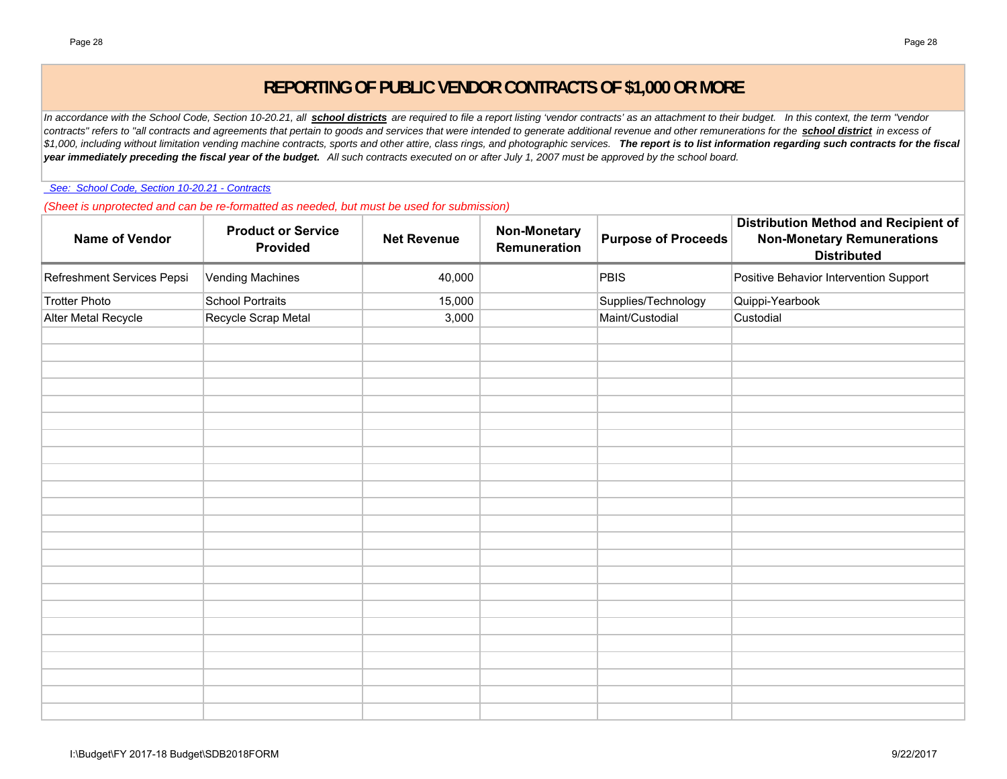# **REPORTING OF PUBLIC VENDOR CONTRACTS OF \$1,000 OR MORE**

In accordance with the School Code, Section 10-20.21, all **school districts** are required to file a report listing 'vendor contracts' as an attachment to their budget. In this context, the term "vendor *contracts" refers to "all contracts and agreements that pertain to goods and services that were intended to generate additional revenue and other remunerations for the school district in excess of*   $$1,000$ , including without limitation vending machine contracts, sports and other attire, class rings, and photographic services. The report is to list information regarding such contracts for the fiscal *year immediately preceding the fiscal year of the budget. All such contracts executed on or after July 1, 2007 must be approved by the school board.*

 *See: School Code, Section 10-20.21 - Contracts*

*(Sheet is unprotected and can be re-formatted as needed, but must be used for submission)*

| <b>Name of Vendor</b>      | <b>Product or Service</b><br>Provided | <b>Net Revenue</b> | <b>Non-Monetary</b><br>Remuneration | <b>Purpose of Proceeds</b> | Distribution Method and Recipient of<br><b>Non-Monetary Remunerations</b><br><b>Distributed</b> |
|----------------------------|---------------------------------------|--------------------|-------------------------------------|----------------------------|-------------------------------------------------------------------------------------------------|
| Refreshment Services Pepsi | <b>Vending Machines</b>               | 40,000             |                                     | <b>PBIS</b>                | Positive Behavior Intervention Support                                                          |
| <b>Trotter Photo</b>       | School Portraits                      | 15,000             |                                     | Supplies/Technology        | Quippi-Yearbook                                                                                 |
| Alter Metal Recycle        | Recycle Scrap Metal                   | 3,000              |                                     | Maint/Custodial            | Custodial                                                                                       |
|                            |                                       |                    |                                     |                            |                                                                                                 |
|                            |                                       |                    |                                     |                            |                                                                                                 |
|                            |                                       |                    |                                     |                            |                                                                                                 |
|                            |                                       |                    |                                     |                            |                                                                                                 |
|                            |                                       |                    |                                     |                            |                                                                                                 |
|                            |                                       |                    |                                     |                            |                                                                                                 |
|                            |                                       |                    |                                     |                            |                                                                                                 |
|                            |                                       |                    |                                     |                            |                                                                                                 |
|                            |                                       |                    |                                     |                            |                                                                                                 |
|                            |                                       |                    |                                     |                            |                                                                                                 |
|                            |                                       |                    |                                     |                            |                                                                                                 |
|                            |                                       |                    |                                     |                            |                                                                                                 |
|                            |                                       |                    |                                     |                            |                                                                                                 |
|                            |                                       |                    |                                     |                            |                                                                                                 |
|                            |                                       |                    |                                     |                            |                                                                                                 |
|                            |                                       |                    |                                     |                            |                                                                                                 |
|                            |                                       |                    |                                     |                            |                                                                                                 |
|                            |                                       |                    |                                     |                            |                                                                                                 |
|                            |                                       |                    |                                     |                            |                                                                                                 |
|                            |                                       |                    |                                     |                            |                                                                                                 |
|                            |                                       |                    |                                     |                            |                                                                                                 |
|                            |                                       |                    |                                     |                            |                                                                                                 |
|                            |                                       |                    |                                     |                            |                                                                                                 |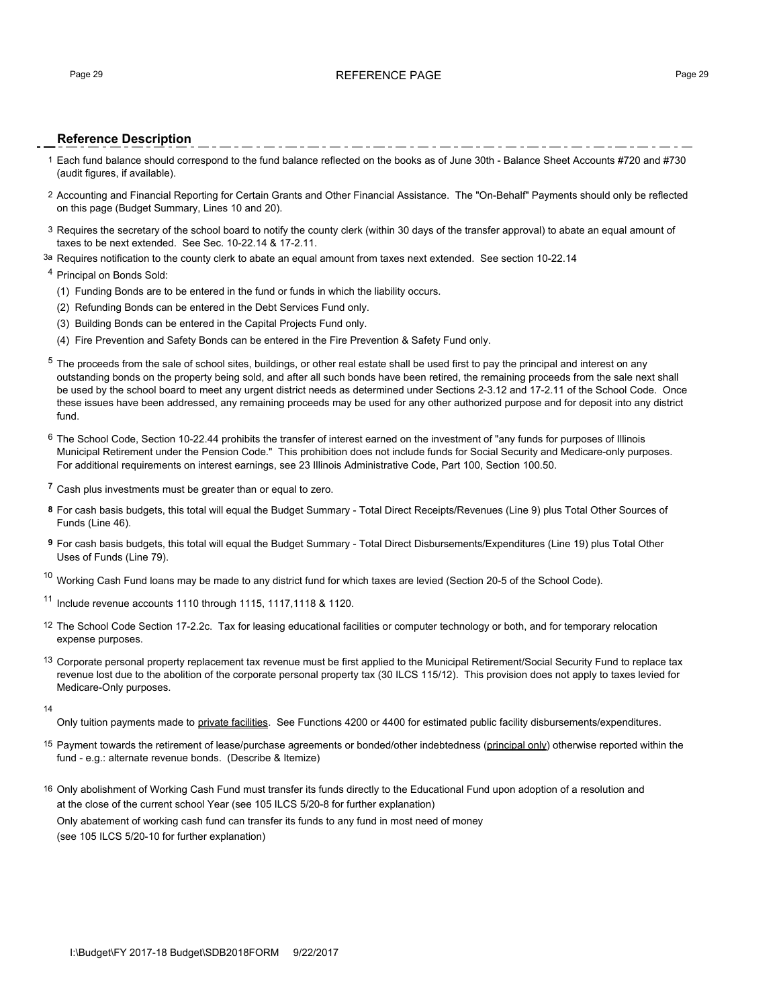## Page 29 **REFERENCE PAGE 29** REFERENCE PAGE 29

## **Reference Description**

- 1 Each fund balance should correspond to the fund balance reflected on the books as of June 30th Balance Sheet Accounts #720 and #730 (audit figures, if available).
- 2 Accounting and Financial Reporting for Certain Grants and Other Financial Assistance. The "On-Behalf" Payments should only be reflected on this page (Budget Summary, Lines 10 and 20).
- 3 Requires the secretary of the school board to notify the county clerk (within 30 days of the transfer approval) to abate an equal amount of taxes to be next extended. See Sec. 10-22.14 & 17-2.11.
- <sup>3a</sup> Requires notification to the county clerk to abate an equal amount from taxes next extended. See section 10-22.14

### <sup>4</sup> Principal on Bonds Sold:

- (1) Funding Bonds are to be entered in the fund or funds in which the liability occurs.
- (2) Refunding Bonds can be entered in the Debt Services Fund only.
- (3) Building Bonds can be entered in the Capital Projects Fund only.
- (4) Fire Prevention and Safety Bonds can be entered in the Fire Prevention & Safety Fund only.
- $5$  The proceeds from the sale of school sites, buildings, or other real estate shall be used first to pay the principal and interest on any outstanding bonds on the property being sold, and after all such bonds have been retired, the remaining proceeds from the sale next shall be used by the school board to meet any urgent district needs as determined under Sections 2-3.12 and 17-2.11 of the School Code. Once these issues have been addressed, any remaining proceeds may be used for any other authorized purpose and for deposit into any district fund.
- 6 The School Code, Section 10-22.44 prohibits the transfer of interest earned on the investment of "any funds for purposes of Illinois Municipal Retirement under the Pension Code." This prohibition does not include funds for Social Security and Medicare-only purposes. For additional requirements on interest earnings, see 23 Illinois Administrative Code, Part 100, Section 100.50.
- **<sup>7</sup>** Cash plus investments must be greater than or equal to zero.
- **8** For cash basis budgets, this total will equal the Budget Summary Total Direct Receipts/Revenues (Line 9) plus Total Other Sources of Funds (Line 46).
- **9** For cash basis budgets, this total will equal the Budget Summary Total Direct Disbursements/Expenditures (Line 19) plus Total Other Uses of Funds (Line 79).

 $^{10}$  Working Cash Fund loans may be made to any district fund for which taxes are levied (Section 20-5 of the School Code).

<sup>11</sup> Include revenue accounts 1110 through 1115, 1117,1118 & 1120.

- 12 The School Code Section 17-2.2c. Tax for leasing educational facilities or computer technology or both, and for temporary relocation expense purposes.
- <sup>13</sup> Corporate personal property replacement tax revenue must be first applied to the Municipal Retirement/Social Security Fund to replace tax revenue lost due to the abolition of the corporate personal property tax (30 ILCS 115/12). This provision does not apply to taxes levied for Medicare-Only purposes.
- 14

Only tuition payments made to private facilities. See Functions 4200 or 4400 for estimated public facility disbursements/expenditures.

- 15 Payment towards the retirement of lease/purchase agreements or bonded/other indebtedness (principal only) otherwise reported within the fund - e.g.: alternate revenue bonds. (Describe & Itemize)
- 16 Only abolishment of Working Cash Fund must transfer its funds directly to the Educational Fund upon adoption of a resolution and at the close of the current school Year (see 105 ILCS 5/20-8 for further explanation) Only abatement of working cash fund can transfer its funds to any fund in most need of money (see 105 ILCS 5/20-10 for further explanation)